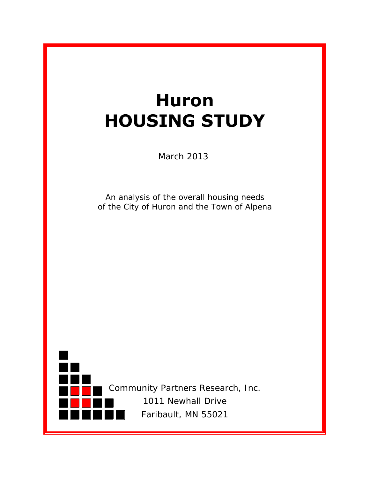# **Huron HOUSING STUDY**

March 2013

An analysis of the overall housing needs of the City of Huron and the Town of Alpena



Community Partners Research, Inc. 1011 Newhall Drive Faribault, MN 55021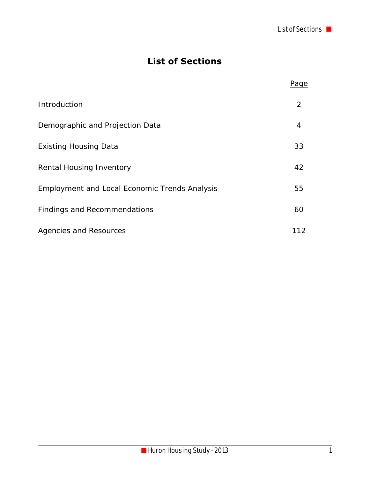## **List of Sections**

|                                                      | Page |
|------------------------------------------------------|------|
| Introduction                                         | 2    |
| Demographic and Projection Data                      | 4    |
| <b>Existing Housing Data</b>                         | 33   |
| Rental Housing Inventory                             | 42   |
| <b>Employment and Local Economic Trends Analysis</b> | 55   |
| Findings and Recommendations                         | 60   |
| Agencies and Resources                               | 112  |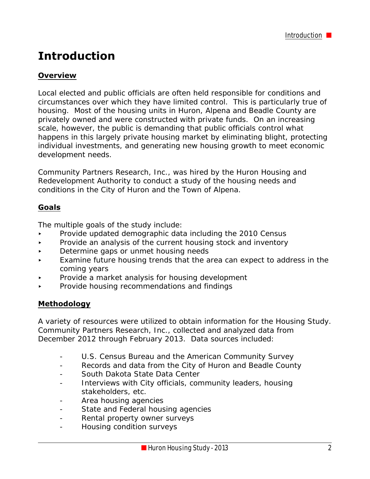## **Introduction**

#### **Overview**

Local elected and public officials are often held responsible for conditions and circumstances over which they have limited control. This is particularly true of housing. Most of the housing units in Huron, Alpena and Beadle County are privately owned and were constructed with private funds. On an increasing scale, however, the public is demanding that public officials control what happens in this largely private housing market by eliminating blight, protecting individual investments, and generating new housing growth to meet economic development needs.

Community Partners Research, Inc., was hired by the Huron Housing and Redevelopment Authority to conduct a study of the housing needs and conditions in the City of Huron and the Town of Alpena.

#### **Goals**

The multiple goals of the study include:

- $\triangleright$  Provide updated demographic data including the 2010 Census
- **Provide an analysis of the current housing stock and inventory**
- Determine gaps or unmet housing needs
- Examine future housing trends that the area can expect to address in the coming years
- < Provide a market analysis for housing development
- < Provide housing recommendations and findings

#### **Methodology**

A variety of resources were utilized to obtain information for the Housing Study. Community Partners Research, Inc., collected and analyzed data from December 2012 through February 2013. Data sources included:

- U.S. Census Bureau and the American Community Survey
- Records and data from the City of Huron and Beadle County
- South Dakota State Data Center
- Interviews with City officials, community leaders, housing stakeholders, etc.
- Area housing agencies
- State and Federal housing agencies
- Rental property owner surveys
- Housing condition surveys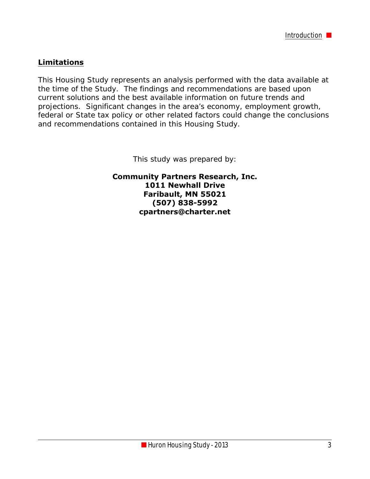#### **Limitations**

This Housing Study represents an analysis performed with the data available at the time of the Study. The findings and recommendations are based upon current solutions and the best available information on future trends and projections. Significant changes in the area's economy, employment growth, federal or State tax policy or other related factors could change the conclusions and recommendations contained in this Housing Study.

This study was prepared by:

**Community Partners Research, Inc. 1011 Newhall Drive Faribault, MN 55021 (507) 838-5992 cpartners@charter.net**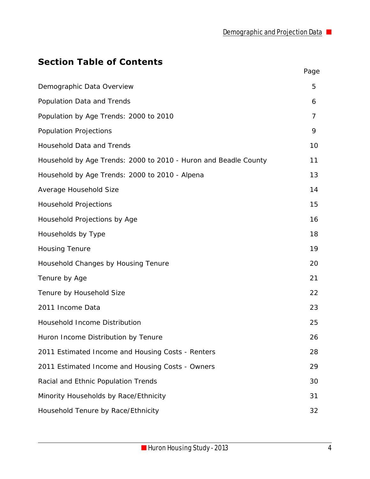## **Section Table of Contents**

|                                                                 | Page |
|-----------------------------------------------------------------|------|
| Demographic Data Overview                                       | 5    |
| Population Data and Trends                                      | 6    |
| Population by Age Trends: 2000 to 2010                          | 7    |
| <b>Population Projections</b>                                   | 9    |
| Household Data and Trends                                       | 10   |
| Household by Age Trends: 2000 to 2010 - Huron and Beadle County | 11   |
| Household by Age Trends: 2000 to 2010 - Alpena                  | 13   |
| Average Household Size                                          | 14   |
| <b>Household Projections</b>                                    | 15   |
| Household Projections by Age                                    | 16   |
| Households by Type                                              | 18   |
| <b>Housing Tenure</b>                                           | 19   |
| Household Changes by Housing Tenure                             | 20   |
| Tenure by Age                                                   | 21   |
| Tenure by Household Size                                        | 22   |
| 2011 Income Data                                                | 23   |
| Household Income Distribution                                   | 25   |
| Huron Income Distribution by Tenure                             | 26   |
| 2011 Estimated Income and Housing Costs - Renters               | 28   |
| 2011 Estimated Income and Housing Costs - Owners                | 29   |
| Racial and Ethnic Population Trends                             | 30   |
| Minority Households by Race/Ethnicity                           | 31   |
| Household Tenure by Race/Ethnicity                              | 32   |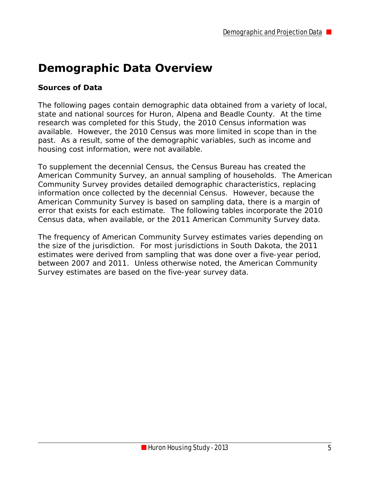# **Demographic Data Overview**

#### **Sources of Data**

The following pages contain demographic data obtained from a variety of local, state and national sources for Huron, Alpena and Beadle County. At the time research was completed for this Study, the 2010 Census information was available. However, the 2010 Census was more limited in scope than in the past. As a result, some of the demographic variables, such as income and housing cost information, were not available.

To supplement the decennial Census, the Census Bureau has created the American Community Survey, an annual sampling of households. The American Community Survey provides detailed demographic characteristics, replacing information once collected by the decennial Census. However, because the American Community Survey is based on sampling data, there is a margin of error that exists for each estimate. The following tables incorporate the 2010 Census data, when available, or the 2011 American Community Survey data.

The frequency of American Community Survey estimates varies depending on the size of the jurisdiction. For most jurisdictions in South Dakota, the 2011 estimates were derived from sampling that was done over a five-year period, between 2007 and 2011. Unless otherwise noted, the American Community Survey estimates are based on the five-year survey data.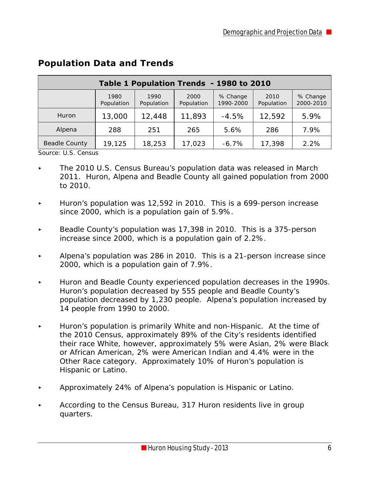| Table 1 Population Trends - 1980 to 2010 |                    |                    |                    |                       |                    |                       |
|------------------------------------------|--------------------|--------------------|--------------------|-----------------------|--------------------|-----------------------|
|                                          | 1980<br>Population | 1990<br>Population | 2000<br>Population | % Change<br>1990-2000 | 2010<br>Population | % Change<br>2000-2010 |
| Huron                                    | 13,000             | 12,448             | 11,893             | $-4.5%$               | 12,592             | 5.9%                  |
| Alpena                                   | 288                | 251                | 265                | 5.6%                  | 286                | 7.9%                  |
| Beadle County                            | 19,125             | 18,253             | 17,023             | $-6.7%$               | 17,398             | 2.2%                  |

#### **Population Data and Trends**

Source: U.S. Census

- < The 2010 U.S. Census Bureau's population data was released in March 2011. Huron, Alpena and Beadle County all gained population from 2000 to 2010.
- < Huron's population was 12,592 in 2010. This is a 699-person increase since 2000, which is a population gain of 5.9%.
- Beadle County's population was 17,398 in 2010. This is a 375-person increase since 2000, which is a population gain of 2.2%.
- Alpena's population was 286 in 2010. This is a 21-person increase since 2000, which is a population gain of 7.9%.
- < Huron and Beadle County experienced population decreases in the 1990s. Huron's population decreased by 555 people and Beadle County's population decreased by 1,230 people. Alpena's population increased by 14 people from 1990 to 2000.
- < Huron's population is primarily White and non-Hispanic. At the time of the 2010 Census, approximately 89% of the City's residents identified their race White, however, approximately 5% were Asian, 2% were Black or African American, 2% were American Indian and 4.4% were in the Other Race category. Approximately 10% of Huron's population is Hispanic or Latino.
- < Approximately 24% of Alpena's population is Hispanic or Latino.
- According to the Census Bureau, 317 Huron residents live in group quarters.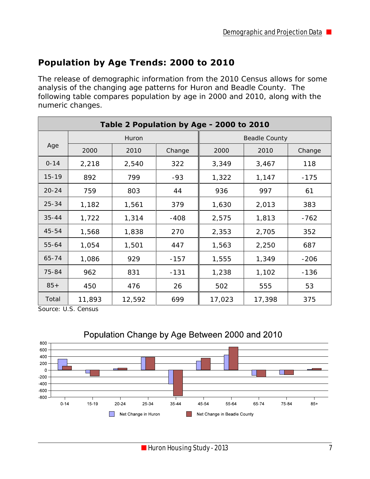## **Population by Age Trends: 2000 to 2010**

The release of demographic information from the 2010 Census allows for some analysis of the changing age patterns for Huron and Beadle County. The following table compares population by age in 2000 and 2010, along with the numeric changes.

| Table 2 Population by Age - 2000 to 2010 |        |        |        |        |                      |        |  |
|------------------------------------------|--------|--------|--------|--------|----------------------|--------|--|
|                                          |        | Huron  |        |        | <b>Beadle County</b> |        |  |
| Age                                      | 2000   | 2010   | Change | 2000   | 2010                 | Change |  |
| $0 - 14$                                 | 2,218  | 2,540  | 322    | 3,349  | 3,467                | 118    |  |
| $15 - 19$                                | 892    | 799    | $-93$  | 1,322  | 1,147                | $-175$ |  |
| $20 - 24$                                | 759    | 803    | 44     | 936    | 997                  | 61     |  |
| $25 - 34$                                | 1,182  | 1,561  | 379    | 1,630  | 2,013                | 383    |  |
| $35 - 44$                                | 1,722  | 1,314  | $-408$ | 2,575  | 1,813                | $-762$ |  |
| 45-54                                    | 1,568  | 1,838  | 270    | 2,353  | 2,705                | 352    |  |
| $55 - 64$                                | 1,054  | 1,501  | 447    | 1,563  | 2,250                | 687    |  |
| 65-74                                    | 1,086  | 929    | $-157$ | 1,555  | 1,349                | $-206$ |  |
| 75-84                                    | 962    | 831    | $-131$ | 1,238  | 1,102                | $-136$ |  |
| $85+$                                    | 450    | 476    | 26     | 502    | 555                  | 53     |  |
| Total                                    | 11,893 | 12,592 | 699    | 17,023 | 17,398               | 375    |  |

Source: U.S. Census



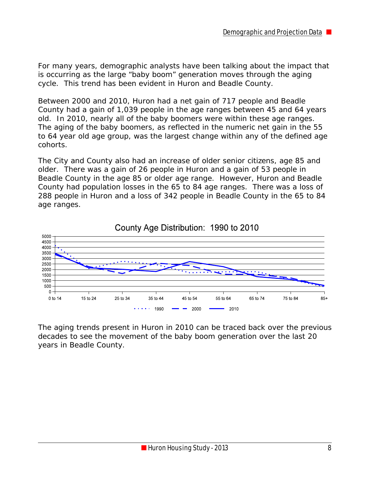For many years, demographic analysts have been talking about the impact that is occurring as the large "baby boom" generation moves through the aging cycle. This trend has been evident in Huron and Beadle County.

Between 2000 and 2010, Huron had a net gain of 717 people and Beadle County had a gain of 1,039 people in the age ranges between 45 and 64 years old. In 2010, nearly all of the baby boomers were within these age ranges. The aging of the baby boomers, as reflected in the numeric net gain in the 55 to 64 year old age group, was the largest change within any of the defined age cohorts.

The City and County also had an increase of older senior citizens, age 85 and older. There was a gain of 26 people in Huron and a gain of 53 people in Beadle County in the age 85 or older age range. However, Huron and Beadle County had population losses in the 65 to 84 age ranges. There was a loss of 288 people in Huron and a loss of 342 people in Beadle County in the 65 to 84 age ranges.





The aging trends present in Huron in 2010 can be traced back over the previous decades to see the movement of the baby boom generation over the last 20 years in Beadle County.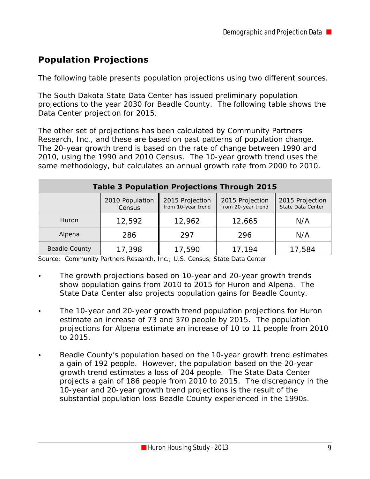## **Population Projections**

The following table presents population projections using two different sources.

The South Dakota State Data Center has issued preliminary population projections to the year 2030 for Beadle County. The following table shows the Data Center projection for 2015.

The other set of projections has been calculated by Community Partners Research, Inc., and these are based on past patterns of population change. The 20-year growth trend is based on the rate of change between 1990 and 2010, using the 1990 and 2010 Census. The 10-year growth trend uses the same methodology, but calculates an annual growth rate from 2000 to 2010.

| <b>Table 3 Population Projections Through 2015</b> |                           |                                       |                                       |                                      |  |  |
|----------------------------------------------------|---------------------------|---------------------------------------|---------------------------------------|--------------------------------------|--|--|
|                                                    | 2010 Population<br>Census | 2015 Projection<br>from 10-year trend | 2015 Projection<br>from 20-year trend | 2015 Projection<br>State Data Center |  |  |
| <b>Huron</b>                                       | 12,592                    | 12,962                                | 12,665                                | N/A                                  |  |  |
| Alpena                                             | 286                       | 297                                   | 296                                   | N/A                                  |  |  |
| <b>Beadle County</b>                               | 17,398                    | 17,590                                | 17,194                                | 17,584                               |  |  |

Source: Community Partners Research, Inc.; U.S. Census; State Data Center

- The growth projections based on 10-year and 20-year growth trends show population gains from 2010 to 2015 for Huron and Alpena. The State Data Center also projects population gains for Beadle County.
- < The 10-year and 20-year growth trend population projections for Huron estimate an increase of 73 and 370 people by 2015. The population projections for Alpena estimate an increase of 10 to 11 people from 2010 to 2015.
- < Beadle County's population based on the 10-year growth trend estimates a gain of 192 people. However, the population based on the 20-year growth trend estimates a loss of 204 people. The State Data Center projects a gain of 186 people from 2010 to 2015. The discrepancy in the 10-year and 20-year growth trend projections is the result of the substantial population loss Beadle County experienced in the 1990s.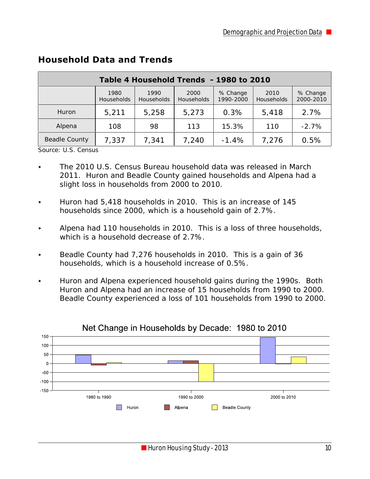| Table 4 Household Trends - 1980 to 2010 |                           |                           |                           |                       |                           |                       |  |
|-----------------------------------------|---------------------------|---------------------------|---------------------------|-----------------------|---------------------------|-----------------------|--|
|                                         | 1980<br><b>Households</b> | 1990<br><b>Households</b> | 2000<br><b>Households</b> | % Change<br>1990-2000 | 2010<br><b>Households</b> | % Change<br>2000-2010 |  |
| Huron                                   | 5,211                     | 5,258                     | 5,273                     | 0.3%                  | 5,418                     | 2.7%                  |  |
| Alpena                                  | 108                       | 98                        | 113                       | 15.3%                 | 110                       | $-2.7%$               |  |
| <b>Beadle County</b>                    | 7,337                     | 7,341                     | 7,240                     | $-1.4%$               | 7,276                     | 0.5%                  |  |

#### **Household Data and Trends**

Source: U.S. Census

- **Fig. 2010 U.S. Census Bureau household data was released in March** 2011. Huron and Beadle County gained households and Alpena had a slight loss in households from 2000 to 2010.
- $\blacktriangleright$  Huron had 5,418 households in 2010. This is an increase of 145 households since 2000, which is a household gain of 2.7%.
- $\blacktriangleright$  Alpena had 110 households in 2010. This is a loss of three households, which is a household decrease of 2.7%.
- Beadle County had 7,276 households in 2010. This is a gain of 36 households, which is a household increase of 0.5%.
- < Huron and Alpena experienced household gains during the 1990s. Both Huron and Alpena had an increase of 15 households from 1990 to 2000. Beadle County experienced a loss of 101 households from 1990 to 2000.



#### Net Change in Households by Decade: 1980 to 2010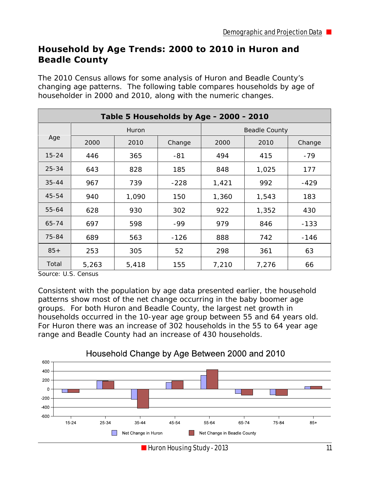#### **Household by Age Trends: 2000 to 2010 in Huron and Beadle County**

The 2010 Census allows for some analysis of Huron and Beadle County's changing age patterns. The following table compares households by age of householder in 2000 and 2010, along with the numeric changes.

| Table 5 Households by Age - 2000 - 2010 |       |       |        |       |                      |        |  |
|-----------------------------------------|-------|-------|--------|-------|----------------------|--------|--|
|                                         |       | Huron |        |       | <b>Beadle County</b> |        |  |
| Age                                     | 2000  | 2010  | Change | 2000  | 2010                 | Change |  |
| $15 - 24$                               | 446   | 365   | $-81$  | 494   | 415                  | $-79$  |  |
| $25 - 34$                               | 643   | 828   | 185    | 848   | 1,025                | 177    |  |
| $35 - 44$                               | 967   | 739   | $-228$ | 1,421 | 992                  | $-429$ |  |
| 45-54                                   | 940   | 1,090 | 150    | 1,360 | 1,543                | 183    |  |
| $55 - 64$                               | 628   | 930   | 302    | 922   | 1,352                | 430    |  |
| $65 - 74$                               | 697   | 598   | -99    | 979   | 846                  | $-133$ |  |
| 75-84                                   | 689   | 563   | $-126$ | 888   | 742                  | $-146$ |  |
| $85+$                                   | 253   | 305   | 52     | 298   | 361                  | 63     |  |
| Total                                   | 5,263 | 5,418 | 155    | 7,210 | 7,276                | 66     |  |

Source: U.S. Census

Consistent with the population by age data presented earlier, the household patterns show most of the net change occurring in the baby boomer age groups. For both Huron and Beadle County, the largest net growth in households occurred in the 10-year age group between 55 and 64 years old. For Huron there was an increase of 302 households in the 55 to 64 year age range and Beadle County had an increase of 430 households.



#### Household Change by Age Between 2000 and 2010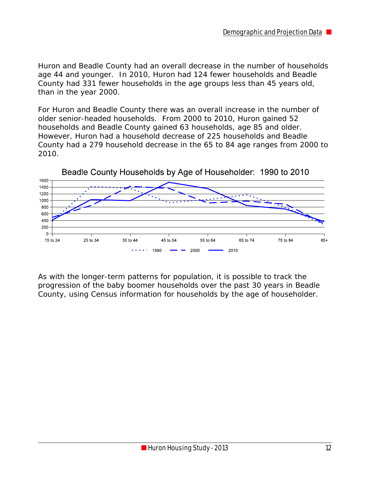Huron and Beadle County had an overall decrease in the number of households age 44 and younger. In 2010, Huron had 124 fewer households and Beadle County had 331 fewer households in the age groups less than 45 years old, than in the year 2000.

For Huron and Beadle County there was an overall increase in the number of older senior-headed households. From 2000 to 2010, Huron gained 52 households and Beadle County gained 63 households, age 85 and older. However, Huron had a household decrease of 225 households and Beadle County had a 279 household decrease in the 65 to 84 age ranges from 2000 to 2010.



As with the longer-term patterns for population, it is possible to track the progression of the baby boomer households over the past 30 years in Beadle County, using Census information for households by the age of householder.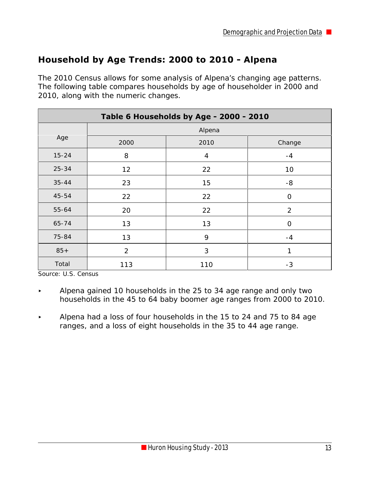#### **Household by Age Trends: 2000 to 2010 - Alpena**

The 2010 Census allows for some analysis of Alpena's changing age patterns. The following table compares households by age of householder in 2000 and 2010, along with the numeric changes.

| Table 6 Households by Age - 2000 - 2010 |                |                |                |  |  |  |
|-----------------------------------------|----------------|----------------|----------------|--|--|--|
|                                         |                | Alpena         |                |  |  |  |
| Age                                     | 2000           | 2010           | Change         |  |  |  |
| $15 - 24$                               | 8              | $\overline{4}$ | $-4$           |  |  |  |
| $25 - 34$                               | 12             | 22             | 10             |  |  |  |
| $35 - 44$                               | 23             | 15             | $-8$           |  |  |  |
| 45-54                                   | 22             | 22             | $\overline{O}$ |  |  |  |
| 55-64                                   | 20             | 22             | $\overline{2}$ |  |  |  |
| 65-74                                   | 13             | 13             | $\mathcal{O}$  |  |  |  |
| 75-84                                   | 13             | 9              | $-4$           |  |  |  |
| $85+$                                   | $\overline{2}$ | 3              | 1              |  |  |  |
| Total                                   | 113            | 110            | $-3$           |  |  |  |

Source: U.S. Census

- Alpena gained 10 households in the 25 to 34 age range and only two households in the 45 to 64 baby boomer age ranges from 2000 to 2010.
- Alpena had a loss of four households in the 15 to 24 and 75 to 84 age ranges, and a loss of eight households in the 35 to 44 age range.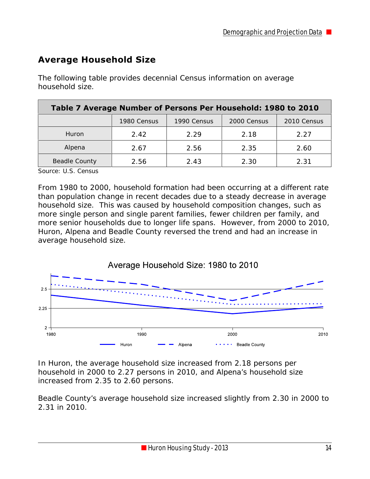## **Average Household Size**

The following table provides decennial Census information on average household size.

| Table 7 Average Number of Persons Per Household: 1980 to 2010 |             |             |             |             |  |  |
|---------------------------------------------------------------|-------------|-------------|-------------|-------------|--|--|
|                                                               | 1980 Census | 1990 Census | 2000 Census | 2010 Census |  |  |
| Huron                                                         | 2.42        | 2.29        | 2.18        | 2 27        |  |  |
| Alpena                                                        | 2.67        | 2.56        | 2.35        | 2.60        |  |  |
| <b>Beadle County</b>                                          | 2.56        | 2.43        | 2.30        | 2.31        |  |  |

Source: U.S. Census

From 1980 to 2000, household formation had been occurring at a different rate than population change in recent decades due to a steady decrease in average household size. This was caused by household composition changes, such as more single person and single parent families, fewer children per family, and more senior households due to longer life spans. However, from 2000 to 2010, Huron, Alpena and Beadle County reversed the trend and had an increase in average household size.



In Huron, the average household size increased from 2.18 persons per household in 2000 to 2.27 persons in 2010, and Alpena's household size increased from 2.35 to 2.60 persons.

Beadle County's average household size increased slightly from 2.30 in 2000 to 2.31 in 2010.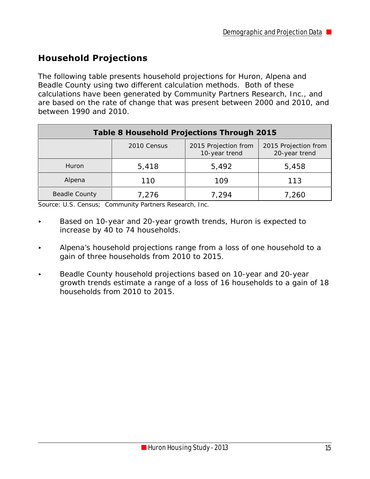## **Household Projections**

The following table presents household projections for Huron, Alpena and Beadle County using two different calculation methods. Both of these calculations have been generated by Community Partners Research, Inc., and are based on the rate of change that was present between 2000 and 2010, and between 1990 and 2010.

| <b>Table 8 Household Projections Through 2015</b> |             |                                       |                                       |  |  |  |
|---------------------------------------------------|-------------|---------------------------------------|---------------------------------------|--|--|--|
|                                                   | 2010 Census | 2015 Projection from<br>10-year trend | 2015 Projection from<br>20-year trend |  |  |  |
| Huron                                             | 5,418       | 5,492                                 | 5,458                                 |  |  |  |
| Alpena                                            | 110         | 109                                   | 113                                   |  |  |  |
| <b>Beadle County</b>                              | 7,276       | 7.294                                 | 7,260                                 |  |  |  |

Source: U.S. Census; Community Partners Research, Inc.

- ▶ Based on 10-year and 20-year growth trends, Huron is expected to increase by 40 to 74 households.
- Alpena's household projections range from a loss of one household to a gain of three households from 2010 to 2015.
- Beadle County household projections based on 10-year and 20-year growth trends estimate a range of a loss of 16 households to a gain of 18 households from 2010 to 2015.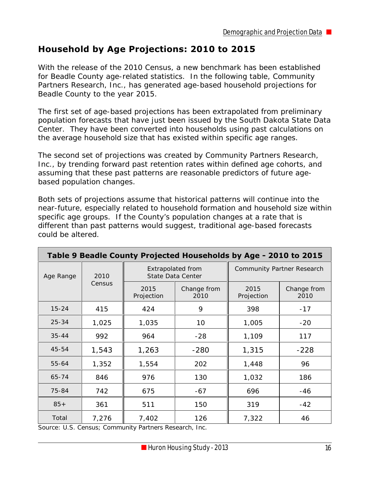#### **Household by Age Projections: 2010 to 2015**

With the release of the 2010 Census, a new benchmark has been established for Beadle County age-related statistics. In the following table, Community Partners Research, Inc., has generated age-based household projections for Beadle County to the year 2015.

The first set of age-based projections has been extrapolated from preliminary population forecasts that have just been issued by the South Dakota State Data Center. They have been converted into households using past calculations on the average household size that has existed within specific age ranges.

The second set of projections was created by Community Partners Research, Inc., by trending forward past retention rates within defined age cohorts, and assuming that these past patterns are reasonable predictors of future agebased population changes.

Both sets of projections assume that historical patterns will continue into the near-future, especially related to household formation and household size within specific age groups. If the County's population changes at a rate that is different than past patterns would suggest, traditional age-based forecasts could be altered.

| Table 9 Beadle County Projected Households by Age - 2010 to 2015 |        |                                                      |                     |                    |                            |  |  |
|------------------------------------------------------------------|--------|------------------------------------------------------|---------------------|--------------------|----------------------------|--|--|
| Age Range                                                        | 2010   | <b>Extrapolated from</b><br><b>State Data Center</b> |                     |                    | Community Partner Research |  |  |
|                                                                  | Census | 2015<br>Projection                                   | Change from<br>2010 | 2015<br>Projection | Change from<br>2010        |  |  |
| $15 - 24$                                                        | 415    | 424                                                  | 9                   | 398                | $-17$                      |  |  |
| $25 - 34$                                                        | 1,025  | 1,035                                                | 10                  | 1,005              | $-20$                      |  |  |
| $35 - 44$                                                        | 992    | 964                                                  | $-28$               | 1,109              | 117                        |  |  |
| $45 - 54$                                                        | 1,543  | 1,263                                                | $-280$              | 1,315              | $-228$                     |  |  |
| $55 - 64$                                                        | 1,352  | 1,554                                                | 202                 | 1,448              | 96                         |  |  |
| 65-74                                                            | 846    | 976                                                  | 130                 | 1,032              | 186                        |  |  |
| 75-84                                                            | 742    | 675                                                  | $-67$               | 696                | -46                        |  |  |
| $85+$                                                            | 361    | 511                                                  | 150                 | 319                | $-42$                      |  |  |
| Total                                                            | 7,276  | 7,402                                                | 126                 | 7,322              | 46                         |  |  |

Source: U.S. Census; Community Partners Research, Inc.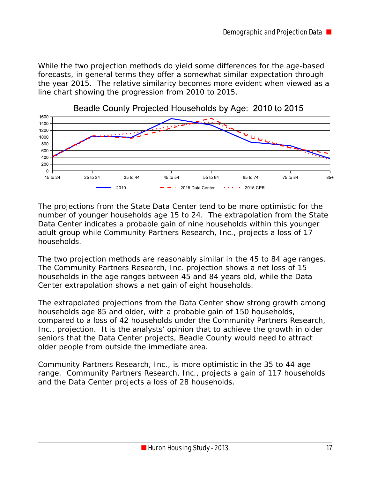While the two projection methods do yield some differences for the age-based forecasts, in general terms they offer a somewhat similar expectation through the year 2015. The relative similarity becomes more evident when viewed as a line chart showing the progression from 2010 to 2015.



The projections from the State Data Center tend to be more optimistic for the number of younger households age 15 to 24. The extrapolation from the State Data Center indicates a probable gain of nine households within this younger adult group while Community Partners Research, Inc., projects a loss of 17 households.

The two projection methods are reasonably similar in the 45 to 84 age ranges. The Community Partners Research, Inc. projection shows a net loss of 15 households in the age ranges between 45 and 84 years old, while the Data Center extrapolation shows a net gain of eight households.

The extrapolated projections from the Data Center show strong growth among households age 85 and older, with a probable gain of 150 households, compared to a loss of 42 households under the Community Partners Research, Inc., projection. It is the analysts' opinion that to achieve the growth in older seniors that the Data Center projects, Beadle County would need to attract older people from outside the immediate area.

Community Partners Research, Inc., is more optimistic in the 35 to 44 age range. Community Partners Research, Inc., projects a gain of 117 households and the Data Center projects a loss of 28 households.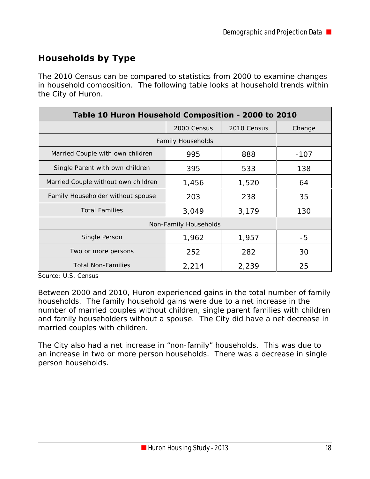## **Households by Type**

The 2010 Census can be compared to statistics from 2000 to examine changes in household composition. The following table looks at household trends within the City of Huron.

| Table 10 Huron Household Composition - 2000 to 2010 |                          |             |        |  |  |
|-----------------------------------------------------|--------------------------|-------------|--------|--|--|
|                                                     | 2000 Census              | 2010 Census | Change |  |  |
|                                                     | <b>Family Households</b> |             |        |  |  |
| Married Couple with own children                    | 995                      | 888         | $-107$ |  |  |
| Single Parent with own children                     | 395                      | 533         | 138    |  |  |
| Married Couple without own children                 | 1,456                    | 1,520       | 64     |  |  |
| Family Householder without spouse                   | 203                      | 238         | 35     |  |  |
| <b>Total Families</b>                               | 3,049                    | 3,179       | 130    |  |  |
|                                                     | Non-Family Households    |             |        |  |  |
| Single Person                                       | 1,962                    | 1,957       | -5     |  |  |
| Two or more persons                                 | 252                      | 282         | 30     |  |  |
| <b>Total Non-Families</b>                           | 2,214                    | 2,239       | 25     |  |  |

Source: U.S. Census

Between 2000 and 2010, Huron experienced gains in the total number of family households. The family household gains were due to a net increase in the number of married couples without children, single parent families with children and family householders without a spouse. The City did have a net decrease in married couples with children.

The City also had a net increase in "non-family" households. This was due to an increase in two or more person households. There was a decrease in single person households.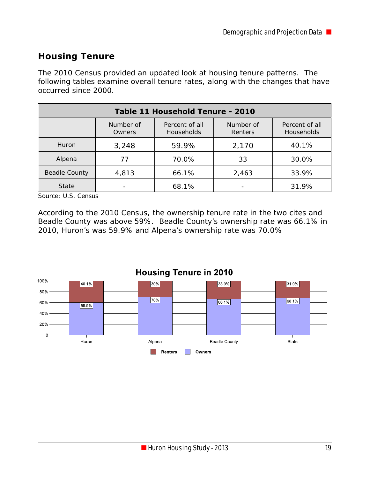#### **Housing Tenure**

The 2010 Census provided an updated look at housing tenure patterns. The following tables examine overall tenure rates, along with the changes that have occurred since 2000.

| Table 11 Household Tenure - 2010 |                                                                                                                    |       |       |       |  |  |
|----------------------------------|--------------------------------------------------------------------------------------------------------------------|-------|-------|-------|--|--|
|                                  | Number of<br>Number of<br>Percent of all<br>Percent of all<br><b>Households</b><br>Households<br>Renters<br>Owners |       |       |       |  |  |
| Huron                            | 3,248                                                                                                              | 59.9% | 2,170 | 40.1% |  |  |
| Alpena                           | 77                                                                                                                 | 70.0% | 33    | 30.0% |  |  |
| <b>Beadle County</b>             | 4,813                                                                                                              | 66.1% | 2,463 | 33.9% |  |  |
| <b>State</b>                     |                                                                                                                    | 68.1% |       | 31.9% |  |  |

Source: U.S. Census

According to the 2010 Census, the ownership tenure rate in the two cites and Beadle County was above 59%. Beadle County's ownership rate was 66.1% in 2010, Huron's was 59.9% and Alpena's ownership rate was 70.0%

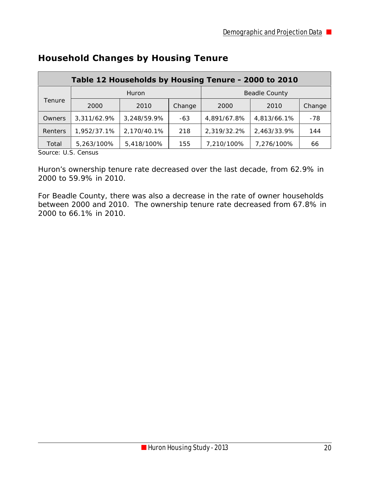| Table 12 Households by Housing Tenure - 2000 to 2010 |             |             |        |                      |             |        |  |
|------------------------------------------------------|-------------|-------------|--------|----------------------|-------------|--------|--|
|                                                      | Huron       |             |        | <b>Beadle County</b> |             |        |  |
| Tenure                                               | 2000        | 2010        | Change | 2000                 | 2010        | Change |  |
| Owners                                               | 3,311/62.9% | 3,248/59.9% | -63    | 4,891/67.8%          | 4,813/66.1% | -78    |  |
| Renters                                              | 1,952/37.1% | 2,170/40.1% | 218    | 2,319/32.2%          | 2,463/33.9% | 144    |  |
| Total                                                | 5,263/100%  | 5,418/100%  | 155    | 7,210/100%           | 7,276/100%  | 66     |  |

#### **Household Changes by Housing Tenure**

Source: U.S. Census

 $\overline{ }$ 

Huron's ownership tenure rate decreased over the last decade, from 62.9% in 2000 to 59.9% in 2010.

For Beadle County, there was also a decrease in the rate of owner households between 2000 and 2010. The ownership tenure rate decreased from 67.8% in 2000 to 66.1% in 2010.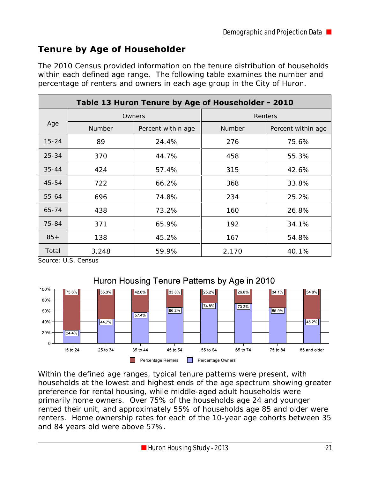#### **Tenure by Age of Householder**

The 2010 Census provided information on the tenure distribution of households within each defined age range. The following table examines the number and percentage of renters and owners in each age group in the City of Huron.

|           | Table 13 Huron Tenure by Age of Householder - 2010 |                    |        |                    |  |  |
|-----------|----------------------------------------------------|--------------------|--------|--------------------|--|--|
|           |                                                    | Owners             |        | Renters            |  |  |
| Age       | Number                                             | Percent within age | Number | Percent within age |  |  |
| $15 - 24$ | 89                                                 | 24.4%              | 276    | 75.6%              |  |  |
| $25 - 34$ | 370                                                | 44.7%              | 458    | 55.3%              |  |  |
| $35 - 44$ | 424                                                | 57.4%              | 315    | 42.6%              |  |  |
| $45 - 54$ | 722                                                | 66.2%              | 368    | 33.8%              |  |  |
| $55 - 64$ | 696                                                | 74.8%              | 234    | 25.2%              |  |  |
| 65-74     | 438                                                | 73.2%              | 160    | 26.8%              |  |  |
| 75-84     | 371                                                | 65.9%              | 192    | 34.1%              |  |  |
| $85+$     | 138                                                | 45.2%              | 167    | 54.8%              |  |  |
| Total     | 3,248                                              | 59.9%              | 2,170  | 40.1%              |  |  |

Source: U.S. Census



Within the defined age ranges, typical tenure patterns were present, with households at the lowest and highest ends of the age spectrum showing greater preference for rental housing, while middle-aged adult households were primarily home owners. Over 75% of the households age 24 and younger rented their unit, and approximately 55% of households age 85 and older were renters. Home ownership rates for each of the 10-year age cohorts between 35 and 84 years old were above 57%.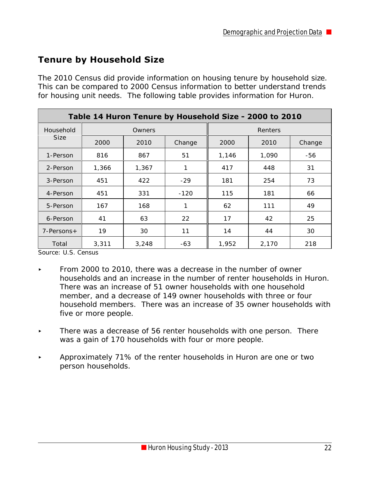#### **Tenure by Household Size**

The 2010 Census did provide information on housing tenure by household size. This can be compared to 2000 Census information to better understand trends for housing unit needs. The following table provides information for Huron.

| Table 14 Huron Tenure by Household Size - 2000 to 2010 |       |        |        |       |         |        |
|--------------------------------------------------------|-------|--------|--------|-------|---------|--------|
| Household                                              |       | Owners |        |       | Renters |        |
| <b>Size</b>                                            | 2000  | 2010   | Change | 2000  | 2010    | Change |
| 1-Person                                               | 816   | 867    | 51     | 1,146 | 1,090   | -56    |
| 2-Person                                               | 1,366 | 1,367  |        | 417   | 448     | 31     |
| 3-Person                                               | 451   | 422    | $-29$  | 181   | 254     | 73     |
| 4-Person                                               | 451   | 331    | $-120$ | 115   | 181     | 66     |
| 5-Person                                               | 167   | 168    | 1      | 62    | 111     | 49     |
| 6-Person                                               | 41    | 63     | 22     | 17    | 42      | 25     |
| $7$ -Persons +                                         | 19    | 30     | 11     | 14    | 44      | 30     |
| Total                                                  | 3,311 | 3,248  | $-63$  | 1,952 | 2,170   | 218    |

Source: U.S. Census

- From 2000 to 2010, there was a decrease in the number of owner households and an increase in the number of renter households in Huron. There was an increase of 51 owner households with one household member, and a decrease of 149 owner households with three or four household members. There was an increase of 35 owner households with five or more people.
- $\blacktriangleright$  There was a decrease of 56 renter households with one person. There was a gain of 170 households with four or more people.
- < Approximately 71% of the renter households in Huron are one or two person households.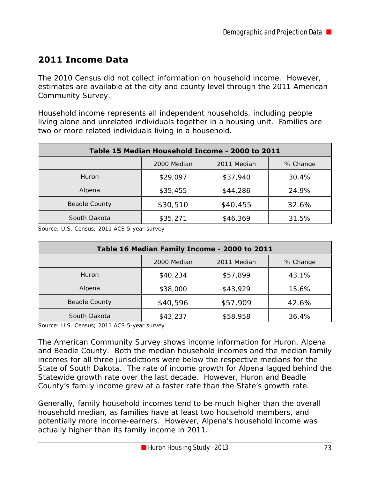#### **2011 Income Data**

The 2010 Census did not collect information on household income. However, estimates are available at the city and county level through the 2011 American Community Survey.

Household income represents all independent households, including people living alone and unrelated individuals together in a housing unit. Families are two or more related individuals living in a household.

| Table 15 Median Household Income - 2000 to 2011 |                                        |          |       |  |  |  |
|-------------------------------------------------|----------------------------------------|----------|-------|--|--|--|
|                                                 | 2000 Median<br>2011 Median<br>% Change |          |       |  |  |  |
| Huron                                           | \$29,097                               | \$37,940 | 30.4% |  |  |  |
| Alpena                                          | \$35,455                               | \$44,286 | 24.9% |  |  |  |
| <b>Beadle County</b>                            | \$30,510                               | \$40,455 | 32.6% |  |  |  |
| South Dakota                                    | \$35,271                               | \$46,369 | 31.5% |  |  |  |

Source: U.S. Census; 2011 ACS 5-year survey

| Table 16 Median Family Income - 2000 to 2011 |                                        |          |       |  |  |  |
|----------------------------------------------|----------------------------------------|----------|-------|--|--|--|
|                                              | 2000 Median<br>2011 Median<br>% Change |          |       |  |  |  |
| Huron                                        | \$40,234                               | \$57,899 | 43.1% |  |  |  |
| Alpena                                       | \$38,000                               | \$43,929 | 15.6% |  |  |  |
| <b>Beadle County</b>                         | \$40,596                               | \$57,909 | 42.6% |  |  |  |
| South Dakota                                 | \$43,237                               | \$58,958 | 36.4% |  |  |  |

Source: U.S. Census; 2011 ACS 5-year survey

The American Community Survey shows income information for Huron, Alpena and Beadle County. Both the median household incomes and the median family incomes for all three jurisdictions were below the respective medians for the State of South Dakota. The rate of income growth for Alpena lagged behind the Statewide growth rate over the last decade. However, Huron and Beadle County's family income grew at a faster rate than the State's growth rate.

Generally, family household incomes tend to be much higher than the overall household median, as families have at least two household members, and potentially more income-earners. However, Alpena's household income was actually higher than its family income in 2011.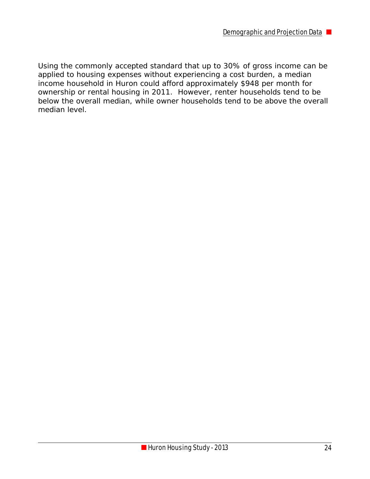Using the commonly accepted standard that up to 30% of gross income can be applied to housing expenses without experiencing a cost burden, a median income household in Huron could afford approximately \$948 per month for ownership or rental housing in 2011. However, renter households tend to be below the overall median, while owner households tend to be above the overall median level.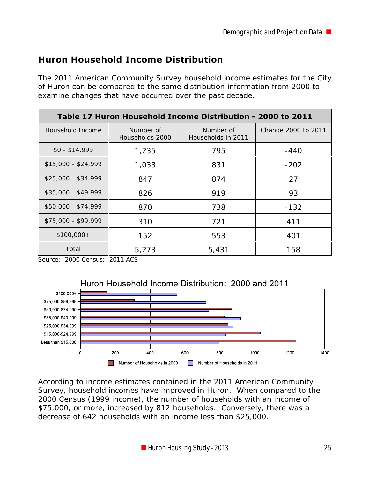## **Huron Household Income Distribution**

The 2011 American Community Survey household income estimates for the City of Huron can be compared to the same distribution information from 2000 to examine changes that have occurred over the past decade.

| Table 17 Huron Household Income Distribution - 2000 to 2011 |                              |                                 |                     |  |  |
|-------------------------------------------------------------|------------------------------|---------------------------------|---------------------|--|--|
| Household Income                                            | Number of<br>Households 2000 | Number of<br>Households in 2011 | Change 2000 to 2011 |  |  |
| $$0 - $14,999$                                              | 1,235                        | 795                             | $-440$              |  |  |
| $$15,000 - $24,999$                                         | 1,033                        | 831                             | $-202$              |  |  |
| $$25,000 - $34,999$                                         | 847                          | 874                             | 27                  |  |  |
| $$35,000 - $49,999$                                         | 826                          | 919                             | 93                  |  |  |
| $$50,000 - $74,999$                                         | 870                          | 738                             | $-132$              |  |  |
| $$75,000 - $99,999$                                         | 310                          | 721                             | 411                 |  |  |
| $$100,000+$                                                 | 152                          | 553                             | 401                 |  |  |
| Total                                                       | 5,273                        | 5,431                           | 158                 |  |  |

Source: 2000 Census; 2011 ACS



According to income estimates contained in the 2011 American Community Survey, household incomes have improved in Huron. When compared to the 2000 Census (1999 income), the number of households with an income of \$75,000, or more, increased by 812 households. Conversely, there was a decrease of 642 households with an income less than \$25,000.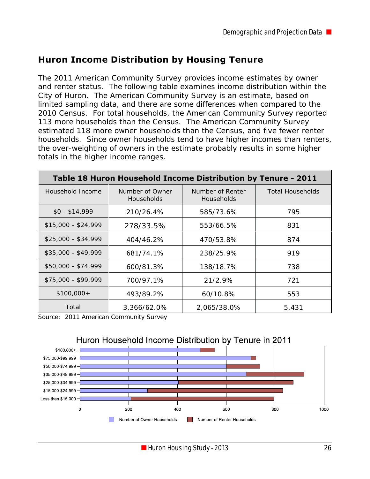#### **Huron Income Distribution by Housing Tenure**

The 2011 American Community Survey provides income estimates by owner and renter status. The following table examines income distribution within the City of Huron. The American Community Survey is an estimate, based on limited sampling data, and there are some differences when compared to the 2010 Census. For total households, the American Community Survey reported 113 more households than the Census. The American Community Survey estimated 118 more owner households than the Census, and five fewer renter households. Since owner households tend to have higher incomes than renters, the over-weighting of owners in the estimate probably results in some higher totals in the higher income ranges.

| Table 18 Huron Household Income Distribution by Tenure - 2011 |                                      |                                       |                         |  |  |  |
|---------------------------------------------------------------|--------------------------------------|---------------------------------------|-------------------------|--|--|--|
| Household Income                                              | Number of Owner<br><b>Households</b> | Number of Renter<br><b>Households</b> | <b>Total Households</b> |  |  |  |
| $$0 - $14,999$                                                | 210/26.4%                            | 585/73.6%                             | 795                     |  |  |  |
| $$15,000 - $24,999$                                           | 278/33.5%                            | 553/66.5%                             | 831                     |  |  |  |
| $$25,000 - $34,999$                                           | 404/46.2%                            | 470/53.8%                             | 874                     |  |  |  |
| $$35,000 - $49,999$                                           | 681/74.1%                            | 238/25.9%                             | 919                     |  |  |  |
| $$50,000 - $74,999$                                           | 600/81.3%                            | 138/18.7%                             | 738                     |  |  |  |
| $$75,000 - $99,999$                                           | 700/97.1%                            | 21/2.9%                               | 721                     |  |  |  |
| $$100,000+$                                                   | 493/89.2%                            | 60/10.8%                              | 553                     |  |  |  |
| Total                                                         | 3,366/62.0%                          | 2,065/38.0%                           | 5,431                   |  |  |  |

Source: 2011 American Community Survey

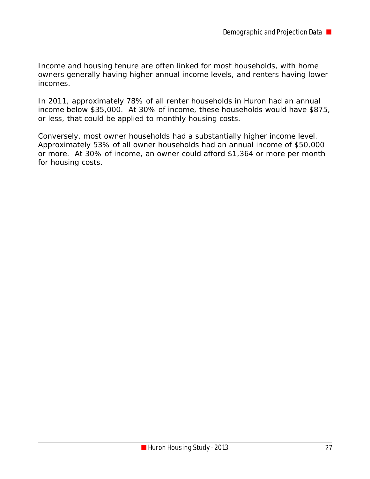Income and housing tenure are often linked for most households, with home owners generally having higher annual income levels, and renters having lower incomes.

In 2011, approximately 78% of all renter households in Huron had an annual income below \$35,000. At 30% of income, these households would have \$875, or less, that could be applied to monthly housing costs.

Conversely, most owner households had a substantially higher income level. Approximately 53% of all owner households had an annual income of \$50,000 or more. At 30% of income, an owner could afford \$1,364 or more per month for housing costs.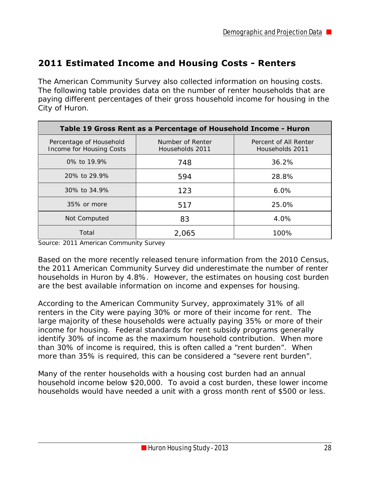#### **2011 Estimated Income and Housing Costs - Renters**

The American Community Survey also collected information on housing costs. The following table provides data on the number of renter households that are paying different percentages of their gross household income for housing in the City of Huron.

| Table 19 Gross Rent as a Percentage of Household Income - Huron |                                     |                                          |  |  |  |
|-----------------------------------------------------------------|-------------------------------------|------------------------------------------|--|--|--|
| Percentage of Household<br>Income for Housing Costs             | Number of Renter<br>Households 2011 | Percent of All Renter<br>Households 2011 |  |  |  |
| 0% to 19.9%                                                     | 748                                 | 36.2%                                    |  |  |  |
| 20% to 29.9%                                                    | 594                                 | 28.8%                                    |  |  |  |
| 30% to 34.9%                                                    | 123                                 | 6.0%                                     |  |  |  |
| 35% or more                                                     | 517                                 | 25.0%                                    |  |  |  |
| Not Computed                                                    | 83                                  | 4.0%                                     |  |  |  |
| Total                                                           | 2,065                               | 100%                                     |  |  |  |

Source: 2011 American Community Survey

Based on the more recently released tenure information from the 2010 Census, the 2011 American Community Survey did underestimate the number of renter households in Huron by 4.8%. However, the estimates on housing cost burden are the best available information on income and expenses for housing.

According to the American Community Survey, approximately 31% of all renters in the City were paying 30% or more of their income for rent. The large majority of these households were actually paying 35% or more of their income for housing. Federal standards for rent subsidy programs generally identify 30% of income as the maximum household contribution. When more than 30% of income is required, this is often called a "rent burden". When more than 35% is required, this can be considered a "severe rent burden".

Many of the renter households with a housing cost burden had an annual household income below \$20,000. To avoid a cost burden, these lower income households would have needed a unit with a gross month rent of \$500 or less.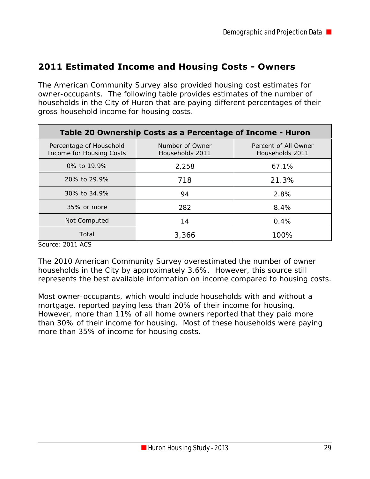#### **2011 Estimated Income and Housing Costs - Owners**

The American Community Survey also provided housing cost estimates for owner-occupants. The following table provides estimates of the number of households in the City of Huron that are paying different percentages of their gross household income for housing costs.

| Table 20 Ownership Costs as a Percentage of Income - Huron |                                    |                                         |  |  |  |
|------------------------------------------------------------|------------------------------------|-----------------------------------------|--|--|--|
| Percentage of Household<br>Income for Housing Costs        | Number of Owner<br>Households 2011 | Percent of All Owner<br>Households 2011 |  |  |  |
| 0% to 19.9%                                                | 2,258                              | 67.1%                                   |  |  |  |
| 20% to 29.9%                                               | 718                                | 21.3%                                   |  |  |  |
| 30% to 34.9%                                               | 94                                 | 2.8%                                    |  |  |  |
| 35% or more                                                | 282                                | 8.4%                                    |  |  |  |
| Not Computed                                               | 14                                 | 0.4%                                    |  |  |  |
| Total                                                      | 3,366                              | 100%                                    |  |  |  |

Source: 2011 ACS

The 2010 American Community Survey overestimated the number of owner households in the City by approximately 3.6%. However, this source still represents the best available information on income compared to housing costs.

Most owner-occupants, which would include households with and without a mortgage, reported paying less than 20% of their income for housing. However, more than 11% of all home owners reported that they paid more than 30% of their income for housing. Most of these households were paying more than 35% of income for housing costs.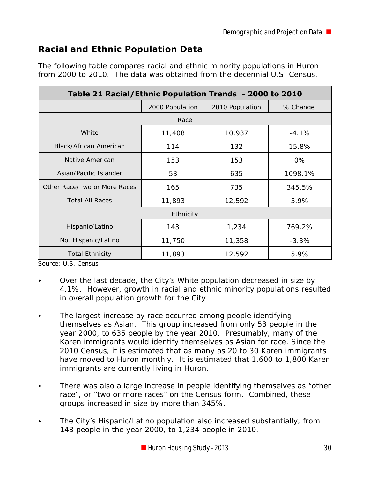#### **Racial and Ethnic Population Data**

| The following table compares racial and ethnic minority populations in Huron |  |  |  |
|------------------------------------------------------------------------------|--|--|--|
| from 2000 to 2010. The data was obtained from the decennial U.S. Census.     |  |  |  |

| Table 21 Racial/Ethnic Population Trends - 2000 to 2010 |                 |                 |          |  |  |  |
|---------------------------------------------------------|-----------------|-----------------|----------|--|--|--|
|                                                         | 2000 Population | 2010 Population | % Change |  |  |  |
| Race                                                    |                 |                 |          |  |  |  |
| White                                                   | 11,408          | 10,937          | $-4.1%$  |  |  |  |
| <b>Black/African American</b>                           | 114             | 132             | 15.8%    |  |  |  |
| Native American                                         | 153             | 153             | 0%       |  |  |  |
| Asian/Pacific Islander                                  | 53              | 635             | 1098.1%  |  |  |  |
| Other Race/Two or More Races                            | 165             | 735             | 345.5%   |  |  |  |
| <b>Total All Races</b>                                  | 11,893          | 12,592          | 5.9%     |  |  |  |
|                                                         | Ethnicity       |                 |          |  |  |  |
| Hispanic/Latino                                         | 143             | 1,234           | 769.2%   |  |  |  |
| Not Hispanic/Latino                                     | 11,750          | 11,358          | $-3.3%$  |  |  |  |
| <b>Total Ethnicity</b>                                  | 11,893          | 12,592          | 5.9%     |  |  |  |

Source: U.S. Census

- < Over the last decade, the City's White population decreased in size by 4.1%. However, growth in racial and ethnic minority populations resulted in overall population growth for the City.
- The largest increase by race occurred among people identifying themselves as Asian. This group increased from only 53 people in the year 2000, to 635 people by the year 2010. Presumably, many of the Karen immigrants would identify themselves as Asian for race. Since the 2010 Census, it is estimated that as many as 20 to 30 Karen immigrants have moved to Huron monthly. It is estimated that 1,600 to 1,800 Karen immigrants are currently living in Huron.
- There was also a large increase in people identifying themselves as "other race", or "two or more races" on the Census form. Combined, these groups increased in size by more than 345%.
- The City's Hispanic/Latino population also increased substantially, from 143 people in the year 2000, to 1,234 people in 2010.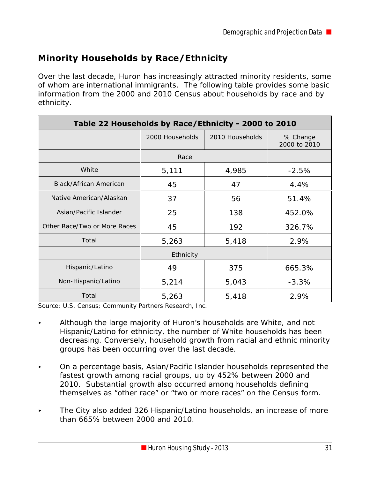## **Minority Households by Race/Ethnicity**

Over the last decade, Huron has increasingly attracted minority residents, some of whom are international immigrants. The following table provides some basic information from the 2000 and 2010 Census about households by race and by ethnicity.

| Table 22 Households by Race/Ethnicity - 2000 to 2010 |                 |                 |                          |  |  |
|------------------------------------------------------|-----------------|-----------------|--------------------------|--|--|
|                                                      | 2000 Households | 2010 Households | % Change<br>2000 to 2010 |  |  |
| Race                                                 |                 |                 |                          |  |  |
| White                                                | 5,111           | 4,985           | $-2.5%$                  |  |  |
| Black/African American                               | 45              | 47              | 4.4%                     |  |  |
| Native American/Alaskan                              | 37              | 56              | 51.4%                    |  |  |
| Asian/Pacific Islander                               | 25              | 138             | 452.0%                   |  |  |
| Other Race/Two or More Races                         | 45              | 192             | 326.7%                   |  |  |
| Total                                                | 5,263           | 5,418           | 2.9%                     |  |  |
| Ethnicity                                            |                 |                 |                          |  |  |
| Hispanic/Latino                                      | 49              | 375             | 665.3%                   |  |  |
| Non-Hispanic/Latino                                  | 5,214           | 5,043           | $-3.3%$                  |  |  |
| Total                                                | 5,263           | 5,418           | 2.9%                     |  |  |

Source: U.S. Census; Community Partners Research, Inc.

- < Although the large majority of Huron's households are White, and not Hispanic/Latino for ethnicity, the number of White households has been decreasing. Conversely, household growth from racial and ethnic minority groups has been occurring over the last decade.
- < On a percentage basis, Asian/Pacific Islander households represented the fastest growth among racial groups, up by 452% between 2000 and 2010. Substantial growth also occurred among households defining themselves as "other race" or "two or more races" on the Census form.
- The City also added 326 Hispanic/Latino households, an increase of more than 665% between 2000 and 2010.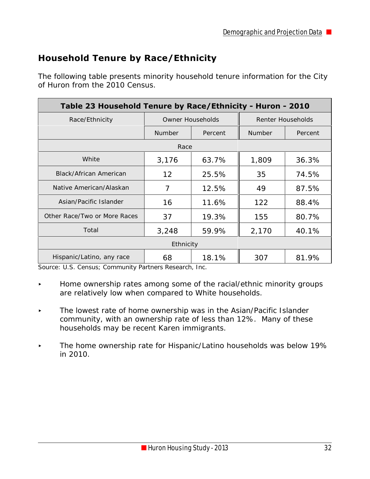## **Household Tenure by Race/Ethnicity**

The following table presents minority household tenure information for the City of Huron from the 2010 Census.

| Table 23 Household Tenure by Race/Ethnicity - Huron - 2010 |                   |         |                   |         |  |
|------------------------------------------------------------|-------------------|---------|-------------------|---------|--|
| Race/Ethnicity                                             | Owner Households  |         | Renter Households |         |  |
|                                                            | Number            | Percent | Number            | Percent |  |
| Race                                                       |                   |         |                   |         |  |
| White                                                      | 3,176             | 63.7%   | 1,809             | 36.3%   |  |
| Black/African American                                     | $12 \overline{ }$ | 25.5%   | 35                | 74.5%   |  |
| Native American/Alaskan                                    | 7                 | 12.5%   | 49                | 87.5%   |  |
| Asian/Pacific Islander                                     | 16                | 11.6%   | 122               | 88.4%   |  |
| Other Race/Two or More Races                               | 37                | 19.3%   | 155               | 80.7%   |  |
| Total                                                      | 3,248             | 59.9%   | 2,170             | 40.1%   |  |
| Ethnicity                                                  |                   |         |                   |         |  |
| Hispanic/Latino, any race                                  | 68                | 18.1%   | 307               | 81.9%   |  |

Source: U.S. Census; Community Partners Research, Inc.

- ▶ Home ownership rates among some of the racial/ethnic minority groups are relatively low when compared to White households.
- **Fig.** The lowest rate of home ownership was in the Asian/Pacific Islander community, with an ownership rate of less than 12%. Many of these households may be recent Karen immigrants.
- $\blacktriangleright$  The home ownership rate for Hispanic/Latino households was below 19% in 2010.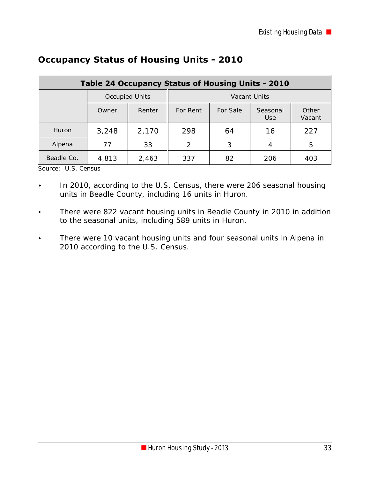| Table 24 Occupancy Status of Housing Units - 2010 |                       |        |              |          |                        |                 |
|---------------------------------------------------|-----------------------|--------|--------------|----------|------------------------|-----------------|
|                                                   | <b>Occupied Units</b> |        | Vacant Units |          |                        |                 |
|                                                   | Owner                 | Renter | For Rent     | For Sale | Seasonal<br><b>Use</b> | Other<br>Vacant |
| Huron                                             | 3,248                 | 2,170  | 298          | 64       | 16                     | 227             |
| Alpena                                            | 77                    | 33     | 2            | 3        | 4                      | 5               |
| Beadle Co.                                        | 4,813                 | 2,463  | 337          | 82       | 206                    | 403             |

#### **Occupancy Status of Housing Units - 2010**

Source: U.S. Census

- In 2010, according to the U.S. Census, there were 206 seasonal housing units in Beadle County, including 16 units in Huron.
- **Fig.** There were 822 vacant housing units in Beadle County in 2010 in addition to the seasonal units, including 589 units in Huron.
- **Fig.** There were 10 vacant housing units and four seasonal units in Alpena in 2010 according to the U.S. Census.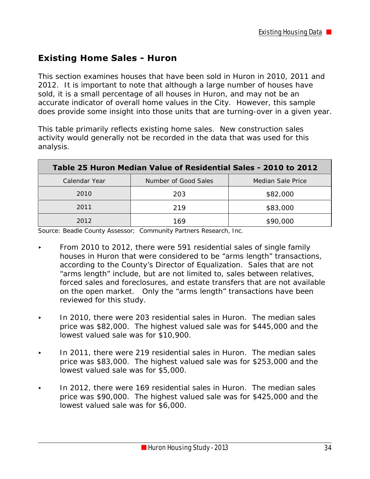#### **Existing Home Sales - Huron**

This section examines houses that have been sold in Huron in 2010, 2011 and 2012. It is important to note that although a large number of houses have sold, it is a small percentage of all houses in Huron, and may not be an accurate indicator of overall home values in the City. However, this sample does provide some insight into those units that are turning-over in a given year.

This table primarily reflects existing home sales. New construction sales activity would generally not be recorded in the data that was used for this analysis.

| Table 25 Huron Median Value of Residential Sales - 2010 to 2012 |                      |                   |  |  |
|-----------------------------------------------------------------|----------------------|-------------------|--|--|
| Calendar Year                                                   | Number of Good Sales | Median Sale Price |  |  |
| 2010                                                            | 203                  | \$82,000          |  |  |
| 2011                                                            | 219                  | \$83,000          |  |  |
| 2012                                                            | 169                  | \$90,000          |  |  |

Source: Beadle County Assessor; Community Partners Research, Inc.

- $\blacktriangleright$  From 2010 to 2012, there were 591 residential sales of single family houses in Huron that were considered to be "arms length" transactions, according to the County's Director of Equalization. Sales that are not "arms length" include, but are not limited to, sales between relatives, forced sales and foreclosures, and estate transfers that are not available on the open market. Only the "arms length" transactions have been reviewed for this study.
- < In 2010, there were 203 residential sales in Huron. The median sales price was \$82,000. The highest valued sale was for \$445,000 and the lowest valued sale was for \$10,900.
- $\blacktriangleright$  In 2011, there were 219 residential sales in Huron. The median sales price was \$83,000. The highest valued sale was for \$253,000 and the lowest valued sale was for \$5,000.
- < In 2012, there were 169 residential sales in Huron. The median sales price was \$90,000. The highest valued sale was for \$425,000 and the lowest valued sale was for \$6,000.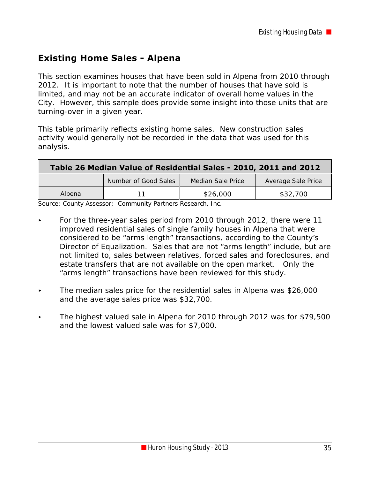#### **Existing Home Sales - Alpena**

This section examines houses that have been sold in Alpena from 2010 through 2012. It is important to note that the number of houses that have sold is limited, and may not be an accurate indicator of overall home values in the City. However, this sample does provide some insight into those units that are turning-over in a given year.

This table primarily reflects existing home sales. New construction sales activity would generally not be recorded in the data that was used for this analysis.

| Table 26 Median Value of Residential Sales - 2010, 2011 and 2012 |                      |                   |                           |  |
|------------------------------------------------------------------|----------------------|-------------------|---------------------------|--|
|                                                                  | Number of Good Sales | Median Sale Price | <b>Average Sale Price</b> |  |
| Alpena                                                           | 11                   | \$26,000          | \$32,700                  |  |

Source: County Assessor; Community Partners Research, Inc.

- $\triangleright$  For the three-year sales period from 2010 through 2012, there were 11 improved residential sales of single family houses in Alpena that were considered to be "arms length" transactions, according to the County's Director of Equalization. Sales that are not "arms length" include, but are not limited to, sales between relatives, forced sales and foreclosures, and estate transfers that are not available on the open market. Only the "arms length" transactions have been reviewed for this study.
- $\blacktriangleright$  The median sales price for the residential sales in Alpena was \$26,000 and the average sales price was \$32,700.
- The highest valued sale in Alpena for 2010 through 2012 was for \$79,500 and the lowest valued sale was for \$7,000.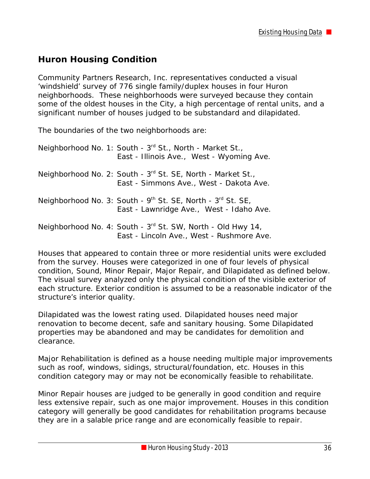## **Huron Housing Condition**

Community Partners Research, Inc. representatives conducted a visual 'windshield' survey of 776 single family/duplex houses in four Huron neighborhoods. These neighborhoods were surveyed because they contain some of the oldest houses in the City, a high percentage of rental units, and a significant number of houses judged to be substandard and dilapidated.

The boundaries of the two neighborhoods are:

| Neighborhood No. 1: South - 3rd St., North - Market St.,<br>East - Illinois Ave., West - Wyoming Ave.                           |
|---------------------------------------------------------------------------------------------------------------------------------|
| Neighborhood No. 2: South - 3 <sup>rd</sup> St. SE, North - Market St.,<br>East - Simmons Ave., West - Dakota Ave.              |
| Neighborhood No. 3: South - 9 <sup>th</sup> St. SE, North - 3 <sup>rd</sup> St. SE,<br>East - Lawnridge Ave., West - Idaho Ave. |
| Neighborhood No. 4: South - 3rd St. SW, North - Old Hwy 14,<br>East - Lincoln Ave., West - Rushmore Ave.                        |

Houses that appeared to contain three or more residential units were excluded from the survey. Houses were categorized in one of four levels of physical condition, Sound, Minor Repair, Major Repair, and Dilapidated as defined below. The visual survey analyzed only the physical condition of the visible exterior of each structure. Exterior condition is assumed to be a reasonable indicator of the structure's interior quality.

Dilapidated was the lowest rating used. Dilapidated houses need major renovation to become decent, safe and sanitary housing. Some Dilapidated properties may be abandoned and may be candidates for demolition and clearance.

Major Rehabilitation is defined as a house needing multiple major improvements such as roof, windows, sidings, structural/foundation, etc. Houses in this condition category may or may not be economically feasible to rehabilitate.

Minor Repair houses are judged to be generally in good condition and require less extensive repair, such as one major improvement. Houses in this condition category will generally be good candidates for rehabilitation programs because they are in a salable price range and are economically feasible to repair.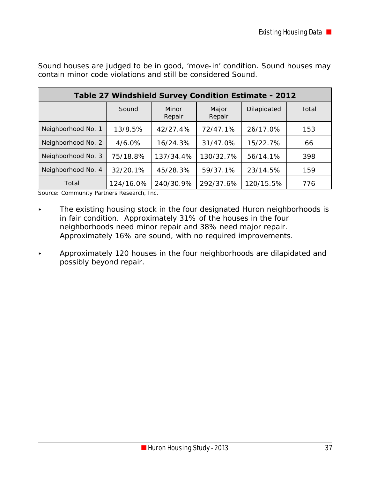$\blacksquare$ 

Sound houses are judged to be in good, 'move-in' condition. Sound houses may contain minor code violations and still be considered Sound.

| Table 27 Windshield Survey Condition Estimate - 2012 |           |                 |                 |             |       |  |  |  |
|------------------------------------------------------|-----------|-----------------|-----------------|-------------|-------|--|--|--|
|                                                      | Sound     | Minor<br>Repair | Major<br>Repair | Dilapidated | Total |  |  |  |
| Neighborhood No. 1                                   | 13/8.5%   | 42/27.4%        | 72/47.1%        | 26/17.0%    | 153   |  |  |  |
| Neighborhood No. 2                                   | $4/6.0\%$ | 16/24.3%        | 31/47.0%        | 15/22.7%    | 66    |  |  |  |
| Neighborhood No. 3                                   | 75/18.8%  | 137/34.4%       | 130/32.7%       | 56/14.1%    | 398   |  |  |  |
| Neighborhood No. 4                                   | 32/20.1%  | 45/28.3%        | 59/37.1%        | 23/14.5%    | 159   |  |  |  |
| Total                                                | 124/16.0% | 240/30.9%       | 292/37.6%       | 120/15.5%   | 776   |  |  |  |

Source: Community Partners Research, Inc.

 $\blacksquare$ 

- $\blacktriangleright$  The existing housing stock in the four designated Huron neighborhoods is in fair condition. Approximately 31% of the houses in the four neighborhoods need minor repair and 38% need major repair. Approximately 16% are sound, with no required improvements.
- < Approximately 120 houses in the four neighborhoods are dilapidated and possibly beyond repair.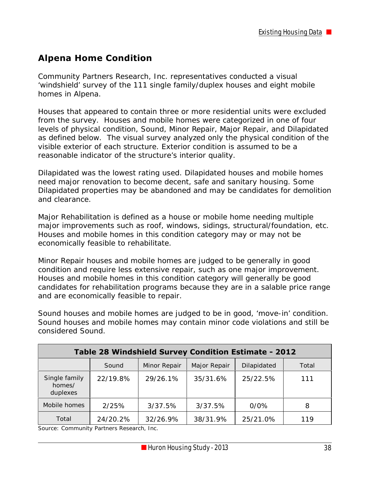# **Alpena Home Condition**

Community Partners Research, Inc. representatives conducted a visual 'windshield' survey of the 111 single family/duplex houses and eight mobile homes in Alpena.

Houses that appeared to contain three or more residential units were excluded from the survey. Houses and mobile homes were categorized in one of four levels of physical condition, Sound, Minor Repair, Major Repair, and Dilapidated as defined below. The visual survey analyzed only the physical condition of the visible exterior of each structure. Exterior condition is assumed to be a reasonable indicator of the structure's interior quality.

Dilapidated was the lowest rating used. Dilapidated houses and mobile homes need major renovation to become decent, safe and sanitary housing. Some Dilapidated properties may be abandoned and may be candidates for demolition and clearance.

Major Rehabilitation is defined as a house or mobile home needing multiple major improvements such as roof, windows, sidings, structural/foundation, etc. Houses and mobile homes in this condition category may or may not be economically feasible to rehabilitate.

Minor Repair houses and mobile homes are judged to be generally in good condition and require less extensive repair, such as one major improvement. Houses and mobile homes in this condition category will generally be good candidates for rehabilitation programs because they are in a salable price range and are economically feasible to repair.

Sound houses and mobile homes are judged to be in good, 'move-in' condition. Sound houses and mobile homes may contain minor code violations and still be considered Sound.

| Table 28 Windshield Survey Condition Estimate - 2012 |          |              |              |             |       |  |  |  |
|------------------------------------------------------|----------|--------------|--------------|-------------|-------|--|--|--|
|                                                      | Sound    | Minor Repair | Major Repair | Dilapidated | Total |  |  |  |
| Single family<br>homes/<br>duplexes                  | 22/19.8% | 29/26.1%     | 35/31.6%     | 25/22.5%    | 111   |  |  |  |
| Mobile homes                                         | 2/25%    | 3/37.5%      | 3/37.5%      | $0/0\%$     | 8     |  |  |  |
| Total                                                | 24/20.2% | 32/26.9%     | 38/31.9%     | 25/21.0%    | 119   |  |  |  |

Source: Community Partners Research, Inc.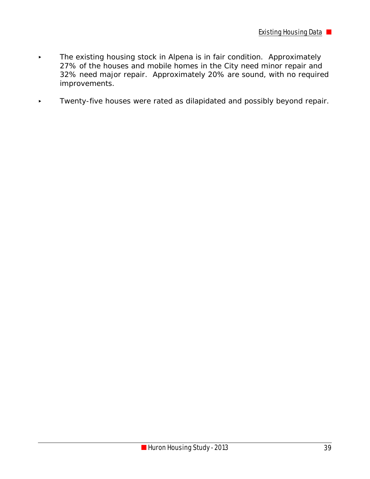- The existing housing stock in Alpena is in fair condition. Approximately 27% of the houses and mobile homes in the City need minor repair and 32% need major repair. Approximately 20% are sound, with no required improvements.
- Twenty-five houses were rated as dilapidated and possibly beyond repair.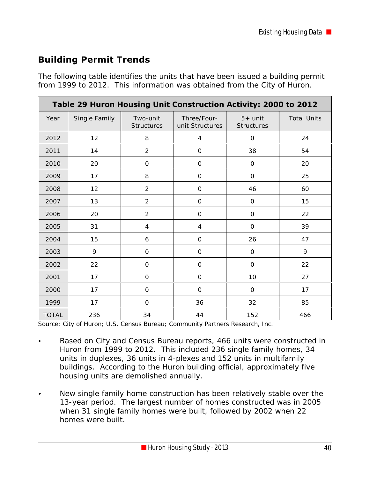# **Building Permit Trends**

The following table identifies the units that have been issued a building permit from 1999 to 2012. This information was obtained from the City of Huron.

| Table 29 Huron Housing Unit Construction Activity: 2000 to 2012 |               |                               |                                |                                |                    |  |  |
|-----------------------------------------------------------------|---------------|-------------------------------|--------------------------------|--------------------------------|--------------------|--|--|
| Year                                                            | Single Family | Two-unit<br><b>Structures</b> | Three/Four-<br>unit Structures | $5+$ unit<br><b>Structures</b> | <b>Total Units</b> |  |  |
| 2012                                                            | 12            | 8                             | $\overline{4}$                 | $\mathbf 0$                    | 24                 |  |  |
| 2011                                                            | 14            | $\overline{2}$                | $\mathbf 0$                    | 38                             | 54                 |  |  |
| 2010                                                            | 20            | $\mathbf 0$                   | $\mathbf 0$                    | $\mathbf 0$                    | 20                 |  |  |
| 2009                                                            | 17            | 8                             | $\mathbf 0$                    | $\mathbf 0$                    | 25                 |  |  |
| 2008                                                            | 12            | $\overline{2}$                | $\mathbf{O}$                   | 46                             | 60                 |  |  |
| 2007                                                            | 13            | $\overline{2}$                | $\mathbf 0$                    | $\overline{O}$                 | 15                 |  |  |
| 2006                                                            | 20            | $\overline{2}$                | $\mathbf 0$                    | $\mathcal{O}$                  | 22                 |  |  |
| 2005                                                            | 31            | $\overline{4}$                | $\overline{4}$                 | $\overline{O}$                 | 39                 |  |  |
| 2004                                                            | 15            | 6                             | $\mathcal{O}$                  | 26                             | 47                 |  |  |
| 2003                                                            | 9             | $\overline{O}$                | $\mathbf{O}$                   | $\mathbf{O}$                   | 9                  |  |  |
| 2002                                                            | 22            | $\mathbf 0$                   | $\mathcal{O}$                  | $\mathbf 0$                    | 22                 |  |  |
| 2001                                                            | 17            | $\mathbf 0$                   | $\mathsf O$                    | 10                             | 27                 |  |  |
| 2000                                                            | 17            | $\mathbf 0$                   | $\mathbf{O}$                   | $\mathcal{O}$                  | 17                 |  |  |
| 1999                                                            | 17            | $\overline{O}$                | 36                             | 32                             | 85                 |  |  |
| <b>TOTAL</b>                                                    | 236           | 34                            | 44                             | 152                            | 466                |  |  |

Source: City of Huron; U.S. Census Bureau; Community Partners Research, Inc.

- < Based on City and Census Bureau reports, 466 units were constructed in Huron from 1999 to 2012. This included 236 single family homes, 34 units in duplexes, 36 units in 4-plexes and 152 units in multifamily buildings. According to the Huron building official, approximately five housing units are demolished annually.
- $\blacktriangleright$  New single family home construction has been relatively stable over the 13-year period. The largest number of homes constructed was in 2005 when 31 single family homes were built, followed by 2002 when 22 homes were built.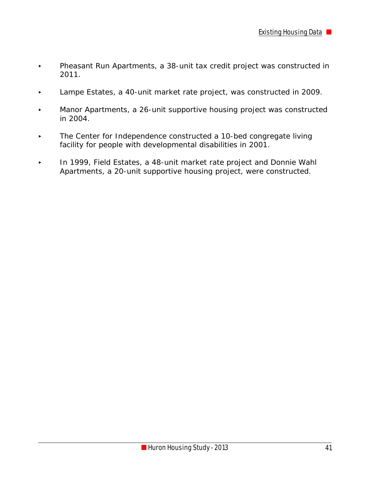- < Pheasant Run Apartments, a 38-unit tax credit project was constructed in 2011.
- < Lampe Estates, a 40-unit market rate project, was constructed in 2009.
- < Manor Apartments, a 26-unit supportive housing project was constructed in 2004.
- The Center for Independence constructed a 10-bed congregate living facility for people with developmental disabilities in 2001.
- < In 1999, Field Estates, a 48-unit market rate project and Donnie Wahl Apartments, a 20-unit supportive housing project, were constructed.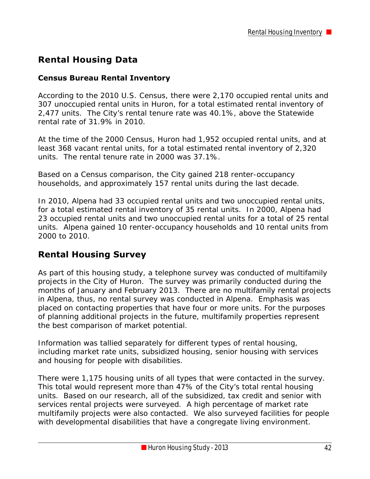## **Rental Housing Data**

#### **Census Bureau Rental Inventory**

According to the 2010 U.S. Census, there were 2,170 occupied rental units and 307 unoccupied rental units in Huron, for a total estimated rental inventory of 2,477 units. The City's rental tenure rate was 40.1%, above the Statewide rental rate of 31.9% in 2010.

At the time of the 2000 Census, Huron had 1,952 occupied rental units, and at least 368 vacant rental units, for a total estimated rental inventory of 2,320 units. The rental tenure rate in 2000 was 37.1%.

Based on a Census comparison, the City gained 218 renter-occupancy households, and approximately 157 rental units during the last decade.

In 2010, Alpena had 33 occupied rental units and two unoccupied rental units, for a total estimated rental inventory of 35 rental units. In 2000, Alpena had 23 occupied rental units and two unoccupied rental units for a total of 25 rental units. Alpena gained 10 renter-occupancy households and 10 rental units from 2000 to 2010.

#### **Rental Housing Survey**

As part of this housing study, a telephone survey was conducted of multifamily projects in the City of Huron. The survey was primarily conducted during the months of January and February 2013. There are no multifamily rental projects in Alpena, thus, no rental survey was conducted in Alpena. Emphasis was placed on contacting properties that have four or more units. For the purposes of planning additional projects in the future, multifamily properties represent the best comparison of market potential.

Information was tallied separately for different types of rental housing, including market rate units, subsidized housing, senior housing with services and housing for people with disabilities.

There were 1,175 housing units of all types that were contacted in the survey. This total would represent more than 47% of the City's total rental housing units. Based on our research, all of the subsidized, tax credit and senior with services rental projects were surveyed. A high percentage of market rate multifamily projects were also contacted. We also surveyed facilities for people with developmental disabilities that have a congregate living environment.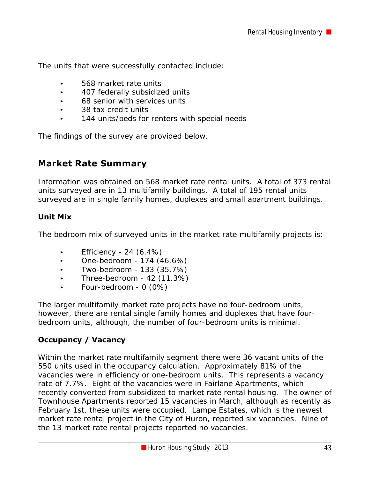The units that were successfully contacted include:

- $\overline{\phantom{0}}$  568 market rate units
- ▶ 407 federally subsidized units
- 68 senior with services units
- < 38 tax credit units
- $\sim$  144 units/beds for renters with special needs

The findings of the survey are provided below.

#### **Market Rate Summary**

Information was obtained on 568 market rate rental units. A total of 373 rental units surveyed are in 13 multifamily buildings. A total of 195 rental units surveyed are in single family homes, duplexes and small apartment buildings.

#### **Unit Mix**

The bedroom mix of surveyed units in the market rate multifamily projects is:

- Efficiency 24  $(6.4\%)$
- $\triangleright$  One-bedroom 174 (46.6%)
- < Two-bedroom 133 (35.7%)
- $\blacktriangleright$  Three-bedroom 42 (11.3%)
- < Four-bedroom 0 (0%)

The larger multifamily market rate projects have no four-bedroom units, however, there are rental single family homes and duplexes that have fourbedroom units, although, the number of four-bedroom units is minimal.

#### **Occupancy / Vacancy**

Within the market rate multifamily segment there were 36 vacant units of the 550 units used in the occupancy calculation. Approximately 81% of the vacancies were in efficiency or one-bedroom units. This represents a vacancy rate of 7.7%. Eight of the vacancies were in Fairlane Apartments, which recently converted from subsidized to market rate rental housing. The owner of Townhouse Apartments reported 15 vacancies in March, although as recently as February 1st, these units were occupied. Lampe Estates, which is the newest market rate rental project in the City of Huron, reported six vacancies. Nine of the 13 market rate rental projects reported no vacancies.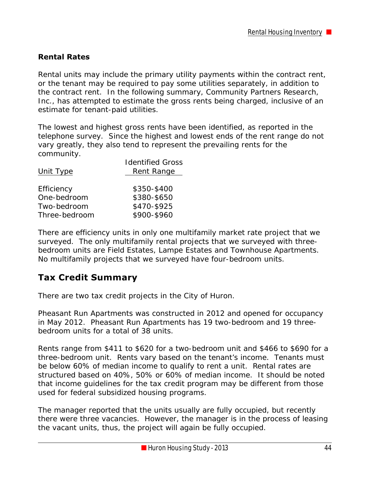#### **Rental Rates**

Rental units may include the primary utility payments within the contract rent, or the tenant may be required to pay some utilities separately, in addition to the contract rent. In the following summary, Community Partners Research, Inc., has attempted to estimate the gross rents being charged, inclusive of an estimate for tenant-paid utilities.

The lowest and highest gross rents have been identified, as reported in the telephone survey. Since the highest and lowest ends of the rent range do not vary greatly, they also tend to represent the prevailing rents for the community.

|               | <b>Identified Gross</b> |  |
|---------------|-------------------------|--|
| Unit Type     | Rent Range              |  |
|               |                         |  |
| Efficiency    | \$350-\$400             |  |
| One-bedroom   | \$380-\$650             |  |
| Two-bedroom   | \$470-\$925             |  |
| Three-bedroom | \$900-\$960             |  |
|               |                         |  |

There are efficiency units in only one multifamily market rate project that we surveyed. The only multifamily rental projects that we surveyed with threebedroom units are Field Estates, Lampe Estates and Townhouse Apartments. No multifamily projects that we surveyed have four-bedroom units.

#### **Tax Credit Summary**

There are two tax credit projects in the City of Huron.

Pheasant Run Apartments was constructed in 2012 and opened for occupancy in May 2012. Pheasant Run Apartments has 19 two-bedroom and 19 threebedroom units for a total of 38 units.

Rents range from \$411 to \$620 for a two-bedroom unit and \$466 to \$690 for a three-bedroom unit. Rents vary based on the tenant's income. Tenants must be below 60% of median income to qualify to rent a unit. Rental rates are structured based on 40%, 50% or 60% of median income. It should be noted that income guidelines for the tax credit program may be different from those used for federal subsidized housing programs.

The manager reported that the units usually are fully occupied, but recently there were three vacancies. However, the manager is in the process of leasing the vacant units, thus, the project will again be fully occupied.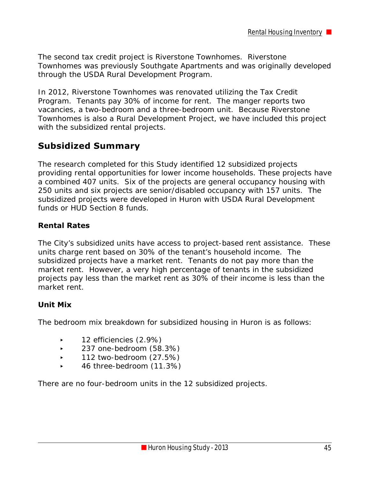The second tax credit project is Riverstone Townhomes. Riverstone Townhomes was previously Southgate Apartments and was originally developed through the USDA Rural Development Program.

In 2012, Riverstone Townhomes was renovated utilizing the Tax Credit Program. Tenants pay 30% of income for rent. The manger reports two vacancies, a two-bedroom and a three-bedroom unit. Because Riverstone Townhomes is also a Rural Development Project, we have included this project with the subsidized rental projects.

#### **Subsidized Summary**

The research completed for this Study identified 12 subsidized projects providing rental opportunities for lower income households. These projects have a combined 407 units. Six of the projects are general occupancy housing with 250 units and six projects are senior/disabled occupancy with 157 units. The subsidized projects were developed in Huron with USDA Rural Development funds or HUD Section 8 funds.

#### **Rental Rates**

The City's subsidized units have access to project-based rent assistance. These units charge rent based on 30% of the tenant's household income. The subsidized projects have a market rent. Tenants do not pay more than the market rent. However, a very high percentage of tenants in the subsidized projects pay less than the market rent as 30% of their income is less than the market rent.

#### **Unit Mix**

The bedroom mix breakdown for subsidized housing in Huron is as follows:

- < 12 efficiencies (2.9%)
- $\sim$  237 one-bedroom (58.3%)
- < 112 two-bedroom (27.5%)
- $\blacktriangleright$  46 three-bedroom (11.3%)

There are no four-bedroom units in the 12 subsidized projects.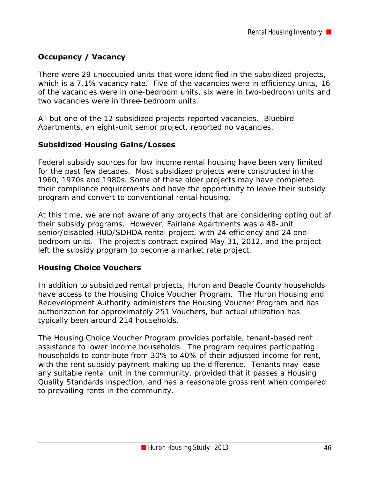#### **Occupancy / Vacancy**

There were 29 unoccupied units that were identified in the subsidized projects, which is a 7.1% vacancy rate. Five of the vacancies were in efficiency units, 16 of the vacancies were in one-bedroom units, six were in two-bedroom units and two vacancies were in three-bedroom units.

All but one of the 12 subsidized projects reported vacancies. Bluebird Apartments, an eight-unit senior project, reported no vacancies.

#### **Subsidized Housing Gains/Losses**

Federal subsidy sources for low income rental housing have been very limited for the past few decades. Most subsidized projects were constructed in the 1960, 1970s and 1980s. Some of these older projects may have completed their compliance requirements and have the opportunity to leave their subsidy program and convert to conventional rental housing.

At this time, we are not aware of any projects that are considering opting out of their subsidy programs. However, Fairlane Apartments was a 48-unit senior/disabled HUD/SDHDA rental project, with 24 efficiency and 24 onebedroom units. The project's contract expired May 31, 2012, and the project left the subsidy program to become a market rate project.

#### **Housing Choice Vouchers**

In addition to subsidized rental projects, Huron and Beadle County households have access to the Housing Choice Voucher Program. The Huron Housing and Redevelopment Authority administers the Housing Voucher Program and has authorization for approximately 251 Vouchers, but actual utilization has typically been around 214 households.

The Housing Choice Voucher Program provides portable, tenant-based rent assistance to lower income households. The program requires participating households to contribute from 30% to 40% of their adjusted income for rent, with the rent subsidy payment making up the difference. Tenants may lease any suitable rental unit in the community, provided that it passes a Housing Quality Standards inspection, and has a reasonable gross rent when compared to prevailing rents in the community.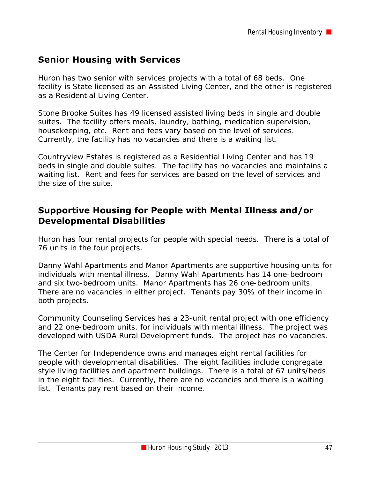#### **Senior Housing with Services**

Huron has two senior with services projects with a total of 68 beds. One facility is State licensed as an Assisted Living Center, and the other is registered as a Residential Living Center.

Stone Brooke Suites has 49 licensed assisted living beds in single and double suites. The facility offers meals, laundry, bathing, medication supervision, housekeeping, etc. Rent and fees vary based on the level of services. Currently, the facility has no vacancies and there is a waiting list.

Countryview Estates is registered as a Residential Living Center and has 19 beds in single and double suites. The facility has no vacancies and maintains a waiting list. Rent and fees for services are based on the level of services and the size of the suite.

#### **Supportive Housing for People with Mental Illness and/or Developmental Disabilities**

Huron has four rental projects for people with special needs. There is a total of 76 units in the four projects.

Danny Wahl Apartments and Manor Apartments are supportive housing units for individuals with mental illness. Danny Wahl Apartments has 14 one-bedroom and six two-bedroom units. Manor Apartments has 26 one-bedroom units. There are no vacancies in either project. Tenants pay 30% of their income in both projects.

Community Counseling Services has a 23-unit rental project with one efficiency and 22 one-bedroom units, for individuals with mental illness. The project was developed with USDA Rural Development funds. The project has no vacancies.

The Center for Independence owns and manages eight rental facilities for people with developmental disabilities. The eight facilities include congregate style living facilities and apartment buildings. There is a total of 67 units/beds in the eight facilities. Currently, there are no vacancies and there is a waiting list. Tenants pay rent based on their income.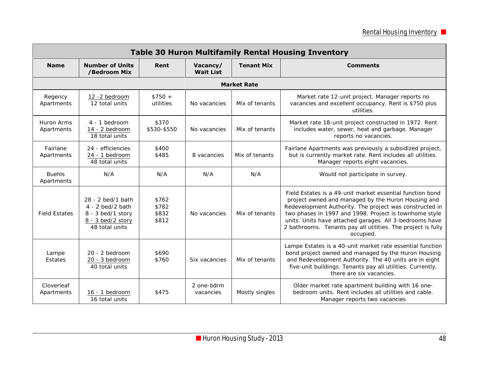| <b>Table 30 Huron Multifamily Rental Housing Inventory</b> |                                                                                                     |                                  |                              |                    |                                                                                                                                                                                                                                                                                                                                                                              |  |  |
|------------------------------------------------------------|-----------------------------------------------------------------------------------------------------|----------------------------------|------------------------------|--------------------|------------------------------------------------------------------------------------------------------------------------------------------------------------------------------------------------------------------------------------------------------------------------------------------------------------------------------------------------------------------------------|--|--|
| <b>Name</b>                                                | <b>Number of Units</b><br>/Bedroom Mix                                                              | Rent                             | Vacancy/<br><b>Wait List</b> | <b>Tenant Mix</b>  | <b>Comments</b>                                                                                                                                                                                                                                                                                                                                                              |  |  |
|                                                            |                                                                                                     |                                  |                              | <b>Market Rate</b> |                                                                                                                                                                                                                                                                                                                                                                              |  |  |
| Regency<br>Apartments                                      | 12 -2 bedroom<br>12 total units                                                                     | $$750 +$<br>utilities            | No vacancies                 | Mix of tenants     | Market rate 12-unit project. Manager reports no<br>vacancies and excellent occupancy. Rent is \$750 plus<br>utilities.                                                                                                                                                                                                                                                       |  |  |
| Huron Arms<br>Apartments                                   | 4 - 1 bedroom<br>14 - 2 bedroom<br>18 total units                                                   | \$370<br>\$530-\$550             | No vacancies                 | Mix of tenants     | Market rate 18-unit project constructed in 1972. Rent<br>includes water, sewer, heat and garbage. Manager<br>reports no vacancies.                                                                                                                                                                                                                                           |  |  |
| Fairlane<br>Apartments                                     | 24 - efficiencies<br>24 - 1 bedroom<br>48 total units                                               | \$400<br>\$485                   | 8 vacancies                  | Mix of tenants     | Fairlane Apartments was previously a subsidized project,<br>but is currently market rate. Rent includes all utilities.<br>Manager reports eight vacancies.                                                                                                                                                                                                                   |  |  |
| <b>Buehls</b><br>Apartments                                | N/A                                                                                                 | N/A                              | N/A                          | N/A                | Would not participate in survey.                                                                                                                                                                                                                                                                                                                                             |  |  |
| <b>Field Estates</b>                                       | 28 - 2 bed/1 bath<br>$4 - 2$ bed/2 bath<br>8 - 3 bed/1 story<br>8 - 3 bed/2 story<br>48 total units | \$762<br>\$782<br>\$832<br>\$812 | No vacancies                 | Mix of tenants     | Field Estates is a 49-unit market essential function bond<br>project owned and managed by the Huron Housing and<br>Redevelopment Authority. The project was constructed in<br>two phases in 1997 and 1998. Project is townhome style<br>units. Units have attached garages. All 3-bedrooms have<br>2 bathrooms. Tenants pay all utilities. The project is fully<br>occupied. |  |  |
| Lampe<br>Estates                                           | $20 - 2$ bedroom<br>20 - 3 bedroom<br>40 total units                                                | \$690<br>\$760                   | Six vacancies                | Mix of tenants     | Lampe Estates is a 40-unit market rate essential function<br>bond project owned and managed by the Huron Housing<br>and Redevelopment Authority. The 40 units are in eight<br>five-unit buildings. Tenants pay all utilities. Currently,<br>there are six vacancies.                                                                                                         |  |  |
| Cloverleaf<br>Apartments                                   | 16 - 1 bedroom<br>16 total units                                                                    | \$475                            | 2 one-bdrm<br>vacancies      | Mostly singles     | Older market rate apartment building with 16 one-<br>bedroom units. Rent includes all utilities and cable.<br>Manager reports two vacancies                                                                                                                                                                                                                                  |  |  |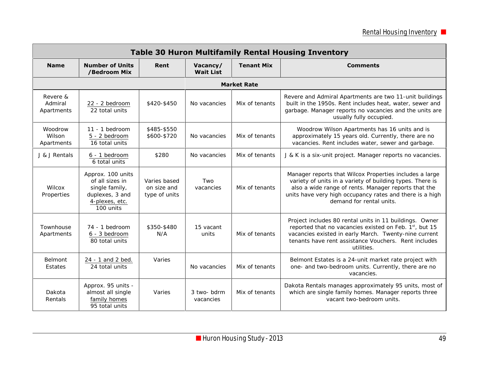| <b>Table 30 Huron Multifamily Rental Housing Inventory</b> |                                                                                                          |                                              |                              |                    |                                                                                                                                                                                                                                                                      |  |  |
|------------------------------------------------------------|----------------------------------------------------------------------------------------------------------|----------------------------------------------|------------------------------|--------------------|----------------------------------------------------------------------------------------------------------------------------------------------------------------------------------------------------------------------------------------------------------------------|--|--|
| <b>Name</b>                                                | <b>Number of Units</b><br>/Bedroom Mix                                                                   | Rent                                         | Vacancy/<br><b>Wait List</b> | <b>Tenant Mix</b>  | <b>Comments</b>                                                                                                                                                                                                                                                      |  |  |
|                                                            |                                                                                                          |                                              |                              | <b>Market Rate</b> |                                                                                                                                                                                                                                                                      |  |  |
| Revere &<br>Admiral<br>Apartments                          | 22 - 2 bedroom<br>22 total units                                                                         | \$420-\$450                                  | No vacancies                 | Mix of tenants     | Revere and Admiral Apartments are two 11-unit buildings<br>built in the 1950s. Rent includes heat, water, sewer and<br>garbage. Manager reports no vacancies and the units are<br>usually fully occupied.                                                            |  |  |
| Woodrow<br>Wilson<br>Apartments                            | $11 - 1$ bedroom<br>5 - 2 bedroom<br>16 total units                                                      | \$485-\$550<br>\$600-\$720                   | No vacancies                 | Mix of tenants     | Woodrow Wilson Apartments has 16 units and is<br>approximately 15 years old. Currently, there are no<br>vacancies. Rent includes water, sewer and garbage.                                                                                                           |  |  |
| J & J Rentals                                              | $6 - 1$ bedroom<br>6 total units                                                                         | \$280                                        | No vacancies                 | Mix of tenants     | J & K is a six-unit project. Manager reports no vacancies.                                                                                                                                                                                                           |  |  |
| Wilcox<br>Properties                                       | Approx. 100 units<br>of all sizes in<br>single family,<br>duplexes, 3 and<br>4-plexes, etc.<br>100 units | Varies based<br>on size and<br>type of units | Two<br>vacancies             | Mix of tenants     | Manager reports that Wilcox Properties includes a large<br>variety of units in a variety of building types. There is<br>also a wide range of rents. Manager reports that the<br>units have very high occupancy rates and there is a high<br>demand for rental units. |  |  |
| Townhouse<br>Apartments                                    | 74 - 1 bedroom<br>6 - 3 bedroom<br>80 total units                                                        | \$350-\$480<br>N/A                           | 15 vacant<br>units           | Mix of tenants     | Project includes 80 rental units in 11 buildings. Owner<br>reported that no vacancies existed on Feb. 1 <sup>st</sup> , but 15<br>vacancies existed in early March. Twenty-nine current<br>tenants have rent assistance Vouchers. Rent includes<br>utilities.        |  |  |
| Belmont<br>Estates                                         | 24 - 1 and 2 bed.<br>24 total units                                                                      | Varies                                       | No vacancies                 | Mix of tenants     | Belmont Estates is a 24-unit market rate project with<br>one- and two-bedroom units. Currently, there are no<br>vacancies.                                                                                                                                           |  |  |
| Dakota<br>Rentals                                          | Approx. 95 units -<br>almost all single<br>family homes<br>95 total units                                | Varies                                       | 3 two-bdrm<br>vacancies      | Mix of tenants     | Dakota Rentals manages approximately 95 units, most of<br>which are single family homes. Manager reports three<br>vacant two-bedroom units.                                                                                                                          |  |  |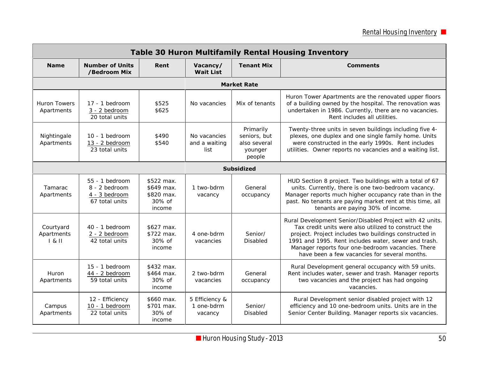| <b>Table 30 Huron Multifamily Rental Housing Inventory</b> |                                                                      |                                                            |                                         |                                                                |                                                                                                                                                                                                                                                                                                                                          |  |  |  |  |
|------------------------------------------------------------|----------------------------------------------------------------------|------------------------------------------------------------|-----------------------------------------|----------------------------------------------------------------|------------------------------------------------------------------------------------------------------------------------------------------------------------------------------------------------------------------------------------------------------------------------------------------------------------------------------------------|--|--|--|--|
| <b>Name</b>                                                | <b>Number of Units</b><br>/Bedroom Mix                               | Rent                                                       | Vacancy/<br><b>Wait List</b>            | <b>Tenant Mix</b>                                              | <b>Comments</b>                                                                                                                                                                                                                                                                                                                          |  |  |  |  |
| <b>Market Rate</b>                                         |                                                                      |                                                            |                                         |                                                                |                                                                                                                                                                                                                                                                                                                                          |  |  |  |  |
| <b>Huron Towers</b><br>Apartments                          | $17 - 1$ bedroom<br>3 - 2 bedroom<br>20 total units                  | \$525<br>\$625                                             | No vacancies                            | Mix of tenants                                                 | Huron Tower Apartments are the renovated upper floors<br>of a building owned by the hospital. The renovation was<br>undertaken in 1986. Currently, there are no vacancies.<br>Rent includes all utilities.                                                                                                                               |  |  |  |  |
| Nightingale<br>Apartments                                  | $10 - 1$ bedroom<br>13 - 2 bedroom<br>23 total units                 | \$490<br>\$540                                             | No vacancies<br>and a waiting<br>list   | Primarily<br>seniors, but<br>also several<br>younger<br>people | Twenty-three units in seven buildings including five 4-<br>plexes, one duplex and one single family home. Units<br>were constructed in the early 1990s. Rent includes<br>utilities. Owner reports no vacancies and a waiting list.                                                                                                       |  |  |  |  |
|                                                            |                                                                      |                                                            |                                         | <b>Subsidized</b>                                              |                                                                                                                                                                                                                                                                                                                                          |  |  |  |  |
| <b>Tamarac</b><br>Apartments                               | $55 - 1$ bedroom<br>8 - 2 bedroom<br>4 - 3 bedroom<br>67 total units | \$522 max.<br>\$649 max.<br>\$820 max.<br>30% of<br>income | 1 two-bdrm<br>vacancy                   | General<br>occupancy                                           | HUD Section 8 project. Two buildings with a total of 67<br>units. Currently, there is one two-bedroom vacancy.<br>Manager reports much higher occupancy rate than in the<br>past. No tenants are paying market rent at this time, all<br>tenants are paying 30% of income.                                                               |  |  |  |  |
| Courtyard<br>Apartments<br>$1 & 8$ II                      | 40 - 1 bedroom<br>2 - 2 bedroom<br>42 total units                    | \$627 max.<br>\$722 max.<br>30% of<br>income               | 4 one-bdrm<br>vacancies                 | Senior/<br>Disabled                                            | Rural Development Senior/Disabled Project with 42 units.<br>Tax credit units were also utilized to construct the<br>project. Project includes two buildings constructed in<br>1991 and 1995. Rent includes water, sewer and trash.<br>Manager reports four one-bedroom vacancies. There<br>have been a few vacancies for several months. |  |  |  |  |
| Huron<br>Apartments                                        | $15 - 1$ bedroom<br>44 - 2 bedroom<br>59 total units                 | \$432 max.<br>\$464 max.<br>$30\%$ of<br>income            | 2 two-bdrm<br>vacancies                 | General<br>occupancy                                           | Rural Development general occupancy with 59 units.<br>Rent includes water, sewer and trash. Manager reports<br>two vacancies and the project has had ongoing<br>vacancies.                                                                                                                                                               |  |  |  |  |
| Campus<br>Apartments                                       | 12 - Efficiency<br>10 - 1 bedroom<br>22 total units                  | \$660 max.<br>\$701 max.<br>30% of<br>income               | 5 Efficiency &<br>1 one-bdrm<br>vacancy | Senior/<br>Disabled                                            | Rural Development senior disabled project with 12<br>efficiency and 10 one-bedroom units. Units are in the<br>Senior Center Building. Manager reports six vacancies.                                                                                                                                                                     |  |  |  |  |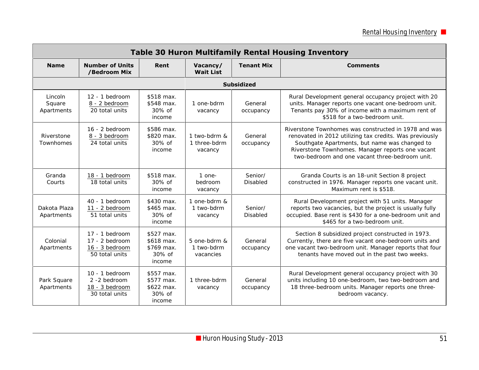| <b>Table 30 Huron Multifamily Rental Housing Inventory</b> |                                                                          |                                                               |                                         |                            |                                                                                                                                                                                                                                                                        |  |  |
|------------------------------------------------------------|--------------------------------------------------------------------------|---------------------------------------------------------------|-----------------------------------------|----------------------------|------------------------------------------------------------------------------------------------------------------------------------------------------------------------------------------------------------------------------------------------------------------------|--|--|
| <b>Name</b>                                                | <b>Number of Units</b><br>/Bedroom Mix                                   | Rent                                                          | Vacancy/<br><b>Wait List</b>            | <b>Tenant Mix</b>          | <b>Comments</b>                                                                                                                                                                                                                                                        |  |  |
|                                                            |                                                                          |                                                               |                                         | <b>Subsidized</b>          |                                                                                                                                                                                                                                                                        |  |  |
| Lincoln<br>Square<br>Apartments                            | $12 - 1$ bedroom<br>8 - 2 bedroom<br>20 total units                      | \$518 max.<br>\$548 max.<br>$30\%$ of<br>income               | 1 one-bdrm<br>vacancy                   | General<br>occupancy       | Rural Development general occupancy project with 20<br>units. Manager reports one vacant one-bedroom unit.<br>Tenants pay 30% of income with a maximum rent of<br>\$518 for a two-bedroom unit.                                                                        |  |  |
| Riverstone<br>Townhomes                                    | $16 - 2$ bedroom<br>8 - 3 bedroom<br>24 total units                      | \$586 max.<br>\$820 max.<br>$30\%$ of<br>income               | 1 two-bdrm &<br>1 three-bdrm<br>vacancy | General<br>occupancy       | Riverstone Townhomes was constructed in 1978 and was<br>renovated in 2012 utilizing tax credits. Was previously<br>Southgate Apartments, but name was changed to<br>Riverstone Townhomes. Manager reports one vacant<br>two-bedroom and one vacant three-bedroom unit. |  |  |
| Granda<br>Courts                                           | 18 - 1 bedroom<br>18 total units                                         | \$518 max.<br>$30\%$ of<br>income                             | $1$ one-<br>bedroom<br>vacancy          | Senior/<br><b>Disabled</b> | Granda Courts is an 18-unit Section 8 project<br>constructed in 1976. Manager reports one vacant unit.<br>Maximum rent is \$518.                                                                                                                                       |  |  |
| Dakota Plaza<br>Apartments                                 | $40 - 1$ bedroom<br>11 - 2 bedroom<br>51 total units                     | \$430 max.<br>\$465 max.<br>30% of<br>income                  | 1 one-bdrm &<br>1 two-bdrm<br>vacancy   | Senior/<br><b>Disabled</b> | Rural Development project with 51 units. Manager<br>reports two vacancies, but the project is usually fully<br>occupied. Base rent is \$430 for a one-bedroom unit and<br>\$465 for a two-bedroom unit.                                                                |  |  |
| Colonial<br>Apartments                                     | $17 - 1$ bedroom<br>$17 - 2$ bedroom<br>16 - 3 bedroom<br>50 total units | \$527 max.<br>\$618 max.<br>\$769 max.<br>30% of<br>income    | 5 one-bdrm &<br>1 two-bdrm<br>vacancies | General<br>occupancy       | Section 8 subsidized project constructed in 1973.<br>Currently, there are five vacant one-bedroom units and<br>one vacant two-bedroom unit. Manager reports that four<br>tenants have moved out in the past two weeks.                                                 |  |  |
| Park Square<br>Apartments                                  | $10 - 1$ bedroom<br>2 -2 bedroom<br>18 - 3 bedroom<br>30 total units     | \$557 max.<br>\$577 max.<br>\$622 max.<br>$30\%$ of<br>income | 1 three-bdrm<br>vacancy                 | General<br>occupancy       | Rural Development general occupancy project with 30<br>units including 10 one-bedroom, two two-bedroom and<br>18 three-bedroom units. Manager reports one three-<br>bedroom vacancy.                                                                                   |  |  |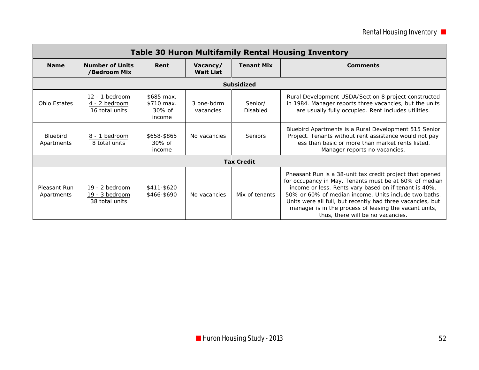| <b>Table 30 Huron Multifamily Rental Housing Inventory</b> |                                                      |                                                 |                              |                            |                                                                                                                                                                                                                                                                                                                                                                                                   |  |  |
|------------------------------------------------------------|------------------------------------------------------|-------------------------------------------------|------------------------------|----------------------------|---------------------------------------------------------------------------------------------------------------------------------------------------------------------------------------------------------------------------------------------------------------------------------------------------------------------------------------------------------------------------------------------------|--|--|
| <b>Name</b>                                                | <b>Number of Units</b><br>/Bedroom Mix               | Rent                                            | Vacancy/<br><b>Wait List</b> | <b>Tenant Mix</b>          | <b>Comments</b>                                                                                                                                                                                                                                                                                                                                                                                   |  |  |
|                                                            |                                                      |                                                 |                              | <b>Subsidized</b>          |                                                                                                                                                                                                                                                                                                                                                                                                   |  |  |
| Ohio Estates                                               | $12 - 1$ bedroom<br>4 - 2 bedroom<br>16 total units  | \$685 max.<br>\$710 max.<br>$30\%$ of<br>income | 3 one-bdrm<br>vacancies      | Senior/<br><b>Disabled</b> | Rural Development USDA/Section 8 project constructed<br>in 1984. Manager reports three vacancies, but the units<br>are usually fully occupied. Rent includes utilities.                                                                                                                                                                                                                           |  |  |
| <b>Bluebird</b><br>Apartments                              | 8 - 1 bedroom<br>8 total units                       | \$658-\$865<br>$30\%$ of<br>income              | No vacancies                 | <b>Seniors</b>             | Bluebird Apartments is a Rural Development 515 Senior<br>Project. Tenants without rent assistance would not pay<br>less than basic or more than market rents listed.<br>Manager reports no vacancies.                                                                                                                                                                                             |  |  |
|                                                            |                                                      |                                                 |                              | <b>Tax Credit</b>          |                                                                                                                                                                                                                                                                                                                                                                                                   |  |  |
| Pleasant Run<br>Apartments                                 | $19 - 2$ bedroom<br>19 - 3 bedroom<br>38 total units | \$411-\$620<br>\$466-\$690                      | No vacancies                 | Mix of tenants             | Pheasant Run is a 38-unit tax credit project that opened<br>for occupancy in May. Tenants must be at 60% of median<br>income or less. Rents vary based on if tenant is 40%,<br>50% or 60% of median income. Units include two baths.<br>Units were all full, but recently had three vacancies, but<br>manager is in the process of leasing the vacant units,<br>thus, there will be no vacancies. |  |  |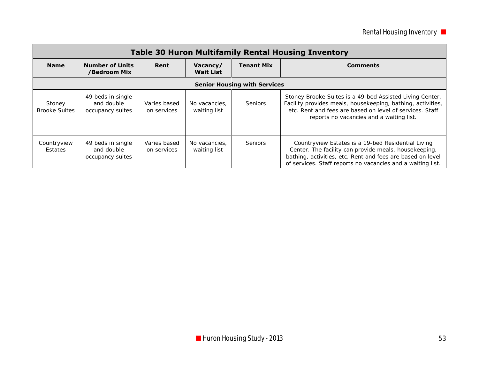| <b>Table 30 Huron Multifamily Rental Housing Inventory</b> |                                                     |                             |                               |                   |                                                                                                                                                                                                                                          |  |  |  |
|------------------------------------------------------------|-----------------------------------------------------|-----------------------------|-------------------------------|-------------------|------------------------------------------------------------------------------------------------------------------------------------------------------------------------------------------------------------------------------------------|--|--|--|
| <b>Name</b>                                                | <b>Number of Units</b><br>/Bedroom Mix              | Rent                        | Vacancy/<br><b>Wait List</b>  | <b>Tenant Mix</b> | <b>Comments</b>                                                                                                                                                                                                                          |  |  |  |
|                                                            | <b>Senior Housing with Services</b>                 |                             |                               |                   |                                                                                                                                                                                                                                          |  |  |  |
| Stoney<br><b>Brooke Suites</b>                             | 49 beds in single<br>and double<br>occupancy suites | Varies based<br>on services | No vacancies.<br>waiting list | Seniors           | Stoney Brooke Suites is a 49-bed Assisted Living Center.<br>Facility provides meals, housekeeping, bathing, activities,<br>etc. Rent and fees are based on level of services. Staff<br>reports no vacancies and a waiting list.          |  |  |  |
| Countryview<br>Estates                                     | 49 beds in single<br>and double<br>occupancy suites | Varies based<br>on services | No vacancies.<br>waiting list | <b>Seniors</b>    | Countryview Estates is a 19-bed Residential Living<br>Center. The facility can provide meals, housekeeping,<br>bathing, activities, etc. Rent and fees are based on level<br>of services. Staff reports no vacancies and a waiting list. |  |  |  |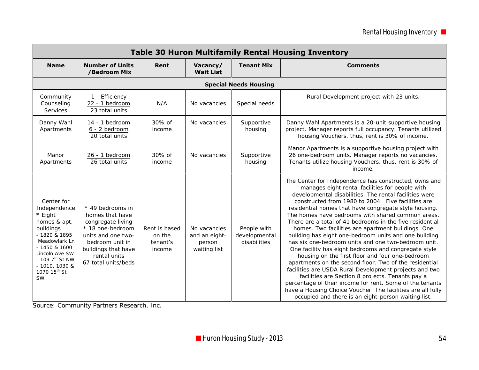| <b>Table 30 Huron Multifamily Rental Housing Inventory</b>                                                                                                                                                                        |                                                                                                                                                                                     |                                               |                                                         |                                              |                                                                                                                                                                                                                                                                                                                                                                                                                                                                                                                                                                                                                                                                                                                                                                                                                                                                                                                                                                                                                                               |  |
|-----------------------------------------------------------------------------------------------------------------------------------------------------------------------------------------------------------------------------------|-------------------------------------------------------------------------------------------------------------------------------------------------------------------------------------|-----------------------------------------------|---------------------------------------------------------|----------------------------------------------|-----------------------------------------------------------------------------------------------------------------------------------------------------------------------------------------------------------------------------------------------------------------------------------------------------------------------------------------------------------------------------------------------------------------------------------------------------------------------------------------------------------------------------------------------------------------------------------------------------------------------------------------------------------------------------------------------------------------------------------------------------------------------------------------------------------------------------------------------------------------------------------------------------------------------------------------------------------------------------------------------------------------------------------------------|--|
| <b>Name</b>                                                                                                                                                                                                                       | <b>Number of Units</b><br>/Bedroom Mix                                                                                                                                              | Rent                                          | Vacancy/<br><b>Wait List</b>                            | <b>Tenant Mix</b>                            | <b>Comments</b>                                                                                                                                                                                                                                                                                                                                                                                                                                                                                                                                                                                                                                                                                                                                                                                                                                                                                                                                                                                                                               |  |
|                                                                                                                                                                                                                                   |                                                                                                                                                                                     |                                               |                                                         | <b>Special Needs Housing</b>                 |                                                                                                                                                                                                                                                                                                                                                                                                                                                                                                                                                                                                                                                                                                                                                                                                                                                                                                                                                                                                                                               |  |
| Community<br>Counseling<br>Services                                                                                                                                                                                               | 1 - Efficiency<br>22 - 1 bedroom<br>23 total units                                                                                                                                  | N/A                                           | No vacancies                                            | Special needs                                | Rural Development project with 23 units.                                                                                                                                                                                                                                                                                                                                                                                                                                                                                                                                                                                                                                                                                                                                                                                                                                                                                                                                                                                                      |  |
| Danny Wahl<br>Apartments                                                                                                                                                                                                          | $14 - 1$ bedroom<br>6 - 2 bedroom<br>20 total units                                                                                                                                 | $30\%$ of<br>income                           | No vacancies                                            | Supportive<br>housing                        | Danny Wahl Apartments is a 20-unit supportive housing<br>project. Manager reports full occupancy. Tenants utilized<br>housing Vouchers, thus, rent is 30% of income.                                                                                                                                                                                                                                                                                                                                                                                                                                                                                                                                                                                                                                                                                                                                                                                                                                                                          |  |
| Manor<br>Apartments                                                                                                                                                                                                               | 26 - 1 bedroom<br>26 total units                                                                                                                                                    | $30\%$ of<br>income                           | No vacancies                                            | Supportive<br>housing                        | Manor Apartments is a supportive housing project with<br>26 one-bedroom units. Manager reports no vacancies.<br>Tenants utilize housing Vouchers, thus, rent is 30% of<br>income.                                                                                                                                                                                                                                                                                                                                                                                                                                                                                                                                                                                                                                                                                                                                                                                                                                                             |  |
| Center for<br>Independence<br>* Eight<br>homes & apt.<br>buildings<br>- 1820 & 1895<br>Meadowlark Ln<br>- 1450 & 1600<br>Lincoln Ave SW<br>- 109 7 <sup>th</sup> St NW<br>- 1010, 1030 &<br>1070 15 <sup>th</sup> St<br><b>SW</b> | * 49 bedrooms in<br>homes that have<br>congregate living<br>* 18 one-bedroom<br>units and one two-<br>bedroom unit in<br>buildings that have<br>rental units<br>67 total units/beds | Rent is based<br>on the<br>tenant's<br>income | No vacancies<br>and an eight-<br>person<br>waiting list | People with<br>developmental<br>disabilities | The Center for Independence has constructed, owns and<br>manages eight rental facilities for people with<br>developmental disabilities. The rental facilities were<br>constructed from 1980 to 2004. Five facilities are<br>residential homes that have congregate style housing.<br>The homes have bedrooms with shared common areas.<br>There are a total of 41 bedrooms in the five residential<br>homes. Two facilities are apartment buildings. One<br>building has eight one-bedroom units and one building<br>has six one-bedroom units and one two-bedroom unit.<br>One facility has eight bedrooms and congregate style<br>housing on the first floor and four one-bedroom<br>apartments on the second floor. Two of the residential<br>facilities are USDA Rural Development projects and two<br>facilities are Section 8 projects. Tenants pay a<br>percentage of their income for rent. Some of the tenants<br>have a Housing Choice Voucher. The facilities are all fully<br>occupied and there is an eight-person waiting list. |  |

Source: Community Partners Research, Inc.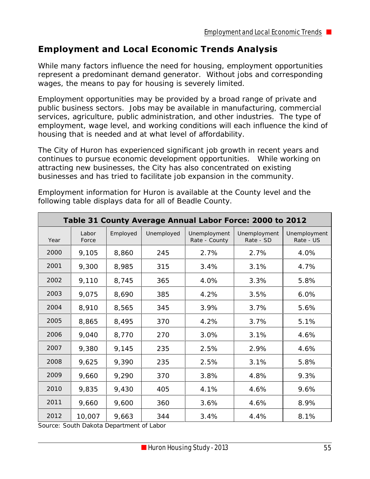## **Employment and Local Economic Trends Analysis**

While many factors influence the need for housing, employment opportunities represent a predominant demand generator. Without jobs and corresponding wages, the means to pay for housing is severely limited.

Employment opportunities may be provided by a broad range of private and public business sectors. Jobs may be available in manufacturing, commercial services, agriculture, public administration, and other industries. The type of employment, wage level, and working conditions will each influence the kind of housing that is needed and at what level of affordability.

The City of Huron has experienced significant job growth in recent years and continues to pursue economic development opportunities. While working on attracting new businesses, the City has also concentrated on existing businesses and has tried to facilitate job expansion in the community.

| Table 31 County Average Annual Labor Force: 2000 to 2012 |                |          |            |                               |                           |                           |
|----------------------------------------------------------|----------------|----------|------------|-------------------------------|---------------------------|---------------------------|
| Year                                                     | Labor<br>Force | Employed | Unemployed | Unemployment<br>Rate - County | Unemployment<br>Rate - SD | Unemployment<br>Rate - US |
| 2000                                                     | 9,105          | 8,860    | 245        | 2.7%                          | 2.7%                      | 4.0%                      |
| 2001                                                     | 9,300          | 8,985    | 315        | 3.4%                          | 3.1%                      | 4.7%                      |
| 2002                                                     | 9,110          | 8,745    | 365        | 4.0%                          | 3.3%                      | 5.8%                      |
| 2003                                                     | 9,075          | 8,690    | 385        | 4.2%                          | 3.5%                      | 6.0%                      |
| 2004                                                     | 8,910          | 8,565    | 345        | 3.9%                          | 3.7%                      | 5.6%                      |
| 2005                                                     | 8,865          | 8,495    | 370        | 4.2%                          | 3.7%                      | 5.1%                      |
| 2006                                                     | 9,040          | 8,770    | 270        | 3.0%                          | 3.1%                      | 4.6%                      |
| 2007                                                     | 9,380          | 9,145    | 235        | 2.5%                          | 2.9%                      | 4.6%                      |
| 2008                                                     | 9,625          | 9,390    | 235        | 2.5%                          | 3.1%                      | 5.8%                      |
| 2009                                                     | 9,660          | 9,290    | 370        | 3.8%                          | 4.8%                      | 9.3%                      |
| 2010                                                     | 9,835          | 9,430    | 405        | 4.1%                          | 4.6%                      | 9.6%                      |
| 2011                                                     | 9,660          | 9,600    | 360        | 3.6%                          | 4.6%                      | 8.9%                      |
| 2012                                                     | 10,007         | 9,663    | 344        | 3.4%                          | 4.4%                      | 8.1%                      |

Employment information for Huron is available at the County level and the following table displays data for all of Beadle County.

Source: South Dakota Department of Labor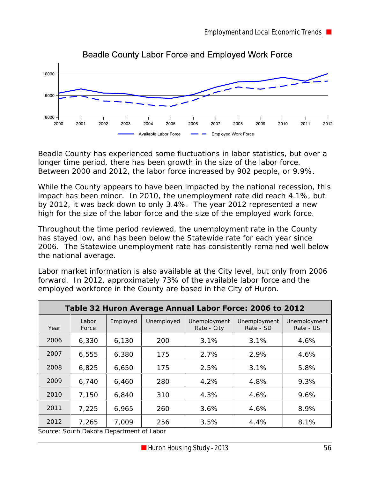

Beadle County Labor Force and Employed Work Force

Beadle County has experienced some fluctuations in labor statistics, but over a longer time period, there has been growth in the size of the labor force. Between 2000 and 2012, the labor force increased by 902 people, or 9.9%.

While the County appears to have been impacted by the national recession, this impact has been minor. In 2010, the unemployment rate did reach 4.1%, but by 2012, it was back down to only 3.4%. The year 2012 represented a new high for the size of the labor force and the size of the employed work force.

Throughout the time period reviewed, the unemployment rate in the County has stayed low, and has been below the Statewide rate for each year since 2006. The Statewide unemployment rate has consistently remained well below the national average.

Labor market information is also available at the City level, but only from 2006 forward. In 2012, approximately 73% of the available labor force and the employed workforce in the County are based in the City of Huron.

| Table 32 Huron Average Annual Labor Force: 2006 to 2012 |                |          |            |                             |                           |                           |
|---------------------------------------------------------|----------------|----------|------------|-----------------------------|---------------------------|---------------------------|
| Year                                                    | Labor<br>Force | Employed | Unemployed | Unemployment<br>Rate - City | Unemployment<br>Rate - SD | Unemployment<br>Rate - US |
| 2006                                                    | 6,330          | 6,130    | 200        | 3.1%                        | 3.1%                      | 4.6%                      |
| 2007                                                    | 6,555          | 6,380    | 175        | 2.7%                        | 2.9%                      | 4.6%                      |
| 2008                                                    | 6,825          | 6,650    | 175        | 2.5%                        | 3.1%                      | 5.8%                      |
| 2009                                                    | 6,740          | 6,460    | 280        | 4.2%                        | 4.8%                      | 9.3%                      |
| 2010                                                    | 7,150          | 6,840    | 310        | 4.3%                        | 4.6%                      | 9.6%                      |
| 2011                                                    | 7,225          | 6,965    | 260        | 3.6%                        | 4.6%                      | 8.9%                      |
| 2012                                                    | 7,265          | 7,009    | 256        | 3.5%                        | 4.4%                      | 8.1%                      |

Source: South Dakota Department of Labor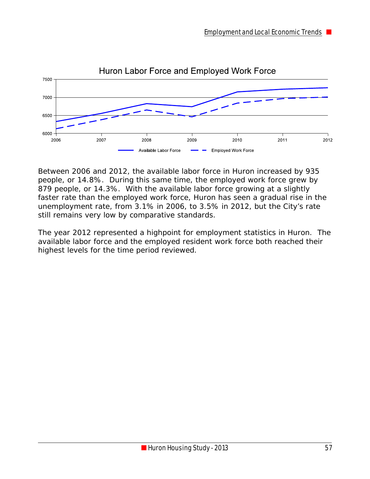

Between 2006 and 2012, the available labor force in Huron increased by 935 people, or 14.8%. During this same time, the employed work force grew by 879 people, or 14.3%. With the available labor force growing at a slightly faster rate than the employed work force, Huron has seen a gradual rise in the unemployment rate, from 3.1% in 2006, to 3.5% in 2012, but the City's rate still remains very low by comparative standards.

The year 2012 represented a highpoint for employment statistics in Huron. The available labor force and the employed resident work force both reached their highest levels for the time period reviewed.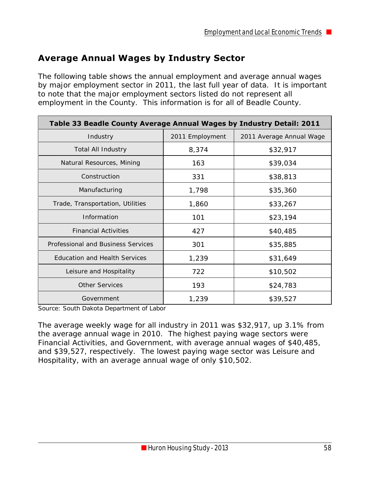# **Average Annual Wages by Industry Sector**

The following table shows the annual employment and average annual wages by major employment sector in 2011, the last full year of data. It is important to note that the major employment sectors listed do not represent all employment in the County. This information is for all of Beadle County.

| Table 33 Beadle County Average Annual Wages by Industry Detail: 2011 |                 |                          |
|----------------------------------------------------------------------|-----------------|--------------------------|
| Industry                                                             | 2011 Employment | 2011 Average Annual Wage |
| <b>Total All Industry</b>                                            | 8,374           | \$32,917                 |
| Natural Resources, Mining                                            | 163             | \$39,034                 |
| Construction                                                         | 331             | \$38,813                 |
| Manufacturing                                                        | 1,798           | \$35,360                 |
| Trade, Transportation, Utilities                                     | 1,860           | \$33,267                 |
| Information                                                          | 101             | \$23,194                 |
| <b>Financial Activities</b>                                          | 427             | \$40,485                 |
| Professional and Business Services                                   | 301             | \$35,885                 |
| <b>Education and Health Services</b>                                 | 1,239           | \$31,649                 |
| Leisure and Hospitality                                              | 722             | \$10,502                 |
| <b>Other Services</b>                                                | 193             | \$24,783                 |
| Government                                                           | 1,239           | \$39,527                 |

Source: South Dakota Department of Labor

The average weekly wage for all industry in 2011 was \$32,917, up 3.1% from the average annual wage in 2010. The highest paying wage sectors were Financial Activities, and Government, with average annual wages of \$40,485, and \$39,527, respectively. The lowest paying wage sector was Leisure and Hospitality, with an average annual wage of only \$10,502.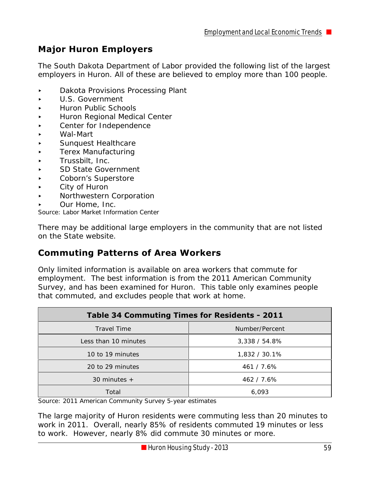# **Major Huron Employers**

The South Dakota Department of Labor provided the following list of the largest employers in Huron. All of these are believed to employ more than 100 people.

- **Dakota Provisions Processing Plant**
- < U.S. Government
- < Huron Public Schools
- < Huron Regional Medical Center
- **EXECUTE:** Center for Independence
- < Wal-Mart
- < Sunquest Healthcare
- < Terex Manufacturing
- **Figure 1.5 Trussbilt, Inc.**
- < SD State Government
- **EXECODOTITY** Superstore
- < City of Huron
- < Northwestern Corporation
- Our Home, Inc.

Source: Labor Market Information Center

There may be additional large employers in the community that are not listed on the State website.

#### **Commuting Patterns of Area Workers**

Only limited information is available on area workers that commute for employment. The best information is from the 2011 American Community Survey, and has been examined for Huron. This table only examines people that commuted, and excludes people that work at home.

| Table 34 Commuting Times for Residents - 2011 |                  |  |
|-----------------------------------------------|------------------|--|
| <b>Travel Time</b>                            | Number/Percent   |  |
| Less than 10 minutes                          | $3,338 / 54.8\%$ |  |
| 10 to 19 minutes                              | 1,832 / 30.1%    |  |
| 20 to 29 minutes                              | 461 / 7.6%       |  |
| $30$ minutes $+$                              | 462 / 7.6%       |  |
| Total                                         | 6,093            |  |

Source: 2011 American Community Survey 5-year estimates

The large majority of Huron residents were commuting less than 20 minutes to work in 2011. Overall, nearly 85% of residents commuted 19 minutes or less to work. However, nearly 8% did commute 30 minutes or more.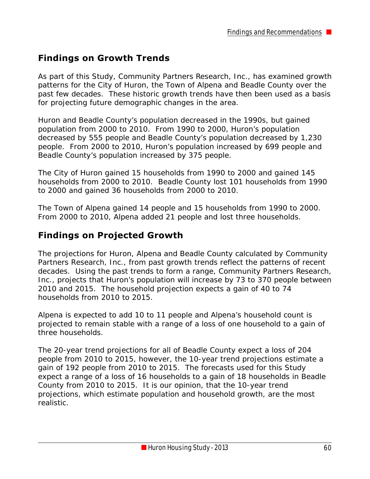## **Findings on Growth Trends**

As part of this Study, Community Partners Research, Inc., has examined growth patterns for the City of Huron, the Town of Alpena and Beadle County over the past few decades. These historic growth trends have then been used as a basis for projecting future demographic changes in the area.

Huron and Beadle County's population decreased in the 1990s, but gained population from 2000 to 2010. From 1990 to 2000, Huron's population decreased by 555 people and Beadle County's population decreased by 1,230 people. From 2000 to 2010, Huron's population increased by 699 people and Beadle County's population increased by 375 people.

The City of Huron gained 15 households from 1990 to 2000 and gained 145 households from 2000 to 2010. Beadle County lost 101 households from 1990 to 2000 and gained 36 households from 2000 to 2010.

The Town of Alpena gained 14 people and 15 households from 1990 to 2000. From 2000 to 2010, Alpena added 21 people and lost three households.

#### **Findings on Projected Growth**

The projections for Huron, Alpena and Beadle County calculated by Community Partners Research, Inc., from past growth trends reflect the patterns of recent decades. Using the past trends to form a range, Community Partners Research, Inc., projects that Huron's population will increase by 73 to 370 people between 2010 and 2015. The household projection expects a gain of 40 to 74 households from 2010 to 2015.

Alpena is expected to add 10 to 11 people and Alpena's household count is projected to remain stable with a range of a loss of one household to a gain of three households.

The 20-year trend projections for all of Beadle County expect a loss of 204 people from 2010 to 2015, however, the 10-year trend projections estimate a gain of 192 people from 2010 to 2015. The forecasts used for this Study expect a range of a loss of 16 households to a gain of 18 households in Beadle County from 2010 to 2015. It is our opinion, that the 10-year trend projections, which estimate population and household growth, are the most realistic.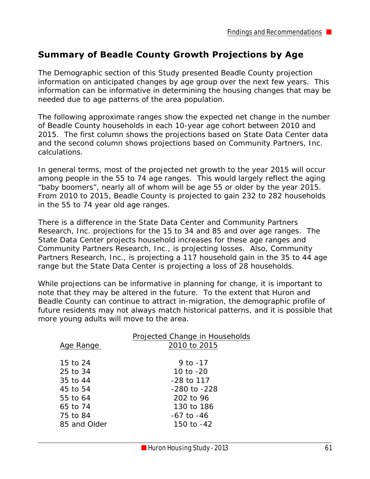#### **Summary of Beadle County Growth Projections by Age**

The Demographic section of this Study presented Beadle County projection information on anticipated changes by age group over the next few years. This information can be informative in determining the housing changes that may be needed due to age patterns of the area population.

The following approximate ranges show the expected net change in the number of Beadle County households in each 10-year age cohort between 2010 and 2015. The first column shows the projections based on State Data Center data and the second column shows projections based on Community Partners, Inc. calculations.

In general terms, most of the projected net growth to the year 2015 will occur among people in the 55 to 74 age ranges. This would largely reflect the aging "baby boomers", nearly all of whom will be age 55 or older by the year 2015. From 2010 to 2015, Beadle County is projected to gain 232 to 282 households in the 55 to 74 year old age ranges.

There is a difference in the State Data Center and Community Partners Research, Inc. projections for the 15 to 34 and 85 and over age ranges. The State Data Center projects household increases for these age ranges and Community Partners Research, Inc., is projecting losses. Also, Community Partners Research, Inc., is projecting a 117 household gain in the 35 to 44 age range but the State Data Center is projecting a loss of 28 households.

While projections can be informative in planning for change, it is important to note that they may be altered in the future. To the extent that Huron and Beadle County can continue to attract in-migration, the demographic profile of future residents may not always match historical patterns, and it is possible that more young adults will move to the area.

| Age Range    | Projected Change in Households<br>2010 to 2015 |
|--------------|------------------------------------------------|
| 15 to 24     | 9 to $-17$                                     |
| 25 to 34     | 10 to -20                                      |
| 35 to 44     | $-28$ to 117                                   |
| 45 to 54     | -280 to -228                                   |
| 55 to 64     | 202 to 96                                      |
| 65 to 74     | 130 to 186                                     |
| 75 to 84     | $-67$ to $-46$                                 |
| 85 and Older | 150 to -42                                     |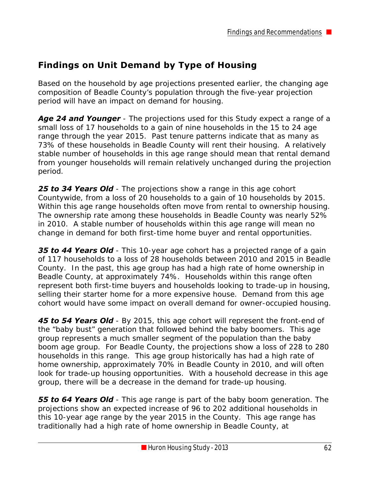#### **Findings on Unit Demand by Type of Housing**

Based on the household by age projections presented earlier, the changing age composition of Beadle County's population through the five-year projection period will have an impact on demand for housing.

*Age 24 and Younger* - The projections used for this Study expect a range of a small loss of 17 households to a gain of nine households in the 15 to 24 age range through the year 2015. Past tenure patterns indicate that as many as 73% of these households in Beadle County will rent their housing. A relatively stable number of households in this age range should mean that rental demand from younger households will remain relatively unchanged during the projection period.

*25 to 34 Years Old* - The projections show a range in this age cohort Countywide, from a loss of 20 households to a gain of 10 households by 2015. Within this age range households often move from rental to ownership housing. The ownership rate among these households in Beadle County was nearly 52% in 2010. A stable number of households within this age range will mean no change in demand for both first-time home buyer and rental opportunities.

*35 to 44 Years Old* - This 10-year age cohort has a projected range of a gain of 117 households to a loss of 28 households between 2010 and 2015 in Beadle County. In the past, this age group has had a high rate of home ownership in Beadle County, at approximately 74%. Households within this range often represent both first-time buyers and households looking to trade-up in housing, selling their starter home for a more expensive house. Demand from this age cohort would have some impact on overall demand for owner-occupied housing.

*45 to 54 Years Old* - By 2015, this age cohort will represent the front-end of the "baby bust" generation that followed behind the baby boomers. This age group represents a much smaller segment of the population than the baby boom age group. For Beadle County, the projections show a loss of 228 to 280 households in this range. This age group historically has had a high rate of home ownership, approximately 70% in Beadle County in 2010, and will often look for trade-up housing opportunities. With a household decrease in this age group, there will be a decrease in the demand for trade-up housing.

*55 to 64 Years Old* - This age range is part of the baby boom generation. The projections show an expected increase of 96 to 202 additional households in this 10-year age range by the year 2015 in the County. This age range has traditionally had a high rate of home ownership in Beadle County, at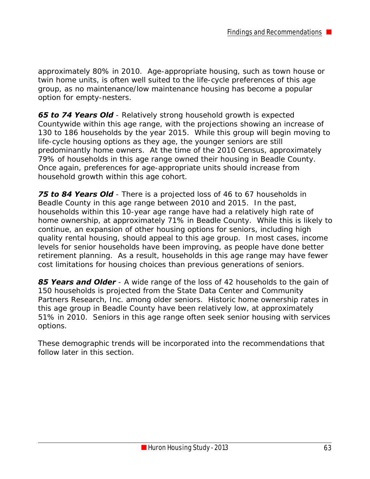approximately 80% in 2010. Age-appropriate housing, such as town house or twin home units, is often well suited to the life-cycle preferences of this age group, as no maintenance/low maintenance housing has become a popular option for empty-nesters.

*65 to 74 Years Old* - Relatively strong household growth is expected Countywide within this age range, with the projections showing an increase of 130 to 186 households by the year 2015. While this group will begin moving to life-cycle housing options as they age, the younger seniors are still predominantly home owners. At the time of the 2010 Census, approximately 79% of households in this age range owned their housing in Beadle County. Once again, preferences for age-appropriate units should increase from household growth within this age cohort.

*75 to 84 Years Old* - There is a projected loss of 46 to 67 households in Beadle County in this age range between 2010 and 2015. In the past, households within this 10-year age range have had a relatively high rate of home ownership, at approximately 71% in Beadle County. While this is likely to continue, an expansion of other housing options for seniors, including high quality rental housing, should appeal to this age group. In most cases, income levels for senior households have been improving, as people have done better retirement planning. As a result, households in this age range may have fewer cost limitations for housing choices than previous generations of seniors.

*85 Years and Older* - A wide range of the loss of 42 households to the gain of 150 households is projected from the State Data Center and Community Partners Research, Inc. among older seniors. Historic home ownership rates in this age group in Beadle County have been relatively low, at approximately 51% in 2010. Seniors in this age range often seek senior housing with services options.

These demographic trends will be incorporated into the recommendations that follow later in this section.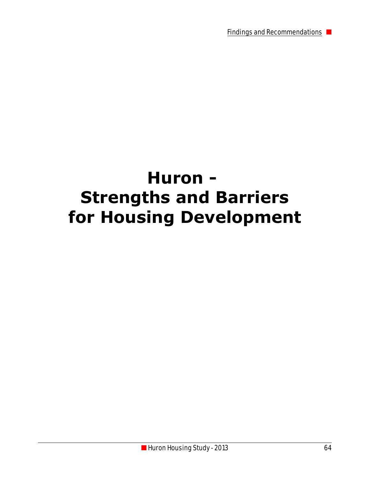Findings and Recommendations

# **Huron - Strengths and Barriers for Housing Development**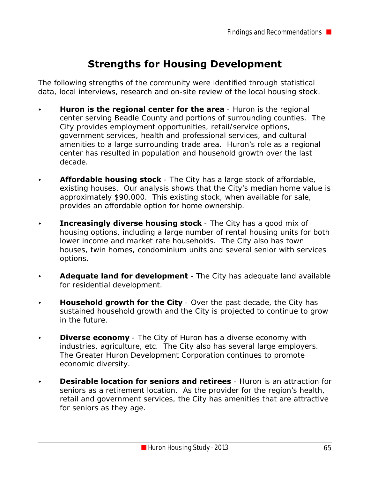# **Strengths for Housing Development**

The following strengths of the community were identified through statistical data, local interviews, research and on-site review of the local housing stock.

- **Huron is the regional center for the area** Huron is the regional center serving Beadle County and portions of surrounding counties. The City provides employment opportunities, retail/service options, government services, health and professional services, and cultural amenities to a large surrounding trade area. Huron's role as a regional center has resulted in population and household growth over the last decade.
- **Affordable housing stock** The City has a large stock of affordable, existing houses. Our analysis shows that the City's median home value is approximately \$90,000. This existing stock, when available for sale, provides an affordable option for home ownership.
- **Increasingly diverse housing stock** The City has a good mix of housing options, including a large number of rental housing units for both lower income and market rate households. The City also has town houses, twin homes, condominium units and several senior with services options.
- Adequate land for development The City has adequate land available for residential development.
- **Household growth for the City** Over the past decade, the City has sustained household growth and the City is projected to continue to grow in the future.
- **Diverse economy** The City of Huron has a diverse economy with industries, agriculture, etc. The City also has several large employers. The Greater Huron Development Corporation continues to promote economic diversity.
- **Desirable location for seniors and retirees** Huron is an attraction for seniors as a retirement location. As the provider for the region's health, retail and government services, the City has amenities that are attractive for seniors as they age.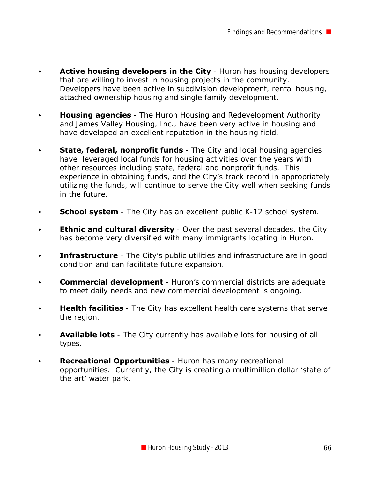- **Active housing developers in the City** Huron has housing developers that are willing to invest in housing projects in the community. Developers have been active in subdivision development, rental housing, attached ownership housing and single family development.
- **Housing agencies** The Huron Housing and Redevelopment Authority and James Valley Housing, Inc., have been very active in housing and have developed an excellent reputation in the housing field.
- **State, federal, nonprofit funds** The City and local housing agencies have leveraged local funds for housing activities over the years with other resources including state, federal and nonprofit funds. This experience in obtaining funds, and the City's track record in appropriately utilizing the funds, will continue to serve the City well when seeking funds in the future.
- **School system** The City has an excellent public K-12 school system.
- **Ethnic and cultural diversity** Over the past several decades, the City has become very diversified with many immigrants locating in Huron.
- **Infrastructure** The City's public utilities and infrastructure are in good condition and can facilitate future expansion.
- **Commercial development** Huron's commercial districts are adequate to meet daily needs and new commercial development is ongoing.
- **Health facilities** The City has excellent health care systems that serve the region.
- **Available lots** The City currently has available lots for housing of all types.
- **Recreational Opportunities** Huron has many recreational opportunities. Currently, the City is creating a multimillion dollar 'state of the art' water park.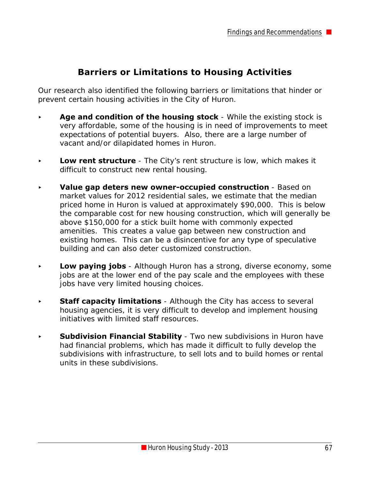#### **Barriers or Limitations to Housing Activities**

Our research also identified the following barriers or limitations that hinder or prevent certain housing activities in the City of Huron.

- Age and condition of the housing stock While the existing stock is very affordable, some of the housing is in need of improvements to meet expectations of potential buyers. Also, there are a large number of vacant and/or dilapidated homes in Huron.
- **Low rent structure** The City's rent structure is low, which makes it difficult to construct new rental housing.
- **Value gap deters new owner-occupied construction** Based on market values for 2012 residential sales, we estimate that the median priced home in Huron is valued at approximately \$90,000. This is below the comparable cost for new housing construction, which will generally be above \$150,000 for a stick built home with commonly expected amenities. This creates a value gap between new construction and existing homes. This can be a disincentive for any type of speculative building and can also deter customized construction.
- **Low paying jobs** Although Huron has a strong, diverse economy, some jobs are at the lower end of the pay scale and the employees with these jobs have very limited housing choices.
- **Staff capacity limitations** Although the City has access to several housing agencies, it is very difficult to develop and implement housing initiatives with limited staff resources.
- **Subdivision Financial Stability** Two new subdivisions in Huron have had financial problems, which has made it difficult to fully develop the subdivisions with infrastructure, to sell lots and to build homes or rental units in these subdivisions.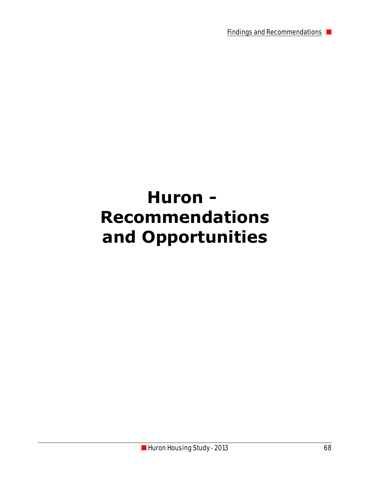Findings and Recommendations

# **Huron - Recommendations and Opportunities**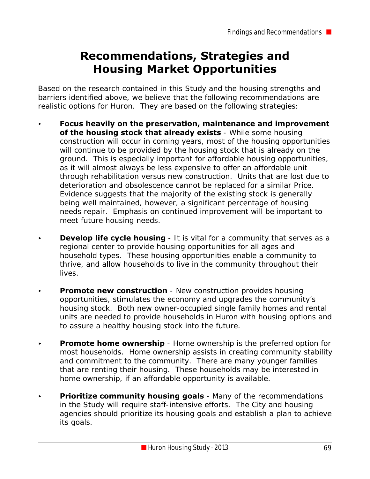# **Recommendations, Strategies and Housing Market Opportunities**

Based on the research contained in this Study and the housing strengths and barriers identified above, we believe that the following recommendations are realistic options for Huron. They are based on the following strategies:

- < **Focus heavily on the preservation, maintenance and improvement of the housing stock that already exists** - While some housing construction will occur in coming years, most of the housing opportunities will continue to be provided by the housing stock that is already on the ground. This is especially important for affordable housing opportunities, as it will almost always be less expensive to offer an affordable unit through rehabilitation versus new construction. Units that are lost due to deterioration and obsolescence cannot be replaced for a similar Price. Evidence suggests that the majority of the existing stock is generally being well maintained, however, a significant percentage of housing needs repair. Emphasis on continued improvement will be important to meet future housing needs.
- **Develop life cycle housing** It is vital for a community that serves as a regional center to provide housing opportunities for all ages and household types. These housing opportunities enable a community to thrive, and allow households to live in the community throughout their lives.
- **Promote new construction** New construction provides housing opportunities, stimulates the economy and upgrades the community's housing stock. Both new owner-occupied single family homes and rental units are needed to provide households in Huron with housing options and to assure a healthy housing stock into the future.
- **Promote home ownership** Home ownership is the preferred option for most households. Home ownership assists in creating community stability and commitment to the community. There are many younger families that are renting their housing. These households may be interested in home ownership, if an affordable opportunity is available.
- **Prioritize community housing goals** Many of the recommendations in the Study will require staff-intensive efforts. The City and housing agencies should prioritize its housing goals and establish a plan to achieve its goals.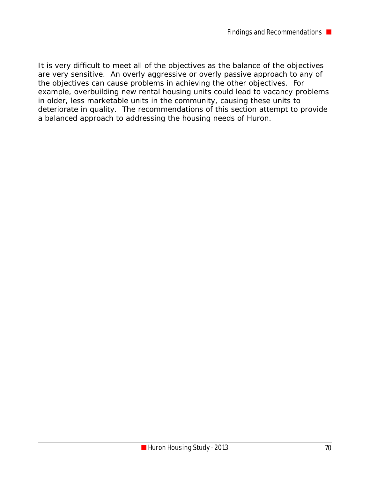It is very difficult to meet all of the objectives as the balance of the objectives are very sensitive. An overly aggressive or overly passive approach to any of the objectives can cause problems in achieving the other objectives. For example, overbuilding new rental housing units could lead to vacancy problems in older, less marketable units in the community, causing these units to deteriorate in quality. The recommendations of this section attempt to provide a balanced approach to addressing the housing needs of Huron.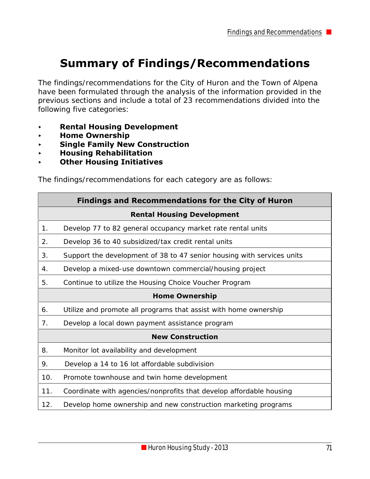# **Summary of Findings/Recommendations**

The findings/recommendations for the City of Huron and the Town of Alpena have been formulated through the analysis of the information provided in the previous sections and include a total of 23 recommendations divided into the following five categories:

- < **Rental Housing Development**
- < **Home Ownership**
- < **Single Family New Construction**
- < **Housing Rehabilitation**
- < **Other Housing Initiatives**

The findings/recommendations for each category are as follows:

| <b>Findings and Recommendations for the City of Huron</b> |                                                                        |  |  |  |
|-----------------------------------------------------------|------------------------------------------------------------------------|--|--|--|
| <b>Rental Housing Development</b>                         |                                                                        |  |  |  |
| 1 <sub>1</sub>                                            | Develop 77 to 82 general occupancy market rate rental units            |  |  |  |
| 2.                                                        | Develop 36 to 40 subsidized/tax credit rental units                    |  |  |  |
| 3.                                                        | Support the development of 38 to 47 senior housing with services units |  |  |  |
| 4.                                                        | Develop a mixed-use downtown commercial/housing project                |  |  |  |
| 5.                                                        | Continue to utilize the Housing Choice Voucher Program                 |  |  |  |
| <b>Home Ownership</b>                                     |                                                                        |  |  |  |
| 6.                                                        | Utilize and promote all programs that assist with home ownership       |  |  |  |
| 7 <sub>1</sub>                                            | Develop a local down payment assistance program                        |  |  |  |
| <b>New Construction</b>                                   |                                                                        |  |  |  |
| 8.                                                        | Monitor lot availability and development                               |  |  |  |
| 9.                                                        | Develop a 14 to 16 lot affordable subdivision                          |  |  |  |
| 10.                                                       | Promote townhouse and twin home development                            |  |  |  |
| 11.                                                       | Coordinate with agencies/nonprofits that develop affordable housing    |  |  |  |
| 12.                                                       | Develop home ownership and new construction marketing programs         |  |  |  |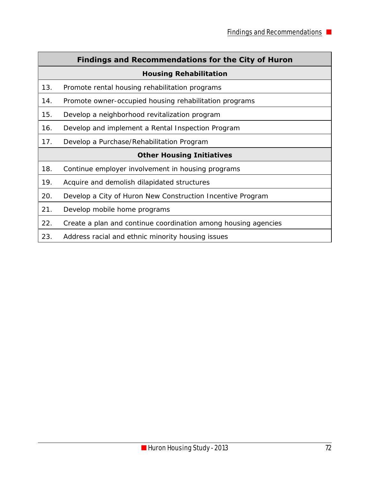#### **Findings and Recommendations for the City of Huron**

#### **Housing Rehabilitation**

- 13. Promote rental housing rehabilitation programs
- 14. Promote owner-occupied housing rehabilitation programs
- 15. Develop a neighborhood revitalization program
- 16. Develop and implement a Rental Inspection Program
- 17. Develop a Purchase/Rehabilitation Program

#### **Other Housing Initiatives**

- 18. Continue employer involvement in housing programs
- 19. Acquire and demolish dilapidated structures
- 20. Develop a City of Huron New Construction Incentive Program
- 21. Develop mobile home programs
- 22. Create a plan and continue coordination among housing agencies
- 23. Address racial and ethnic minority housing issues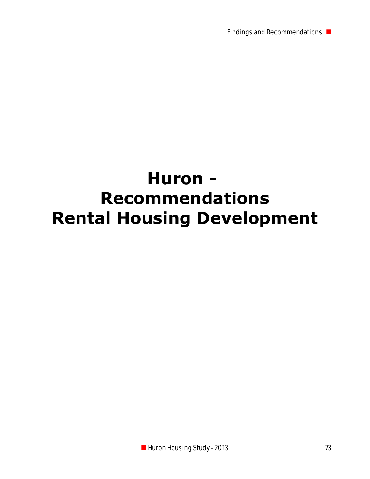Findings and Recommendations

## **Huron - Recommendations Rental Housing Development**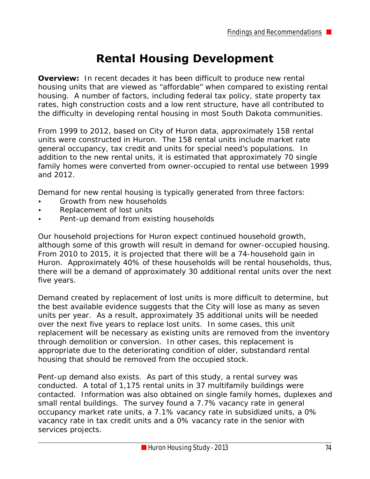### **Rental Housing Development**

**Overview:** In recent decades it has been difficult to produce new rental housing units that are viewed as "affordable" when compared to existing rental housing. A number of factors, including federal tax policy, state property tax rates, high construction costs and a low rent structure, have all contributed to the difficulty in developing rental housing in most South Dakota communities.

From 1999 to 2012, based on City of Huron data, approximately 158 rental units were constructed in Huron.The 158 rental units include market rate general occupancy, tax credit and units for special need's populations. In addition to the new rental units, it is estimated that approximately 70 single family homes were converted from owner-occupied to rental use between 1999 and 2012.

Demand for new rental housing is typically generated from three factors:

- < Growth from new households
- < Replacement of lost units
- Pent-up demand from existing households

Our household projections for Huron expect continued household growth, although some of this growth will result in demand for owner-occupied housing. From 2010 to 2015, it is projected that there will be a 74-household gain in Huron. Approximately 40% of these households will be rental households, thus, there will be a demand of approximately 30 additional rental units over the next five years.

Demand created by replacement of lost units is more difficult to determine, but the best available evidence suggests that the City will lose as many as seven units per year. As a result, approximately 35 additional units will be needed over the next five years to replace lost units. In some cases, this unit replacement will be necessary as existing units are removed from the inventory through demolition or conversion. In other cases, this replacement is appropriate due to the deteriorating condition of older, substandard rental housing that should be removed from the occupied stock.

Pent-up demand also exists. As part of this study, a rental survey was conducted. A total of 1,175 rental units in 37 multifamily buildings were contacted. Information was also obtained on single family homes, duplexes and small rental buildings. The survey found a 7.7% vacancy rate in general occupancy market rate units, a 7.1% vacancy rate in subsidized units, a 0% vacancy rate in tax credit units and a 0% vacancy rate in the senior with services projects.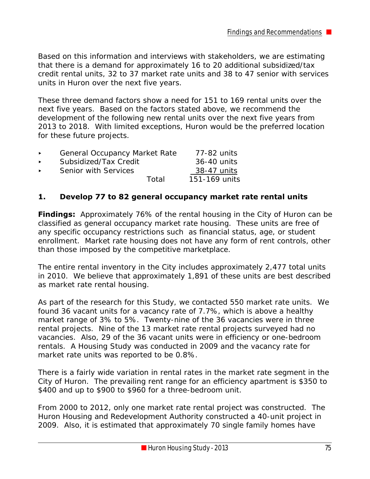Based on this information and interviews with stakeholders, we are estimating that there is a demand for approximately 16 to 20 additional subsidized/tax credit rental units, 32 to 37 market rate units and 38 to 47 senior with services units in Huron over the next five years.

These three demand factors show a need for 151 to 169 rental units over the next five years. Based on the factors stated above, we recommend the development of the following new rental units over the next five years from 2013 to 2018. With limited exceptions, Huron would be the preferred location for these future projects.

| $\blacktriangleright$ | <b>General Occupancy Market Rate</b> | 77-82 units |               |
|-----------------------|--------------------------------------|-------------|---------------|
| $\blacktriangleright$ | Subsidized/Tax Credit                |             | 36-40 units   |
| $\blacktriangleright$ | Senior with Services                 |             | 38-47 units   |
|                       |                                      | Total       | 151-169 units |

#### **1. Develop 77 to 82 general occupancy market rate rental units**

**Findings:** Approximately 76% of the rental housing in the City of Huron can be classified as general occupancy market rate housing. These units are free of any specific occupancy restrictions such as financial status, age, or student enrollment. Market rate housing does not have any form of rent controls, other than those imposed by the competitive marketplace.

The entire rental inventory in the City includes approximately 2,477 total units in 2010. We believe that approximately 1,891 of these units are best described as market rate rental housing.

As part of the research for this Study, we contacted 550 market rate units. We found 36 vacant units for a vacancy rate of 7.7%, which is above a healthy market range of 3% to 5%. Twenty-nine of the 36 vacancies were in three rental projects. Nine of the 13 market rate rental projects surveyed had no vacancies. Also, 29 of the 36 vacant units were in efficiency or one-bedroom rentals. A Housing Study was conducted in 2009 and the vacancy rate for market rate units was reported to be 0.8%.

There is a fairly wide variation in rental rates in the market rate segment in the City of Huron. The prevailing rent range for an efficiency apartment is \$350 to \$400 and up to \$900 to \$960 for a three-bedroom unit.

From 2000 to 2012, only one market rate rental project was constructed. The Huron Housing and Redevelopment Authority constructed a 40-unit project in 2009. Also, it is estimated that approximately 70 single family homes have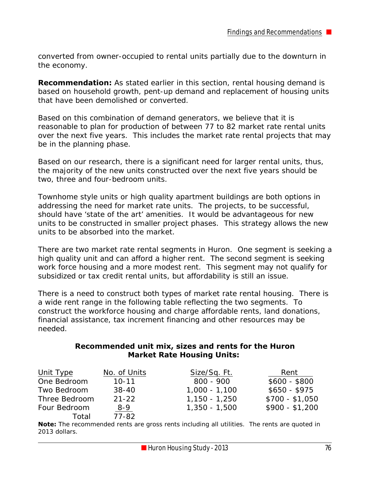converted from owner-occupied to rental units partially due to the downturn in the economy.

**Recommendation:** As stated earlier in this section, rental housing demand is based on household growth, pent-up demand and replacement of housing units that have been demolished or converted.

Based on this combination of demand generators, we believe that it is reasonable to plan for production of between 77 to 82 market rate rental units over the next five years. This includes the market rate rental projects that may be in the planning phase.

Based on our research, there is a significant need for larger rental units, thus, the majority of the new units constructed over the next five years should be two, three and four-bedroom units.

Townhome style units or high quality apartment buildings are both options in addressing the need for market rate units. The projects, to be successful, should have 'state of the art' amenities. It would be advantageous for new units to be constructed in smaller project phases. This strategy allows the new units to be absorbed into the market.

There are two market rate rental segments in Huron. One segment is seeking a high quality unit and can afford a higher rent. The second segment is seeking work force housing and a more modest rent. This segment may not qualify for subsidized or tax credit rental units, but affordability is still an issue.

There is a need to construct both types of market rate rental housing. There is a wide rent range in the following table reflecting the two segments. To construct the workforce housing and charge affordable rents, land donations, financial assistance, tax increment financing and other resources may be needed.

#### **Recommended unit mix, sizes and rents for the Huron Market Rate Housing Units:**

| Unit Type     | No. of Units | Size/Sq. Ft.    | Rent            |
|---------------|--------------|-----------------|-----------------|
| One Bedroom   | $10 - 11$    | $800 - 900$     | $$600 - $800$   |
| Two Bedroom   | 38-40        | $1,000 - 1,100$ | $$650 - $975$   |
| Three Bedroom | $21 - 22$    | $1,150 - 1,250$ | $$700 - $1,050$ |
| Four Bedroom  | 8-9          | $1,350 - 1,500$ | $$900 - $1,200$ |
| Total         | 77-82        |                 |                 |

**Note:** The recommended rents are gross rents including all utilities. The rents are quoted in 2013 dollars.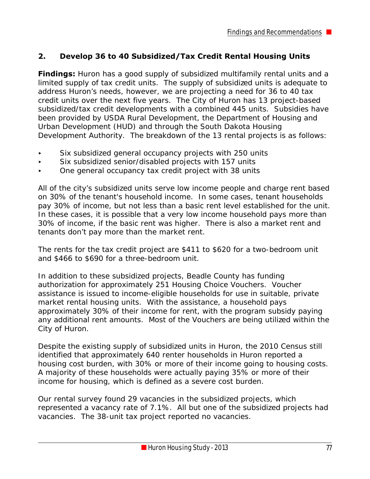#### **2. Develop 36 to 40 Subsidized/Tax Credit Rental Housing Units**

**Findings:** Huron has a good supply of subsidized multifamily rental units and a limited supply of tax credit units. The supply of subsidized units is adequate to address Huron's needs, however, we are projecting a need for 36 to 40 tax credit units over the next five years. The City of Huron has 13 project-based subsidized/tax credit developments with a combined 445 units. Subsidies have been provided by USDA Rural Development, the Department of Housing and Urban Development (HUD) and through the South Dakota Housing Development Authority. The breakdown of the 13 rental projects is as follows:

- Six subsidized general occupancy projects with 250 units
- < Six subsidized senior/disabled projects with 157 units
- < One general occupancy tax credit project with 38 units

All of the city's subsidized units serve low income people and charge rent based on 30% of the tenant's household income. In some cases, tenant households pay 30% of income, but not less than a basic rent level established for the unit. In these cases, it is possible that a very low income household pays more than 30% of income, if the basic rent was higher. There is also a market rent and tenants don't pay more than the market rent.

The rents for the tax credit project are \$411 to \$620 for a two-bedroom unit and \$466 to \$690 for a three-bedroom unit.

In addition to these subsidized projects, Beadle County has funding authorization for approximately 251 Housing Choice Vouchers. Voucher assistance is issued to income-eligible households for use in suitable, private market rental housing units. With the assistance, a household pays approximately 30% of their income for rent, with the program subsidy paying any additional rent amounts. Most of the Vouchers are being utilized within the City of Huron.

Despite the existing supply of subsidized units in Huron, the 2010 Census still identified that approximately 640 renter households in Huron reported a housing cost burden, with 30% or more of their income going to housing costs. A majority of these households were actually paying 35% or more of their income for housing, which is defined as a severe cost burden.

Our rental survey found 29 vacancies in the subsidized projects, which represented a vacancy rate of 7.1%. All but one of the subsidized projects had vacancies. The 38-unit tax project reported no vacancies.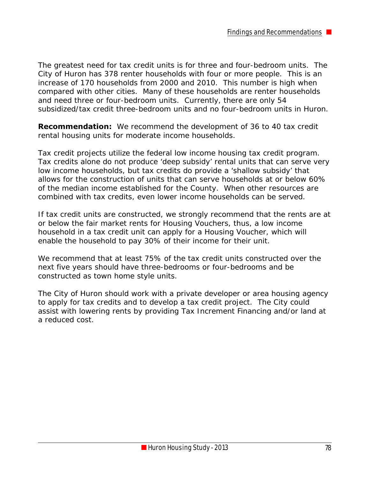The greatest need for tax credit units is for three and four-bedroom units. The City of Huron has 378 renter households with four or more people. This is an increase of 170 households from 2000 and 2010. This number is high when compared with other cities. Many of these households are renter households and need three or four-bedroom units. Currently, there are only 54 subsidized/tax credit three-bedroom units and no four-bedroom units in Huron.

**Recommendation:** We recommend the development of 36 to 40 tax credit rental housing units for moderate income households.

Tax credit projects utilize the federal low income housing tax credit program. Tax credits alone do not produce 'deep subsidy' rental units that can serve very low income households, but tax credits do provide a 'shallow subsidy' that allows for the construction of units that can serve households at or below 60% of the median income established for the County. When other resources are combined with tax credits, even lower income households can be served.

If tax credit units are constructed, we strongly recommend that the rents are at or below the fair market rents for Housing Vouchers, thus, a low income household in a tax credit unit can apply for a Housing Voucher, which will enable the household to pay 30% of their income for their unit.

We recommend that at least 75% of the tax credit units constructed over the next five years should have three-bedrooms or four-bedrooms and be constructed as town home style units.

The City of Huron should work with a private developer or area housing agency to apply for tax credits and to develop a tax credit project. The City could assist with lowering rents by providing Tax Increment Financing and/or land at a reduced cost.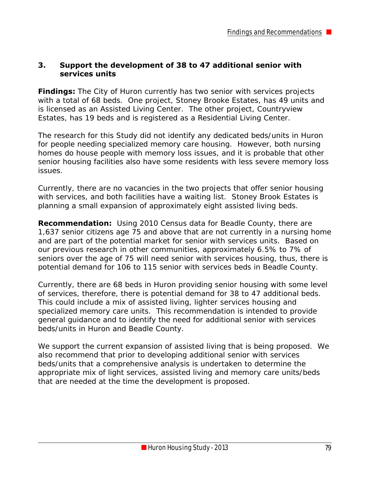#### **3. Support the development of 38 to 47 additional senior with services units**

**Findings:** The City of Huron currently has two senior with services projects with a total of 68 beds. One project, Stoney Brooke Estates, has 49 units and is licensed as an Assisted Living Center. The other project, Countryview Estates, has 19 beds and is registered as a Residential Living Center.

The research for this Study did not identify any dedicated beds/units in Huron for people needing specialized memory care housing. However, both nursing homes do house people with memory loss issues, and it is probable that other senior housing facilities also have some residents with less severe memory loss issues.

Currently, there are no vacancies in the two projects that offer senior housing with services, and both facilities have a waiting list. Stoney Brook Estates is planning a small expansion of approximately eight assisted living beds.

**Recommendation:** Using 2010 Census data for Beadle County, there are 1,637 senior citizens age 75 and above that are not currently in a nursing home and are part of the potential market for senior with services units. Based on our previous research in other communities, approximately 6.5% to 7% of seniors over the age of 75 will need senior with services housing, thus, there is potential demand for 106 to 115 senior with services beds in Beadle County.

Currently, there are 68 beds in Huron providing senior housing with some level of services, therefore, there is potential demand for 38 to 47 additional beds. This could include a mix of assisted living, lighter services housing and specialized memory care units. This recommendation is intended to provide general guidance and to identify the need for additional senior with services beds/units in Huron and Beadle County.

We support the current expansion of assisted living that is being proposed. We also recommend that prior to developing additional senior with services beds/units that a comprehensive analysis is undertaken to determine the appropriate mix of light services, assisted living and memory care units/beds that are needed at the time the development is proposed.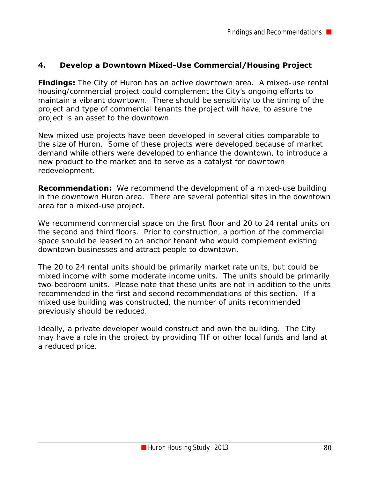#### **4. Develop a Downtown Mixed-Use Commercial/Housing Project**

**Findings:** The City of Huron has an active downtown area. A mixed-use rental housing/commercial project could complement the City's ongoing efforts to maintain a vibrant downtown. There should be sensitivity to the timing of the project and type of commercial tenants the project will have, to assure the project is an asset to the downtown.

New mixed use projects have been developed in several cities comparable to the size of Huron. Some of these projects were developed because of market demand while others were developed to enhance the downtown, to introduce a new product to the market and to serve as a catalyst for downtown redevelopment.

**Recommendation:** We recommend the development of a mixed-use building in the downtown Huron area. There are several potential sites in the downtown area for a mixed-use project.

We recommend commercial space on the first floor and 20 to 24 rental units on the second and third floors. Prior to construction, a portion of the commercial space should be leased to an anchor tenant who would complement existing downtown businesses and attract people to downtown.

The 20 to 24 rental units should be primarily market rate units, but could be mixed income with some moderate income units. The units should be primarily two-bedroom units. Please note that these units are not in addition to the units recommended in the first and second recommendations of this section. If a mixed use building was constructed, the number of units recommended previously should be reduced.

Ideally, a private developer would construct and own the building. The City may have a role in the project by providing TIF or other local funds and land at a reduced price.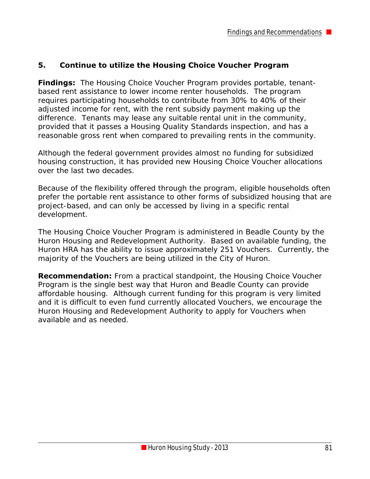#### **5. Continue to utilize the Housing Choice Voucher Program**

**Findings:** The Housing Choice Voucher Program provides portable, tenantbased rent assistance to lower income renter households. The program requires participating households to contribute from 30% to 40% of their adjusted income for rent, with the rent subsidy payment making up the difference. Tenants may lease any suitable rental unit in the community, provided that it passes a Housing Quality Standards inspection, and has a reasonable gross rent when compared to prevailing rents in the community.

Although the federal government provides almost no funding for subsidized housing construction, it has provided new Housing Choice Voucher allocations over the last two decades.

Because of the flexibility offered through the program, eligible households often prefer the portable rent assistance to other forms of subsidized housing that are project-based, and can only be accessed by living in a specific rental development.

The Housing Choice Voucher Program is administered in Beadle County by the Huron Housing and Redevelopment Authority. Based on available funding, the Huron HRA has the ability to issue approximately 251 Vouchers. Currently, the majority of the Vouchers are being utilized in the City of Huron.

**Recommendation:** From a practical standpoint, the Housing Choice Voucher Program is the single best way that Huron and Beadle County can provide affordable housing. Although current funding for this program is very limited and it is difficult to even fund currently allocated Vouchers, we encourage the Huron Housing and Redevelopment Authority to apply for Vouchers when available and as needed.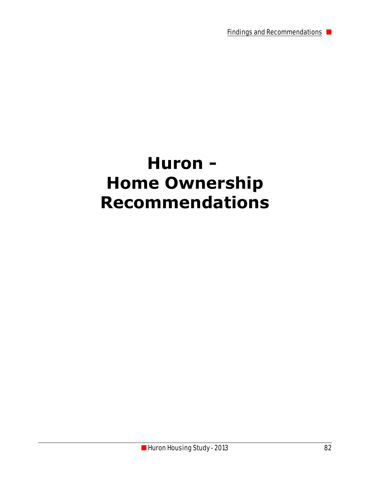Findings and Recommendations

## **Huron - Home Ownership Recommendations**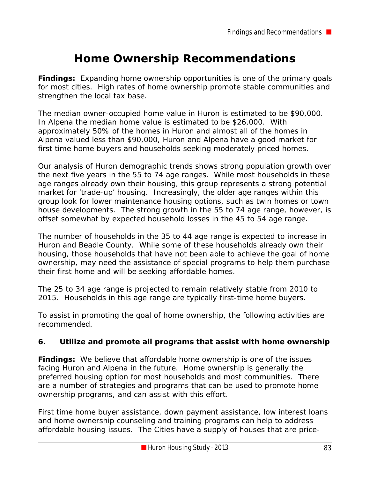### **Home Ownership Recommendations**

**Findings:** Expanding home ownership opportunities is one of the primary goals for most cities. High rates of home ownership promote stable communities and strengthen the local tax base.

The median owner-occupied home value in Huron is estimated to be \$90,000. In Alpena the median home value is estimated to be \$26,000. With approximately 50% of the homes in Huron and almost all of the homes in Alpena valued less than \$90,000, Huron and Alpena have a good market for first time home buyers and households seeking moderately priced homes.

Our analysis of Huron demographic trends shows strong population growth over the next five years in the 55 to 74 age ranges. While most households in these age ranges already own their housing, this group represents a strong potential market for 'trade-up' housing. Increasingly, the older age ranges within this group look for lower maintenance housing options, such as twin homes or town house developments. The strong growth in the 55 to 74 age range, however, is offset somewhat by expected household losses in the 45 to 54 age range.

The number of households in the 35 to 44 age range is expected to increase in Huron and Beadle County. While some of these households already own their housing, those households that have not been able to achieve the goal of home ownership, may need the assistance of special programs to help them purchase their first home and will be seeking affordable homes.

The 25 to 34 age range is projected to remain relatively stable from 2010 to 2015. Households in this age range are typically first-time home buyers.

To assist in promoting the goal of home ownership, the following activities are recommended.

#### **6. Utilize and promote all programs that assist with home ownership**

**Findings:** We believe that affordable home ownership is one of the issues facing Huron and Alpena in the future. Home ownership is generally the preferred housing option for most households and most communities. There are a number of strategies and programs that can be used to promote home ownership programs, and can assist with this effort.

First time home buyer assistance, down payment assistance, low interest loans and home ownership counseling and training programs can help to address affordable housing issues. The Cities have a supply of houses that are price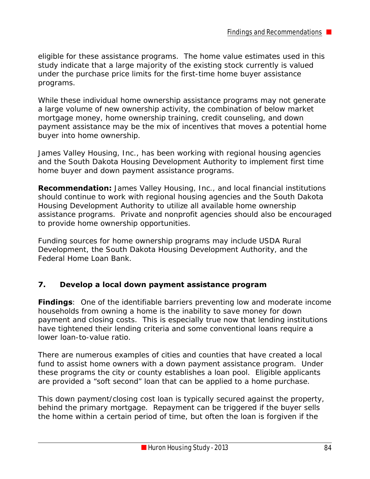eligible for these assistance programs. The home value estimates used in this study indicate that a large majority of the existing stock currently is valued under the purchase price limits for the first-time home buyer assistance programs.

While these individual home ownership assistance programs may not generate a large volume of new ownership activity, the combination of below market mortgage money, home ownership training, credit counseling, and down payment assistance may be the mix of incentives that moves a potential home buyer into home ownership.

James Valley Housing, Inc., has been working with regional housing agencies and the South Dakota Housing Development Authority to implement first time home buyer and down payment assistance programs.

**Recommendation:** James Valley Housing, Inc., and local financial institutions should continue to work with regional housing agencies and the South Dakota Housing Development Authority to utilize all available home ownership assistance programs. Private and nonprofit agencies should also be encouraged to provide home ownership opportunities.

Funding sources for home ownership programs may include USDA Rural Development, the South Dakota Housing Development Authority, and the Federal Home Loan Bank.

#### **7. Develop a local down payment assistance program**

**Findings**: One of the identifiable barriers preventing low and moderate income households from owning a home is the inability to save money for down payment and closing costs. This is especially true now that lending institutions have tightened their lending criteria and some conventional loans require a lower loan-to-value ratio.

There are numerous examples of cities and counties that have created a local fund to assist home owners with a down payment assistance program. Under these programs the city or county establishes a loan pool. Eligible applicants are provided a "soft second" loan that can be applied to a home purchase.

This down payment/closing cost loan is typically secured against the property, behind the primary mortgage. Repayment can be triggered if the buyer sells the home within a certain period of time, but often the loan is forgiven if the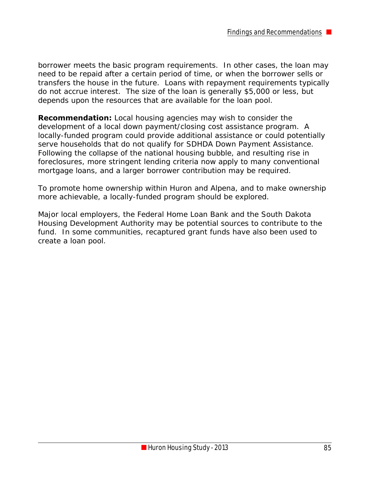borrower meets the basic program requirements. In other cases, the loan may need to be repaid after a certain period of time, or when the borrower sells or transfers the house in the future. Loans with repayment requirements typically do not accrue interest. The size of the loan is generally \$5,000 or less, but depends upon the resources that are available for the loan pool.

**Recommendation:** Local housing agencies may wish to consider the development of a local down payment/closing cost assistance program. A locally-funded program could provide additional assistance or could potentially serve households that do not qualify for SDHDA Down Payment Assistance. Following the collapse of the national housing bubble, and resulting rise in foreclosures, more stringent lending criteria now apply to many conventional mortgage loans, and a larger borrower contribution may be required.

To promote home ownership within Huron and Alpena, and to make ownership more achievable, a locally-funded program should be explored.

Major local employers, the Federal Home Loan Bank and the South Dakota Housing Development Authority may be potential sources to contribute to the fund. In some communities, recaptured grant funds have also been used to create a loan pool.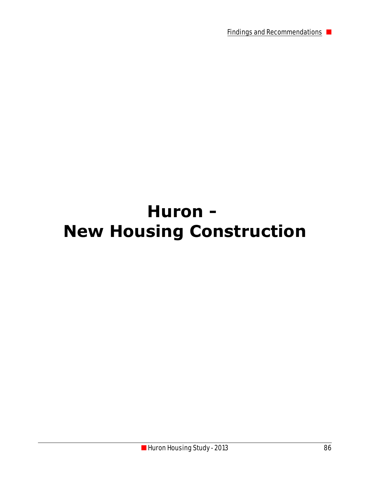Findings and Recommendations

# **Huron - New Housing Construction**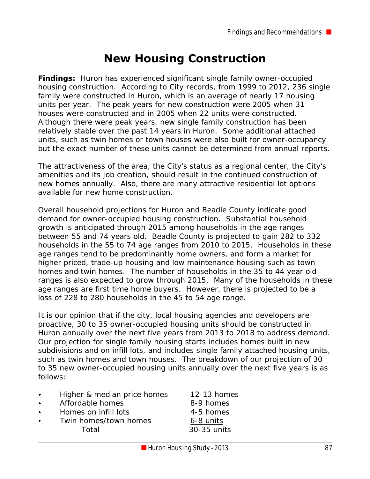### **New Housing Construction**

**Findings:** Huron has experienced significant single family owner-occupied housing construction. According to City records, from 1999 to 2012, 236 single family were constructed in Huron, which is an average of nearly 17 housing units per year. The peak years for new construction were 2005 when 31 houses were constructed and in 2005 when 22 units were constructed. Although there were peak years, new single family construction has been relatively stable over the past 14 years in Huron. Some additional attached units, such as twin homes or town houses were also built for owner-occupancy but the exact number of these units cannot be determined from annual reports.

The attractiveness of the area, the City's status as a regional center, the City's amenities and its job creation, should result in the continued construction of new homes annually. Also, there are many attractive residential lot options available for new home construction.

Overall household projections for Huron and Beadle County indicate good demand for owner-occupied housing construction. Substantial household growth is anticipated through 2015 among households in the age ranges between 55 and 74 years old. Beadle County is projected to gain 282 to 332 households in the 55 to 74 age ranges from 2010 to 2015. Households in these age ranges tend to be predominantly home owners, and form a market for higher priced, trade-up housing and low maintenance housing such as town homes and twin homes. The number of households in the 35 to 44 year old ranges is also expected to grow through 2015. Many of the households in these age ranges are first time home buyers. However, there is projected to be a loss of 228 to 280 households in the 45 to 54 age range.

It is our opinion that if the city, local housing agencies and developers are proactive, 30 to 35 owner-occupied housing units should be constructed in Huron annually over the next five years from 2013 to 2018 to address demand. Our projection for single family housing starts includes homes built in new subdivisions and on infill lots, and includes single family attached housing units, such as twin homes and town houses. The breakdown of our projection of 30 to 35 new owner-occupied housing units annually over the next five years is as follows:

- Higher & median price homes 12-13 homes
- Affordable homes 8-9 homes
- ▶ Homes on infill lots 4-5 homes
- Twin homes/town homes 6-8 units Total 30-35 units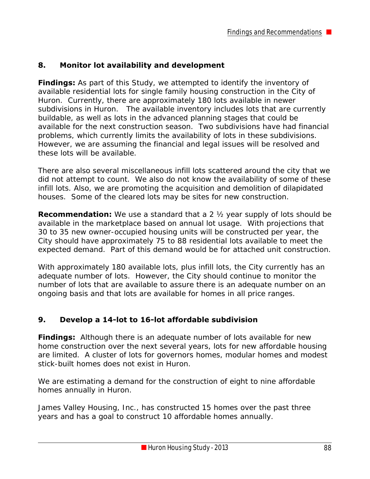#### **8. Monitor lot availability and development**

**Findings:** As part of this Study, we attempted to identify the inventory of available residential lots for single family housing construction in the City of Huron. Currently, there are approximately 180 lots available in newer subdivisions in Huron. The available inventory includes lots that are currently buildable, as well as lots in the advanced planning stages that could be available for the next construction season. Two subdivisions have had financial problems, which currently limits the availability of lots in these subdivisions. However, we are assuming the financial and legal issues will be resolved and these lots will be available.

There are also several miscellaneous infill lots scattered around the city that we did not attempt to count. We also do not know the availability of some of these infill lots. Also, we are promoting the acquisition and demolition of dilapidated houses. Some of the cleared lots may be sites for new construction.

**Recommendation:** We use a standard that a 2 ½ year supply of lots should be available in the marketplace based on annual lot usage. With projections that 30 to 35 new owner-occupied housing units will be constructed per year, the City should have approximately 75 to 88 residential lots available to meet the expected demand. Part of this demand would be for attached unit construction.

With approximately 180 available lots, plus infill lots, the City currently has an adequate number of lots. However, the City should continue to monitor the number of lots that are available to assure there is an adequate number on an ongoing basis and that lots are available for homes in all price ranges.

#### **9. Develop a 14-lot to 16-lot affordable subdivision**

**Findings:** Although there is an adequate number of lots available for new home construction over the next several years, lots for new affordable housing are limited. A cluster of lots for governors homes, modular homes and modest stick-built homes does not exist in Huron.

We are estimating a demand for the construction of eight to nine affordable homes annually in Huron.

James Valley Housing, Inc., has constructed 15 homes over the past three years and has a goal to construct 10 affordable homes annually.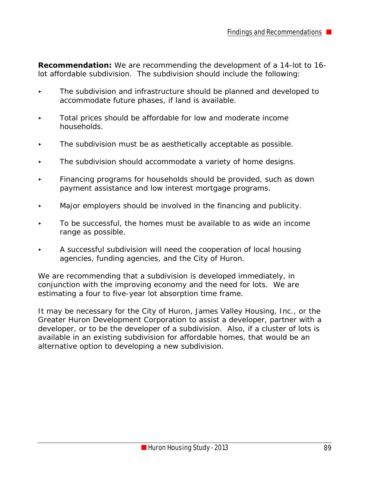**Recommendation:** We are recommending the development of a 14-lot to 16 lot affordable subdivision. The subdivision should include the following:

- $\triangleright$  The subdivision and infrastructure should be planned and developed to accommodate future phases, if land is available.
- **FICT** Total prices should be affordable for low and moderate income households.
- $\blacktriangleright$  The subdivision must be as aesthetically acceptable as possible.
- The subdivision should accommodate a variety of home designs.
- Financing programs for households should be provided, such as down payment assistance and low interest mortgage programs.
- Major employers should be involved in the financing and publicity.
- < To be successful, the homes must be available to as wide an income range as possible.
- $\triangleright$  A successful subdivision will need the cooperation of local housing agencies, funding agencies, and the City of Huron.

We are recommending that a subdivision is developed immediately, in conjunction with the improving economy and the need for lots. We are estimating a four to five-year lot absorption time frame.

It may be necessary for the City of Huron, James Valley Housing, Inc., or the Greater Huron Development Corporation to assist a developer, partner with a developer, or to be the developer of a subdivision. Also, if a cluster of lots is available in an existing subdivision for affordable homes, that would be an alternative option to developing a new subdivision.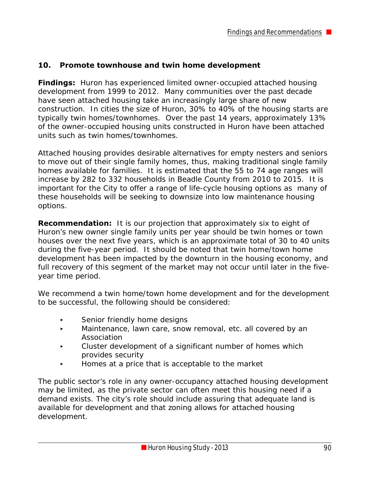#### **10. Promote townhouse and twin home development**

**Findings:** Huron has experienced limited owner-occupied attached housing development from 1999 to 2012. Many communities over the past decade have seen attached housing take an increasingly large share of new construction. In cities the size of Huron, 30% to 40% of the housing starts are typically twin homes/townhomes. Over the past 14 years, approximately 13% of the owner-occupied housing units constructed in Huron have been attached units such as twin homes/townhomes.

Attached housing provides desirable alternatives for empty nesters and seniors to move out of their single family homes, thus, making traditional single family homes available for families. It is estimated that the 55 to 74 age ranges will increase by 282 to 332 households in Beadle County from 2010 to 2015. It is important for the City to offer a range of life-cycle housing options as many of these households will be seeking to downsize into low maintenance housing options.

**Recommendation:** It is our projection that approximately six to eight of Huron's new owner single family units per year should be twin homes or town houses over the next five years, which is an approximate total of 30 to 40 units during the five-year period. It should be noted that twin home/town home development has been impacted by the downturn in the housing economy, and full recovery of this segment of the market may not occur until later in the fiveyear time period.

We recommend a twin home/town home development and for the development to be successful, the following should be considered:

- **EXECUTE:** Senior friendly home designs
- **Maintenance, lawn care, snow removal, etc. all covered by an** Association
- $\triangleright$  Cluster development of a significant number of homes which provides security
- < Homes at a price that is acceptable to the market

The public sector's role in any owner-occupancy attached housing development may be limited, as the private sector can often meet this housing need if a demand exists. The city's role should include assuring that adequate land is available for development and that zoning allows for attached housing development.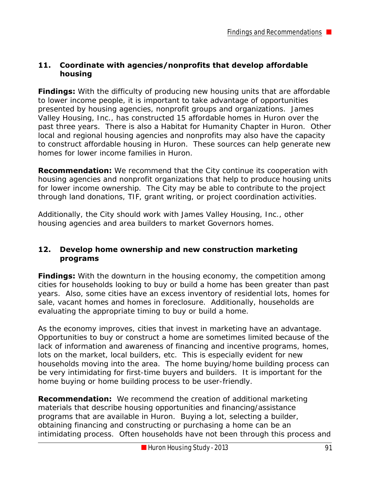#### **11. Coordinate with agencies/nonprofits that develop affordable housing**

**Findings:** With the difficulty of producing new housing units that are affordable to lower income people, it is important to take advantage of opportunities presented by housing agencies, nonprofit groups and organizations. James Valley Housing, Inc., has constructed 15 affordable homes in Huron over the past three years. There is also a Habitat for Humanity Chapter in Huron. Other local and regional housing agencies and nonprofits may also have the capacity to construct affordable housing in Huron. These sources can help generate new homes for lower income families in Huron.

**Recommendation:** We recommend that the City continue its cooperation with housing agencies and nonprofit organizations that help to produce housing units for lower income ownership. The City may be able to contribute to the project through land donations, TIF, grant writing, or project coordination activities.

Additionally, the City should work with James Valley Housing, Inc., other housing agencies and area builders to market Governors homes.

#### **12. Develop home ownership and new construction marketing programs**

**Findings:** With the downturn in the housing economy, the competition among cities for households looking to buy or build a home has been greater than past years. Also, some cities have an excess inventory of residential lots, homes for sale, vacant homes and homes in foreclosure. Additionally, households are evaluating the appropriate timing to buy or build a home.

As the economy improves, cities that invest in marketing have an advantage. Opportunities to buy or construct a home are sometimes limited because of the lack of information and awareness of financing and incentive programs, homes, lots on the market, local builders, etc. This is especially evident for new households moving into the area. The home buying/home building process can be very intimidating for first-time buyers and builders. It is important for the home buying or home building process to be user-friendly.

**Recommendation:** We recommend the creation of additional marketing materials that describe housing opportunities and financing/assistance programs that are available in Huron. Buying a lot, selecting a builder, obtaining financing and constructing or purchasing a home can be an intimidating process. Often households have not been through this process and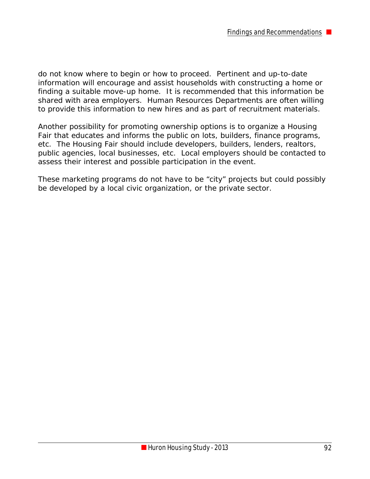do not know where to begin or how to proceed. Pertinent and up-to-date information will encourage and assist households with constructing a home or finding a suitable move-up home. It is recommended that this information be shared with area employers. Human Resources Departments are often willing to provide this information to new hires and as part of recruitment materials.

Another possibility for promoting ownership options is to organize a Housing Fair that educates and informs the public on lots, builders, finance programs, etc. The Housing Fair should include developers, builders, lenders, realtors, public agencies, local businesses, etc. Local employers should be contacted to assess their interest and possible participation in the event.

These marketing programs do not have to be "city" projects but could possibly be developed by a local civic organization, or the private sector.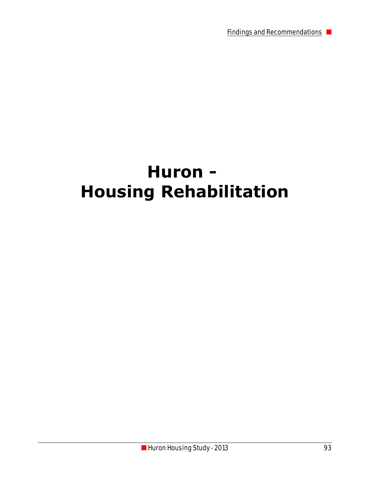Findings and Recommendations

## **Huron - Housing Rehabilitation**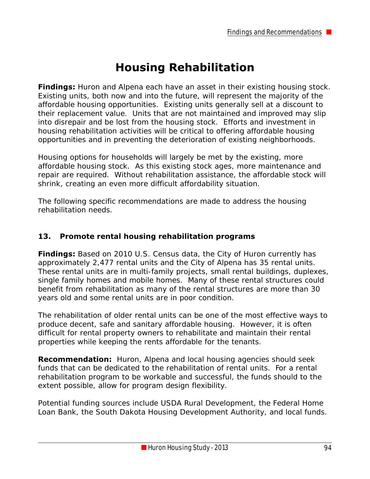### **Housing Rehabilitation**

**Findings:** Huron and Alpena each have an asset in their existing housing stock. Existing units, both now and into the future, will represent the majority of the affordable housing opportunities. Existing units generally sell at a discount to their replacement value. Units that are not maintained and improved may slip into disrepair and be lost from the housing stock. Efforts and investment in housing rehabilitation activities will be critical to offering affordable housing opportunities and in preventing the deterioration of existing neighborhoods.

Housing options for households will largely be met by the existing, more affordable housing stock. As this existing stock ages, more maintenance and repair are required. Without rehabilitation assistance, the affordable stock will shrink, creating an even more difficult affordability situation.

The following specific recommendations are made to address the housing rehabilitation needs.

#### **13. Promote rental housing rehabilitation programs**

**Findings:** Based on 2010 U.S. Census data, the City of Huron currently has approximately 2,477 rental units and the City of Alpena has 35 rental units. These rental units are in multi-family projects, small rental buildings, duplexes, single family homes and mobile homes. Many of these rental structures could benefit from rehabilitation as many of the rental structures are more than 30 years old and some rental units are in poor condition.

The rehabilitation of older rental units can be one of the most effective ways to produce decent, safe and sanitary affordable housing. However, it is often difficult for rental property owners to rehabilitate and maintain their rental properties while keeping the rents affordable for the tenants.

**Recommendation:** Huron, Alpena and local housing agencies should seek funds that can be dedicated to the rehabilitation of rental units. For a rental rehabilitation program to be workable and successful, the funds should to the extent possible, allow for program design flexibility.

Potential funding sources include USDA Rural Development, the Federal Home Loan Bank, the South Dakota Housing Development Authority, and local funds.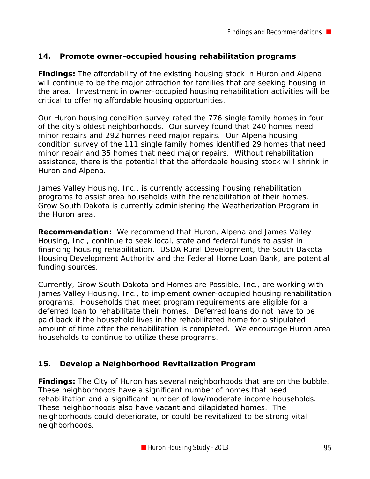#### **14. Promote owner-occupied housing rehabilitation programs**

**Findings:** The affordability of the existing housing stock in Huron and Alpena will continue to be the major attraction for families that are seeking housing in the area. Investment in owner-occupied housing rehabilitation activities will be critical to offering affordable housing opportunities.

Our Huron housing condition survey rated the 776 single family homes in four of the city's oldest neighborhoods. Our survey found that 240 homes need minor repairs and 292 homes need major repairs. Our Alpena housing condition survey of the 111 single family homes identified 29 homes that need minor repair and 35 homes that need major repairs. Without rehabilitation assistance, there is the potential that the affordable housing stock will shrink in Huron and Alpena.

James Valley Housing, Inc., is currently accessing housing rehabilitation programs to assist area households with the rehabilitation of their homes. Grow South Dakota is currently administering the Weatherization Program in the Huron area.

**Recommendation:** We recommend that Huron, Alpena and James Valley Housing, Inc., continue to seek local, state and federal funds to assist in financing housing rehabilitation. USDA Rural Development, the South Dakota Housing Development Authority and the Federal Home Loan Bank, are potential funding sources.

Currently, Grow South Dakota and Homes are Possible, Inc., are working with James Valley Housing, Inc., to implement owner-occupied housing rehabilitation programs. Households that meet program requirements are eligible for a deferred loan to rehabilitate their homes. Deferred loans do not have to be paid back if the household lives in the rehabilitated home for a stipulated amount of time after the rehabilitation is completed. We encourage Huron area households to continue to utilize these programs.

#### **15. Develop a Neighborhood Revitalization Program**

**Findings:** The City of Huron has several neighborhoods that are on the bubble. These neighborhoods have a significant number of homes that need rehabilitation and a significant number of low/moderate income households. These neighborhoods also have vacant and dilapidated homes. The neighborhoods could deteriorate, or could be revitalized to be strong vital neighborhoods.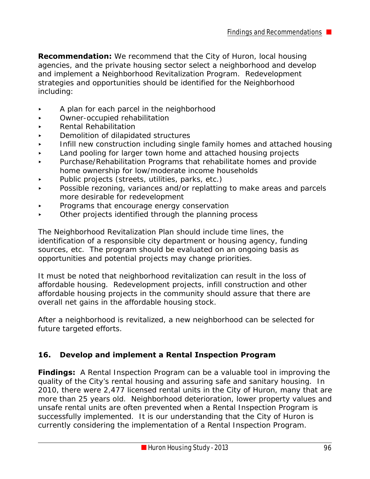**Recommendation:** We recommend that the City of Huron, local housing agencies, and the private housing sector select a neighborhood and develop and implement a Neighborhood Revitalization Program. Redevelopment strategies and opportunities should be identified for the Neighborhood including:

- $\blacktriangleright$  A plan for each parcel in the neighborhood
- < Owner-occupied rehabilitation
- < Rental Rehabilitation
- < Demolition of dilapidated structures
- $\blacktriangleright$  Infill new construction including single family homes and attached housing
- < Land pooling for larger town home and attached housing projects
- < Purchase/Rehabilitation Programs that rehabilitate homes and provide home ownership for low/moderate income households
- Public projects (streets, utilities, parks, etc.)
- Possible rezoning, variances and/or replatting to make areas and parcels more desirable for redevelopment
- < Programs that encourage energy conservation
- $\triangleright$  Other projects identified through the planning process

The Neighborhood Revitalization Plan should include time lines, the identification of a responsible city department or housing agency, funding sources, etc. The program should be evaluated on an ongoing basis as opportunities and potential projects may change priorities.

It must be noted that neighborhood revitalization can result in the loss of affordable housing. Redevelopment projects, infill construction and other affordable housing projects in the community should assure that there are overall net gains in the affordable housing stock.

After a neighborhood is revitalized, a new neighborhood can be selected for future targeted efforts.

#### **16. Develop and implement a Rental Inspection Program**

**Findings:** A Rental Inspection Program can be a valuable tool in improving the quality of the City's rental housing and assuring safe and sanitary housing. In 2010, there were 2,477 licensed rental units in the City of Huron, many that are more than 25 years old. Neighborhood deterioration, lower property values and unsafe rental units are often prevented when a Rental Inspection Program is successfully implemented. It is our understanding that the City of Huron is currently considering the implementation of a Rental Inspection Program.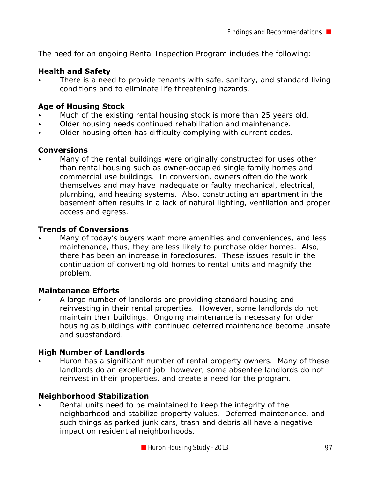The need for an ongoing Rental Inspection Program includes the following:

#### **Health and Safety**

 $\rightarrow$  There is a need to provide tenants with safe, sanitary, and standard living conditions and to eliminate life threatening hazards.

#### **Age of Housing Stock**

- < Much of the existing rental housing stock is more than 25 years old.
- < Older housing needs continued rehabilitation and maintenance.
- Older housing often has difficulty complying with current codes.

#### **Conversions**

Many of the rental buildings were originally constructed for uses other than rental housing such as owner-occupied single family homes and commercial use buildings. In conversion, owners often do the work themselves and may have inadequate or faulty mechanical, electrical, plumbing, and heating systems. Also, constructing an apartment in the basement often results in a lack of natural lighting, ventilation and proper access and egress.

#### **Trends of Conversions**

Many of today's buyers want more amenities and conveniences, and less maintenance, thus, they are less likely to purchase older homes. Also, there has been an increase in foreclosures. These issues result in the continuation of converting old homes to rental units and magnify the problem.

#### **Maintenance Efforts**

< A large number of landlords are providing standard housing and reinvesting in their rental properties. However, some landlords do not maintain their buildings. Ongoing maintenance is necessary for older housing as buildings with continued deferred maintenance become unsafe and substandard.

#### **High Number of Landlords**

Huron has a significant number of rental property owners. Many of these landlords do an excellent job; however, some absentee landlords do not reinvest in their properties, and create a need for the program.

#### **Neighborhood Stabilization**

Rental units need to be maintained to keep the integrity of the neighborhood and stabilize property values. Deferred maintenance, and such things as parked junk cars, trash and debris all have a negative impact on residential neighborhoods.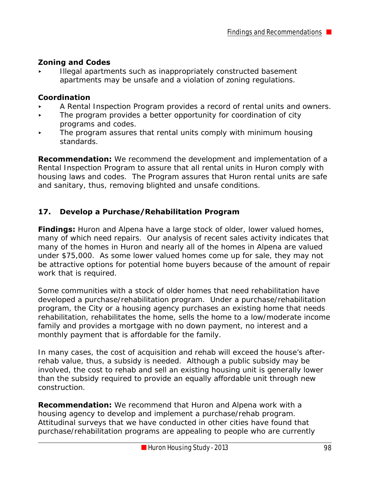#### **Zoning and Codes**

< Illegal apartments such as inappropriately constructed basement apartments may be unsafe and a violation of zoning regulations.

#### **Coordination**

- A Rental Inspection Program provides a record of rental units and owners.
- **Fig.** The program provides a better opportunity for coordination of city programs and codes.
- The program assures that rental units comply with minimum housing standards.

**Recommendation:** We recommend the development and implementation of a Rental Inspection Program to assure that all rental units in Huron comply with housing laws and codes. The Program assures that Huron rental units are safe and sanitary, thus, removing blighted and unsafe conditions.

#### **17. Develop a Purchase/Rehabilitation Program**

**Findings:** Huron and Alpena have a large stock of older, lower valued homes, many of which need repairs. Our analysis of recent sales activity indicates that many of the homes in Huron and nearly all of the homes in Alpena are valued under \$75,000. As some lower valued homes come up for sale, they may not be attractive options for potential home buyers because of the amount of repair work that is required.

Some communities with a stock of older homes that need rehabilitation have developed a purchase/rehabilitation program. Under a purchase/rehabilitation program, the City or a housing agency purchases an existing home that needs rehabilitation, rehabilitates the home, sells the home to a low/moderate income family and provides a mortgage with no down payment, no interest and a monthly payment that is affordable for the family.

In many cases, the cost of acquisition and rehab will exceed the house's afterrehab value, thus, a subsidy is needed. Although a public subsidy may be involved, the cost to rehab and sell an existing housing unit is generally lower than the subsidy required to provide an equally affordable unit through new construction.

**Recommendation:** We recommend that Huron and Alpena work with a housing agency to develop and implement a purchase/rehab program. Attitudinal surveys that we have conducted in other cities have found that purchase/rehabilitation programs are appealing to people who are currently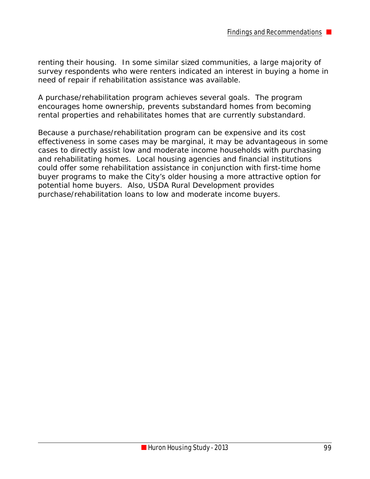renting their housing. In some similar sized communities, a large majority of survey respondents who were renters indicated an interest in buying a home in need of repair if rehabilitation assistance was available.

A purchase/rehabilitation program achieves several goals. The program encourages home ownership, prevents substandard homes from becoming rental properties and rehabilitates homes that are currently substandard.

Because a purchase/rehabilitation program can be expensive and its cost effectiveness in some cases may be marginal, it may be advantageous in some cases to directly assist low and moderate income households with purchasing and rehabilitating homes. Local housing agencies and financial institutions could offer some rehabilitation assistance in conjunction with first-time home buyer programs to make the City's older housing a more attractive option for potential home buyers. Also, USDA Rural Development provides purchase/rehabilitation loans to low and moderate income buyers.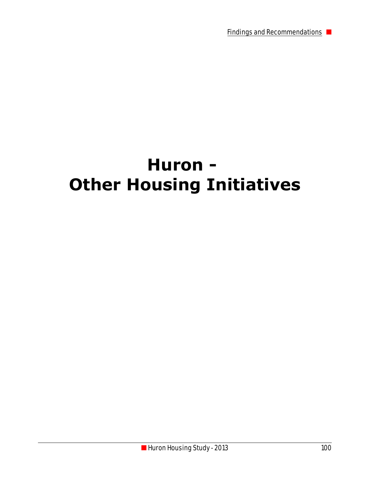Findings and Recommendations

## **Huron - Other Housing Initiatives**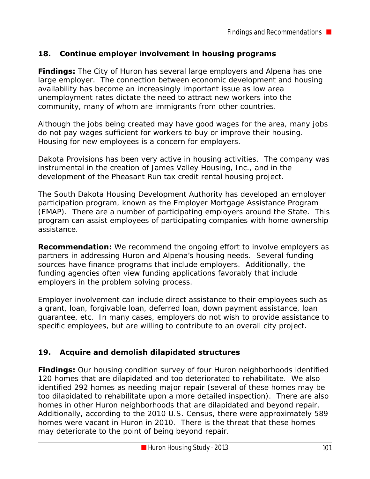#### **18. Continue employer involvement in housing programs**

**Findings:** The City of Huron has several large employers and Alpena has one large employer. The connection between economic development and housing availability has become an increasingly important issue as low area unemployment rates dictate the need to attract new workers into the community, many of whom are immigrants from other countries.

Although the jobs being created may have good wages for the area, many jobs do not pay wages sufficient for workers to buy or improve their housing. Housing for new employees is a concern for employers.

Dakota Provisions has been very active in housing activities. The company was instrumental in the creation of James Valley Housing, Inc., and in the development of the Pheasant Run tax credit rental housing project.

The South Dakota Housing Development Authority has developed an employer participation program, known as the Employer Mortgage Assistance Program (EMAP). There are a number of participating employers around the State. This program can assist employees of participating companies with home ownership assistance.

**Recommendation:** We recommend the ongoing effort to involve employers as partners in addressing Huron and Alpena's housing needs. Several funding sources have finance programs that include employers. Additionally, the funding agencies often view funding applications favorably that include employers in the problem solving process.

Employer involvement can include direct assistance to their employees such as a grant, loan, forgivable loan, deferred loan, down payment assistance, loan guarantee, etc. In many cases, employers do not wish to provide assistance to specific employees, but are willing to contribute to an overall city project.

#### **19. Acquire and demolish dilapidated structures**

**Findings:** Our housing condition survey of four Huron neighborhoods identified 120 homes that are dilapidated and too deteriorated to rehabilitate. We also identified 292 homes as needing major repair (several of these homes may be too dilapidated to rehabilitate upon a more detailed inspection). There are also homes in other Huron neighborhoods that are dilapidated and beyond repair. Additionally, according to the 2010 U.S. Census, there were approximately 589 homes were vacant in Huron in 2010. There is the threat that these homes may deteriorate to the point of being beyond repair.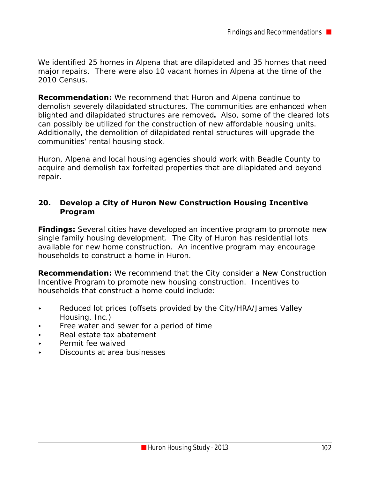We identified 25 homes in Alpena that are dilapidated and 35 homes that need major repairs. There were also 10 vacant homes in Alpena at the time of the 2010 Census.

**Recommendation:** We recommend that Huron and Alpena continue to demolish severely dilapidated structures. The communities are enhanced when blighted and dilapidated structures are removed**.** Also, some of the cleared lots can possibly be utilized for the construction of new affordable housing units. Additionally, the demolition of dilapidated rental structures will upgrade the communities' rental housing stock.

Huron, Alpena and local housing agencies should work with Beadle County to acquire and demolish tax forfeited properties that are dilapidated and beyond repair.

#### **20. Develop a City of Huron New Construction Housing Incentive Program**

**Findings:** Several cities have developed an incentive program to promote new single family housing development. The City of Huron has residential lots available for new home construction. An incentive program may encourage households to construct a home in Huron.

**Recommendation:** We recommend that the City consider a New Construction Incentive Program to promote new housing construction. Incentives to households that construct a home could include:

- $\triangleright$  Reduced lot prices (offsets provided by the City/HRA/James Valley Housing, Inc.)
- Free water and sewer for a period of time
- Real estate tax abatement
- **EXECUTE:** Permit fee waived
- < Discounts at area businesses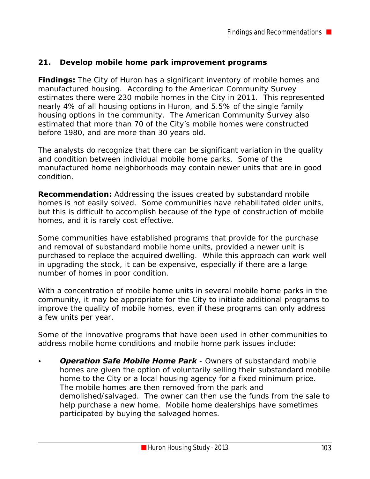#### **21. Develop mobile home park improvement programs**

**Findings:** The City of Huron has a significant inventory of mobile homes and manufactured housing. According to the American Community Survey estimates there were 230 mobile homes in the City in 2011. This represented nearly 4% of all housing options in Huron, and 5.5% of the single family housing options in the community. The American Community Survey also estimated that more than 70 of the City's mobile homes were constructed before 1980, and are more than 30 years old.

The analysts do recognize that there can be significant variation in the quality and condition between individual mobile home parks. Some of the manufactured home neighborhoods may contain newer units that are in good condition.

**Recommendation:** Addressing the issues created by substandard mobile homes is not easily solved. Some communities have rehabilitated older units, but this is difficult to accomplish because of the type of construction of mobile homes, and it is rarely cost effective.

Some communities have established programs that provide for the purchase and removal of substandard mobile home units, provided a newer unit is purchased to replace the acquired dwelling. While this approach can work well in upgrading the stock, it can be expensive, especially if there are a large number of homes in poor condition.

With a concentration of mobile home units in several mobile home parks in the community, it may be appropriate for the City to initiate additional programs to improve the quality of mobile homes, even if these programs can only address a few units per year.

Some of the innovative programs that have been used in other communities to address mobile home conditions and mobile home park issues include:

**Deration Safe Mobile Home Park** - Owners of substandard mobile homes are given the option of voluntarily selling their substandard mobile home to the City or a local housing agency for a fixed minimum price. The mobile homes are then removed from the park and demolished/salvaged. The owner can then use the funds from the sale to help purchase a new home. Mobile home dealerships have sometimes participated by buying the salvaged homes.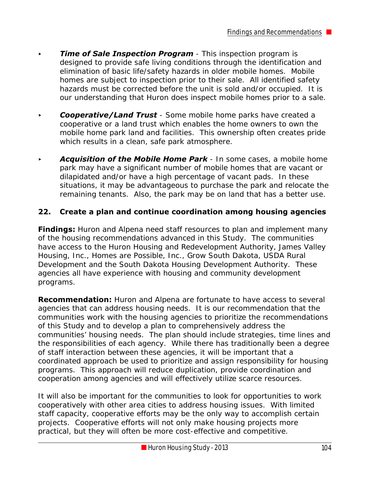- **Time of Sale Inspection Program** This inspection program is designed to provide safe living conditions through the identification and elimination of basic life/safety hazards in older mobile homes. Mobile homes are subject to inspection prior to their sale. All identified safety hazards must be corrected before the unit is sold and/or occupied. It is our understanding that Huron does inspect mobile homes prior to a sale.
- **Cooperative/Land Trust** Some mobile home parks have created a cooperative or a land trust which enables the home owners to own the mobile home park land and facilities. This ownership often creates pride which results in a clean, safe park atmosphere.
- Acquisition of the Mobile Home Park In some cases, a mobile home park may have a significant number of mobile homes that are vacant or dilapidated and/or have a high percentage of vacant pads. In these situations, it may be advantageous to purchase the park and relocate the remaining tenants. Also, the park may be on land that has a better use.

#### **22. Create a plan and continue coordination among housing agencies**

**Findings:** Huron and Alpena need staff resources to plan and implement many of the housing recommendations advanced in this Study. The communities have access to the Huron Housing and Redevelopment Authority, James Valley Housing, Inc., Homes are Possible, Inc., Grow South Dakota, USDA Rural Development and the South Dakota Housing Development Authority. These agencies all have experience with housing and community development programs.

**Recommendation:** Huron and Alpena are fortunate to have access to several agencies that can address housing needs. It is our recommendation that the communities work with the housing agencies to prioritize the recommendations of this Study and to develop a plan to comprehensively address the communities' housing needs. The plan should include strategies, time lines and the responsibilities of each agency. While there has traditionally been a degree of staff interaction between these agencies, it will be important that a coordinated approach be used to prioritize and assign responsibility for housing programs. This approach will reduce duplication, provide coordination and cooperation among agencies and will effectively utilize scarce resources.

It will also be important for the communities to look for opportunities to work cooperatively with other area cities to address housing issues. With limited staff capacity, cooperative efforts may be the only way to accomplish certain projects. Cooperative efforts will not only make housing projects more practical, but they will often be more cost-effective and competitive.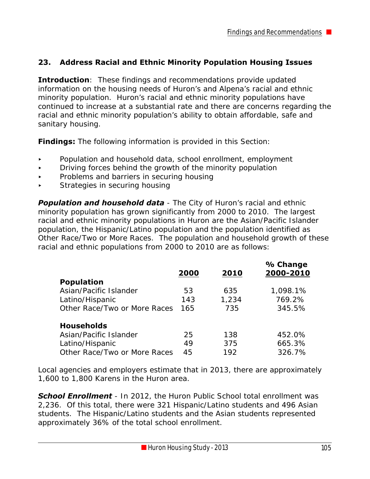#### **23. Address Racial and Ethnic Minority Population Housing Issues**

**Introduction**: These findings and recommendations provide updated information on the housing needs of Huron's and Alpena's racial and ethnic minority population. Huron's racial and ethnic minority populations have continued to increase at a substantial rate and there are concerns regarding the racial and ethnic minority population's ability to obtain affordable, safe and sanitary housing.

**Findings:** The following information is provided in this Section:

- **EXECT** Population and household data, school enrollment, employment
- $\triangleright$  Driving forces behind the growth of the minority population
- **EXECUTE:** Problems and barriers in securing housing
- Strategies in securing housing

**Population and household data** - The City of Huron's racial and ethnic minority population has grown significantly from 2000 to 2010. The largest racial and ethnic minority populations in Huron are the Asian/Pacific Islander population, the Hispanic/Latino population and the population identified as Other Race/Two or More Races. The population and household growth of these racial and ethnic populations from 2000 to 2010 are as follows:

| <b>Population</b>            | 2000 | 2010  | % Change<br>2000-2010 |
|------------------------------|------|-------|-----------------------|
| Asian/Pacific Islander       | 53   | 635   | 1,098.1%              |
| Latino/Hispanic              | 143  | 1,234 | 769.2%                |
| Other Race/Two or More Races | 165  | 735   | 345.5%                |
| <b>Households</b>            |      |       |                       |
| Asian/Pacific Islander       | 25   | 138   | 452.0%                |
| Latino/Hispanic              | 49   | 375   | 665.3%                |
| Other Race/Two or More Races | 45   | 192   | 326.7%                |

Local agencies and employers estimate that in 2013, there are approximately 1,600 to 1,800 Karens in the Huron area.

**School Enrollment** - In 2012, the Huron Public School total enrollment was 2,236. Of this total, there were 321 Hispanic/Latino students and 496 Asian students. The Hispanic/Latino students and the Asian students represented approximately 36% of the total school enrollment.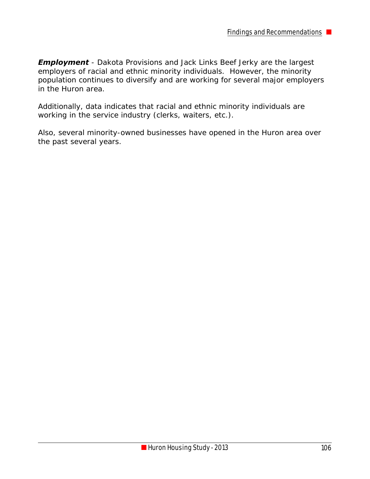*Employment* - Dakota Provisions and Jack Links Beef Jerky are the largest employers of racial and ethnic minority individuals. However, the minority population continues to diversify and are working for several major employers in the Huron area.

Additionally, data indicates that racial and ethnic minority individuals are working in the service industry (clerks, waiters, etc.).

Also, several minority-owned businesses have opened in the Huron area over the past several years.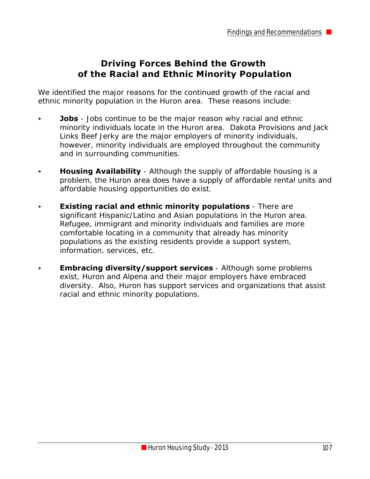#### **Driving Forces Behind the Growth of the Racial and Ethnic Minority Population**

We identified the major reasons for the continued growth of the racial and ethnic minority population in the Huron area. These reasons include:

- **Jobs** Jobs continue to be the major reason why racial and ethnic minority individuals locate in the Huron area. Dakota Provisions and Jack Links Beef Jerky are the major employers of minority individuals, however, minority individuals are employed throughout the community and in surrounding communities.
- **Housing Availability** Although the supply of affordable housing is a problem, the Huron area does have a supply of affordable rental units and affordable housing opportunities do exist.
- **Existing racial and ethnic minority populations** There are significant Hispanic/Latino and Asian populations in the Huron area. Refugee, immigrant and minority individuals and families are more comfortable locating in a community that already has minority populations as the existing residents provide a support system, information, services, etc.
- **Embracing diversity/support services** Although some problems exist, Huron and Alpena and their major employers have embraced diversity. Also, Huron has support services and organizations that assist racial and ethnic minority populations.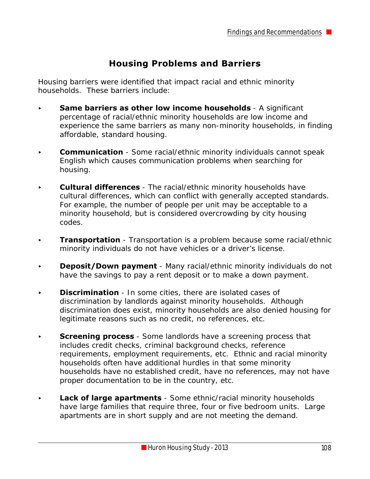## **Housing Problems and Barriers**

Housing barriers were identified that impact racial and ethnic minority households. These barriers include:

- **Same barriers as other low income households** A significant percentage of racial/ethnic minority households are low income and experience the same barriers as many non-minority households, in finding affordable, standard housing.
- **Communication** Some racial/ethnic minority individuals cannot speak English which causes communication problems when searching for housing.
- **Cultural differences** The racial/ethnic minority households have cultural differences, which can conflict with generally accepted standards. For example, the number of people per unit may be acceptable to a minority household, but is considered overcrowding by city housing codes.
- **Transportation** Transportation is a problem because some racial/ethnic minority individuals do not have vehicles or a driver's license.
- **Deposit/Down payment** Many racial/ethnic minority individuals do not have the savings to pay a rent deposit or to make a down payment.
- **Discrimination** In some cities, there are isolated cases of discrimination by landlords against minority households. Although discrimination does exist, minority households are also denied housing for legitimate reasons such as no credit, no references, etc.
- **Screening process** Some landlords have a screening process that includes credit checks, criminal background checks, reference requirements, employment requirements, etc. Ethnic and racial minority households often have additional hurdles in that some minority households have no established credit, have no references, may not have proper documentation to be in the country, etc.
- **Lack of large apartments** Some ethnic/racial minority households have large families that require three, four or five bedroom units. Large apartments are in short supply and are not meeting the demand.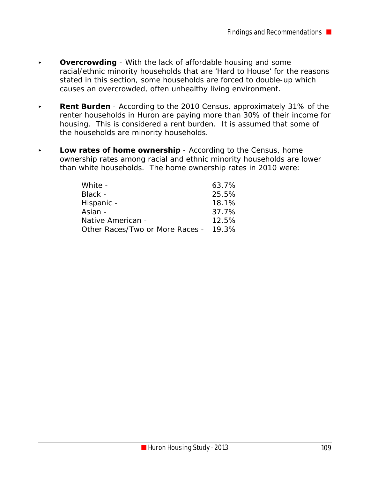- **Divercrowding** With the lack of affordable housing and some racial/ethnic minority households that are 'Hard to House' for the reasons stated in this section, some households are forced to double-up which causes an overcrowded, often unhealthy living environment.
- **Rent Burden** According to the 2010 Census, approximately 31% of the renter households in Huron are paying more than 30% of their income for housing. This is considered a rent burden. It is assumed that some of the households are minority households.
- **Low rates of home ownership** According to the Census, home ownership rates among racial and ethnic minority households are lower than white households. The home ownership rates in 2010 were:

| White -                               | 63.7%    |
|---------------------------------------|----------|
| Black -                               | 25.5%    |
| Hispanic -                            | 18.1%    |
| Asian -                               | $37.7\%$ |
| Native American -                     | 12.5%    |
| Other Races/Two or More Races - 19.3% |          |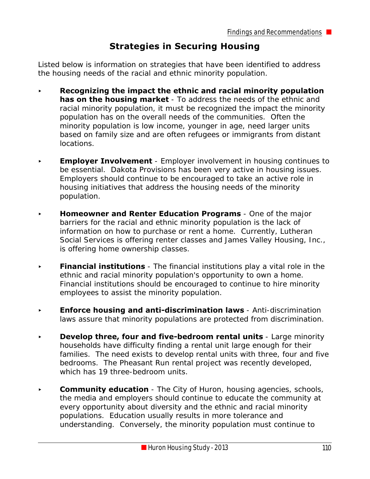## **Strategies in Securing Housing**

Listed below is information on strategies that have been identified to address the housing needs of the racial and ethnic minority population.

- < **Recognizing the impact the ethnic and racial minority population has on the housing market** - To address the needs of the ethnic and racial minority population, it must be recognized the impact the minority population has on the overall needs of the communities. Often the minority population is low income, younger in age, need larger units based on family size and are often refugees or immigrants from distant locations.
- **Employer Involvement** Employer involvement in housing continues to be essential. Dakota Provisions has been very active in housing issues. Employers should continue to be encouraged to take an active role in housing initiatives that address the housing needs of the minority population.
- **Homeowner and Renter Education Programs** One of the major barriers for the racial and ethnic minority population is the lack of information on how to purchase or rent a home. Currently, Lutheran Social Services is offering renter classes and James Valley Housing, Inc., is offering home ownership classes.
- **Financial institutions** The financial institutions play a vital role in the ethnic and racial minority population's opportunity to own a home. Financial institutions should be encouraged to continue to hire minority employees to assist the minority population.
- **Enforce housing and anti-discrimination laws** Anti-discrimination laws assure that minority populations are protected from discrimination.
- **Develop three, four and five-bedroom rental units** Large minority households have difficulty finding a rental unit large enough for their families. The need exists to develop rental units with three, four and five bedrooms. The Pheasant Run rental project was recently developed, which has 19 three-bedroom units.
- **Community education** The City of Huron, housing agencies, schools, the media and employers should continue to educate the community at every opportunity about diversity and the ethnic and racial minority populations. Education usually results in more tolerance and understanding. Conversely, the minority population must continue to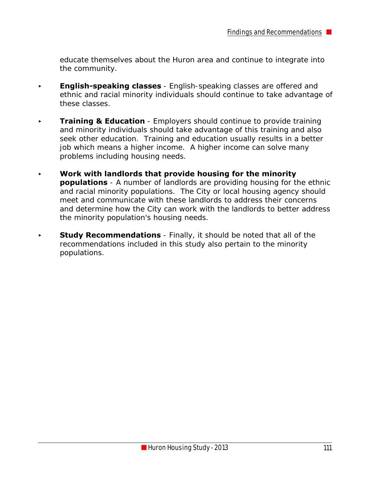educate themselves about the Huron area and continue to integrate into the community.

- **English-speaking classes** English-speaking classes are offered and ethnic and racial minority individuals should continue to take advantage of these classes.
- **Training & Education** Employers should continue to provide training and minority individuals should take advantage of this training and also seek other education. Training and education usually results in a better job which means a higher income. A higher income can solve many problems including housing needs.
- < **Work with landlords that provide housing for the minority populations** - A number of landlords are providing housing for the ethnic and racial minority populations. The City or local housing agency should meet and communicate with these landlords to address their concerns and determine how the City can work with the landlords to better address the minority population's housing needs.
- **Study Recommendations** Finally, it should be noted that all of the recommendations included in this study also pertain to the minority populations.